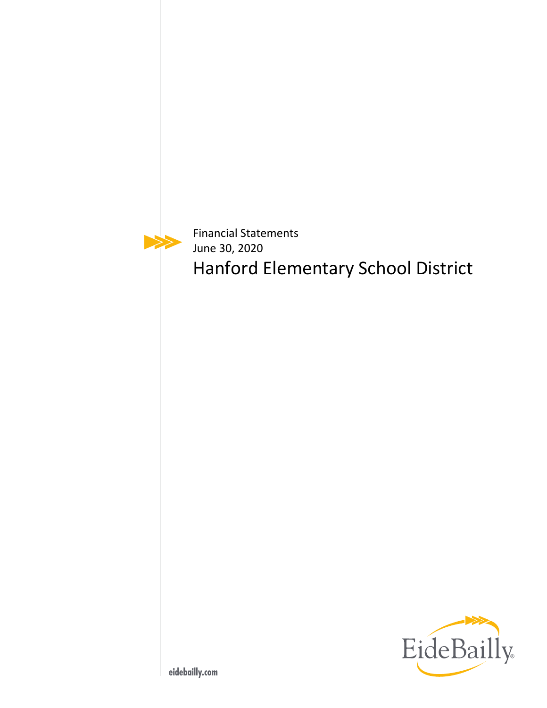Financial Statements June 30, 2020 Hanford Elementary School District

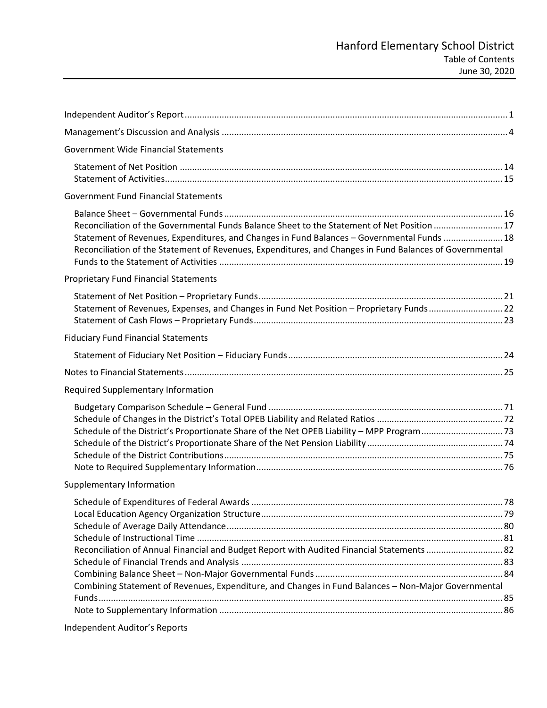| <b>Government Wide Financial Statements</b>                                                             |  |
|---------------------------------------------------------------------------------------------------------|--|
|                                                                                                         |  |
|                                                                                                         |  |
| <b>Government Fund Financial Statements</b>                                                             |  |
|                                                                                                         |  |
| Reconciliation of the Governmental Funds Balance Sheet to the Statement of Net Position  17             |  |
| Statement of Revenues, Expenditures, and Changes in Fund Balances - Governmental Funds  18              |  |
| Reconciliation of the Statement of Revenues, Expenditures, and Changes in Fund Balances of Governmental |  |
|                                                                                                         |  |
| <b>Proprietary Fund Financial Statements</b>                                                            |  |
|                                                                                                         |  |
| Statement of Revenues, Expenses, and Changes in Fund Net Position - Proprietary Funds 22                |  |
| <b>Fiduciary Fund Financial Statements</b>                                                              |  |
|                                                                                                         |  |
|                                                                                                         |  |
| Required Supplementary Information                                                                      |  |
|                                                                                                         |  |
|                                                                                                         |  |
|                                                                                                         |  |
|                                                                                                         |  |
|                                                                                                         |  |
|                                                                                                         |  |
| Supplementary Information                                                                               |  |
| . 78                                                                                                    |  |
|                                                                                                         |  |
|                                                                                                         |  |
| Reconciliation of Annual Financial and Budget Report with Audited Financial Statements  82              |  |
|                                                                                                         |  |
|                                                                                                         |  |
| Combining Statement of Revenues, Expenditure, and Changes in Fund Balances - Non-Major Governmental     |  |
|                                                                                                         |  |
|                                                                                                         |  |

Independent Auditor's Reports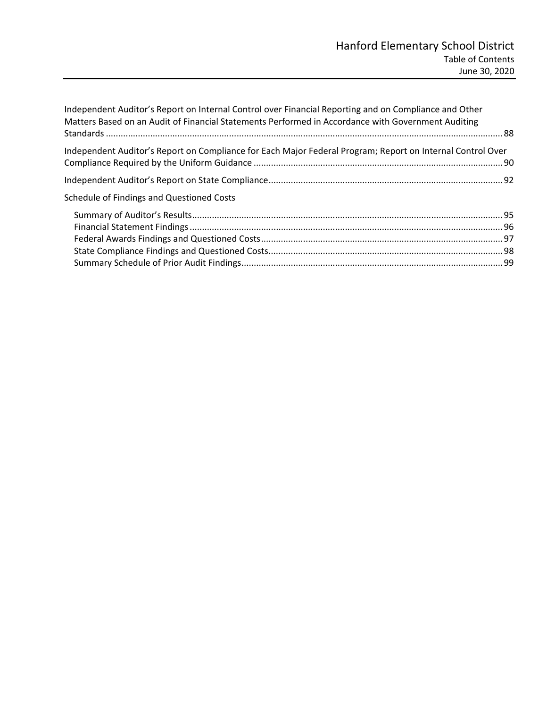| Independent Auditor's Report on Internal Control over Financial Reporting and on Compliance and Other<br>Matters Based on an Audit of Financial Statements Performed in Accordance with Government Auditing |  |
|-------------------------------------------------------------------------------------------------------------------------------------------------------------------------------------------------------------|--|
|                                                                                                                                                                                                             |  |
| Independent Auditor's Report on Compliance for Each Major Federal Program; Report on Internal Control Over                                                                                                  |  |
|                                                                                                                                                                                                             |  |
| Schedule of Findings and Questioned Costs                                                                                                                                                                   |  |
|                                                                                                                                                                                                             |  |
|                                                                                                                                                                                                             |  |
|                                                                                                                                                                                                             |  |
|                                                                                                                                                                                                             |  |
|                                                                                                                                                                                                             |  |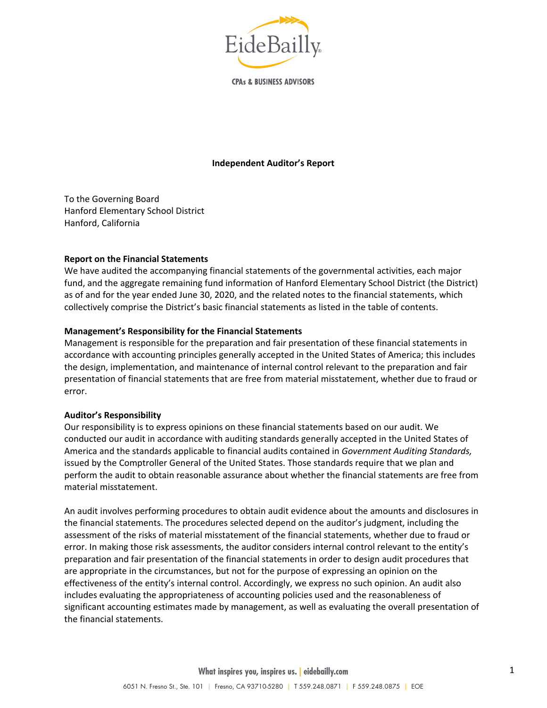

**CPAs & BUSINESS ADVISORS** 

### **Independent Auditor's Report**

To the Governing Board Hanford Elementary School District Hanford, California

#### **Report on the Financial Statements**

We have audited the accompanying financial statements of the governmental activities, each major fund, and the aggregate remaining fund information of Hanford Elementary School District (the District) as of and for the year ended June 30, 2020, and the related notes to the financial statements, which collectively comprise the District's basic financial statements as listed in the table of contents.

### **Management's Responsibility for the Financial Statements**

Management is responsible for the preparation and fair presentation of these financial statements in accordance with accounting principles generally accepted in the United States of America; this includes the design, implementation, and maintenance of internal control relevant to the preparation and fair presentation of financial statements that are free from material misstatement, whether due to fraud or error.

#### **Auditor's Responsibility**

Our responsibility is to express opinions on these financial statements based on our audit. We conducted our audit in accordance with auditing standards generally accepted in the United States of America and the standards applicable to financial audits contained in *Government Auditing Standards,*  issued by the Comptroller General of the United States. Those standards require that we plan and perform the audit to obtain reasonable assurance about whether the financial statements are free from material misstatement.

An audit involves performing procedures to obtain audit evidence about the amounts and disclosures in the financial statements. The procedures selected depend on the auditor's judgment, including the assessment of the risks of material misstatement of the financial statements, whether due to fraud or error. In making those risk assessments, the auditor considers internal control relevant to the entity's preparation and fair presentation of the financial statements in order to design audit procedures that are appropriate in the circumstances, but not for the purpose of expressing an opinion on the effectiveness of the entity's internal control. Accordingly, we express no such opinion. An audit also includes evaluating the appropriateness of accounting policies used and the reasonableness of significant accounting estimates made by management, as well as evaluating the overall presentation of the financial statements.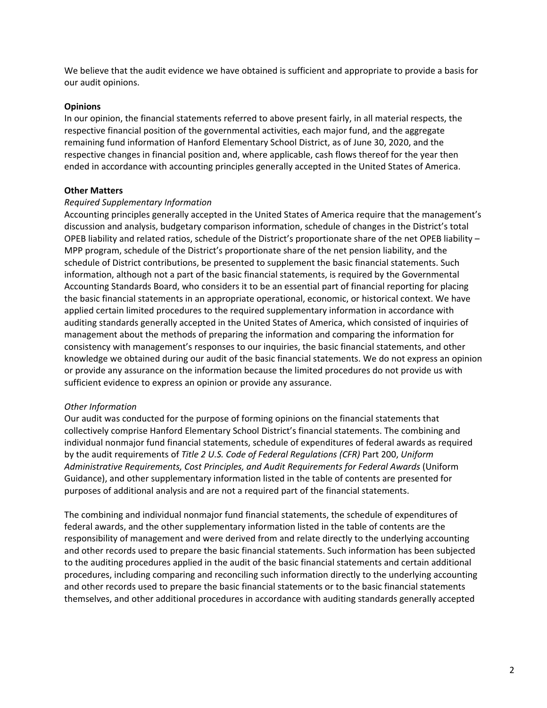We believe that the audit evidence we have obtained is sufficient and appropriate to provide a basis for our audit opinions.

### **Opinions**

In our opinion, the financial statements referred to above present fairly, in all material respects, the respective financial position of the governmental activities, each major fund, and the aggregate remaining fund information of Hanford Elementary School District, as of June 30, 2020, and the respective changes in financial position and, where applicable, cash flows thereof for the year then ended in accordance with accounting principles generally accepted in the United States of America.

### **Other Matters**

#### *Required Supplementary Information*

Accounting principles generally accepted in the United States of America require that the management's discussion and analysis, budgetary comparison information, schedule of changes in the District's total OPEB liability and related ratios, schedule of the District's proportionate share of the net OPEB liability – MPP program, schedule of the District's proportionate share of the net pension liability, and the schedule of District contributions, be presented to supplement the basic financial statements. Such information, although not a part of the basic financial statements, is required by the Governmental Accounting Standards Board, who considers it to be an essential part of financial reporting for placing the basic financial statements in an appropriate operational, economic, or historical context. We have applied certain limited procedures to the required supplementary information in accordance with auditing standards generally accepted in the United States of America, which consisted of inquiries of management about the methods of preparing the information and comparing the information for consistency with management's responses to our inquiries, the basic financial statements, and other knowledge we obtained during our audit of the basic financial statements. We do not express an opinion or provide any assurance on the information because the limited procedures do not provide us with sufficient evidence to express an opinion or provide any assurance.

### *Other Information*

Our audit was conducted for the purpose of forming opinions on the financial statements that collectively comprise Hanford Elementary School District's financial statements. The combining and individual nonmajor fund financial statements, schedule of expenditures of federal awards as required by the audit requirements of *Title 2 U.S. Code of Federal Regulations (CFR)* Part 200, *Uniform Administrative Requirements, Cost Principles, and Audit Requirements for Federal Awards* (Uniform Guidance), and other supplementary information listed in the table of contents are presented for purposes of additional analysis and are not a required part of the financial statements.

The combining and individual nonmajor fund financial statements, the schedule of expenditures of federal awards, and the other supplementary information listed in the table of contents are the responsibility of management and were derived from and relate directly to the underlying accounting and other records used to prepare the basic financial statements. Such information has been subjected to the auditing procedures applied in the audit of the basic financial statements and certain additional procedures, including comparing and reconciling such information directly to the underlying accounting and other records used to prepare the basic financial statements or to the basic financial statements themselves, and other additional procedures in accordance with auditing standards generally accepted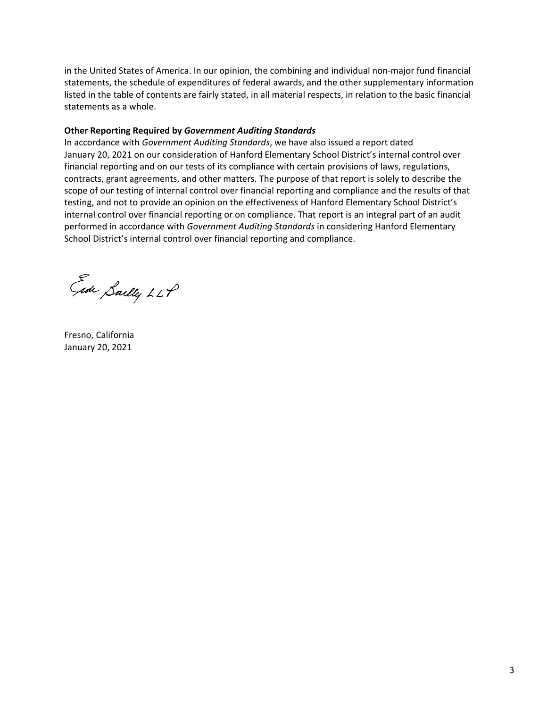in the United States of America. In our opinion, the combining and individual non‐major fund financial statements, the schedule of expenditures of federal awards, and the other supplementary information listed in the table of contents are fairly stated, in all material respects, in relation to the basic financial statements as a whole.

### **Other Reporting Required by** *Government Auditing Standards*

In accordance with *Government Auditing Standards*, we have also issued a report dated January 20, 2021 on our consideration of Hanford Elementary School District's internal control over financial reporting and on our tests of its compliance with certain provisions of laws, regulations, contracts, grant agreements, and other matters. The purpose of that report is solely to describe the scope of our testing of internal control over financial reporting and compliance and the results of that testing, and not to provide an opinion on the effectiveness of Hanford Elementary School District's internal control over financial reporting or on compliance. That report is an integral part of an audit performed in accordance with *Government Auditing Standards* in considering Hanford Elementary School District's internal control over financial reporting and compliance.

Gide Sailly LLP

Fresno, California January 20, 2021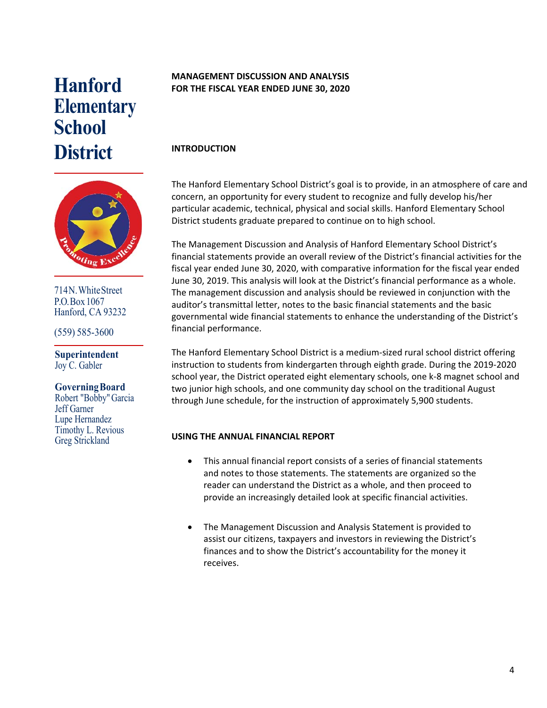

714 N. White Street P.O. Box 1067 Hanford, CA 93232

(559) 585-3600

**Superintendent**  Joy C. Gabler

### **Governing Board**

Robert "Bobby" Garcia Jeff Garner Lupe Hernandez Timothy L. Revious Greg Strickland

# **MANAGEMENT DISCUSSION AND ANALYSIS FOR THE FISCAL YEAR ENDED JUNE 30, 2020**

### **INTRODUCTION**

The Hanford Elementary School District's goal is to provide, in an atmosphere of care and concern, an opportunity for every student to recognize and fully develop his/her particular academic, technical, physical and social skills. Hanford Elementary School District students graduate prepared to continue on to high school.

The Management Discussion and Analysis of Hanford Elementary School District's financial statements provide an overall review of the District's financial activities for the fiscal year ended June 30, 2020, with comparative information for the fiscal year ended June 30, 2019. This analysis will look at the District's financial performance as a whole. The management discussion and analysis should be reviewed in conjunction with the auditor's transmittal letter, notes to the basic financial statements and the basic governmental wide financial statements to enhance the understanding of the District's financial performance.

The Hanford Elementary School District is a medium‐sized rural school district offering instruction to students from kindergarten through eighth grade. During the 2019‐2020 school year, the District operated eight elementary schools, one k‐8 magnet school and two junior high schools, and one community day school on the traditional August through June schedule, for the instruction of approximately 5,900 students.

### **USING THE ANNUAL FINANCIAL REPORT**

- This annual financial report consists of a series of financial statements and notes to those statements. The statements are organized so the reader can understand the District as a whole, and then proceed to provide an increasingly detailed look at specific financial activities.
- The Management Discussion and Analysis Statement is provided to assist our citizens, taxpayers and investors in reviewing the District's finances and to show the District's accountability for the money it receives.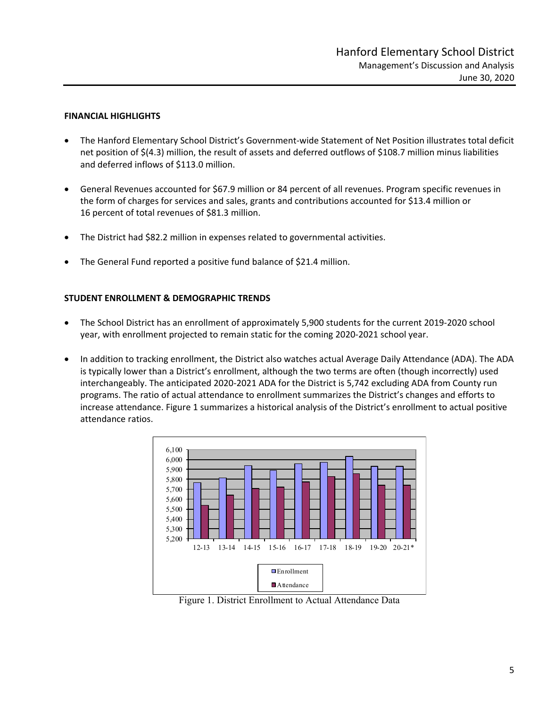### **FINANCIAL HIGHLIGHTS**

- The Hanford Elementary School District's Government‐wide Statement of Net Position illustrates total deficit net position of \$(4.3) million, the result of assets and deferred outflows of \$108.7 million minus liabilities and deferred inflows of \$113.0 million.
- General Revenues accounted for \$67.9 million or 84 percent of all revenues. Program specific revenues in the form of charges for services and sales, grants and contributions accounted for \$13.4 million or 16 percent of total revenues of \$81.3 million.
- The District had \$82.2 million in expenses related to governmental activities.
- The General Fund reported a positive fund balance of \$21.4 million.

### **STUDENT ENROLLMENT & DEMOGRAPHIC TRENDS**

- The School District has an enrollment of approximately 5,900 students for the current 2019-2020 school year, with enrollment projected to remain static for the coming 2020‐2021 school year.
- In addition to tracking enrollment, the District also watches actual Average Daily Attendance (ADA). The ADA is typically lower than a District's enrollment, although the two terms are often (though incorrectly) used interchangeably. The anticipated 2020‐2021 ADA for the District is 5,742 excluding ADA from County run programs. The ratio of actual attendance to enrollment summarizes the District's changes and efforts to increase attendance. Figure 1 summarizes a historical analysis of the District's enrollment to actual positive attendance ratios.



Figure 1. District Enrollment to Actual Attendance Data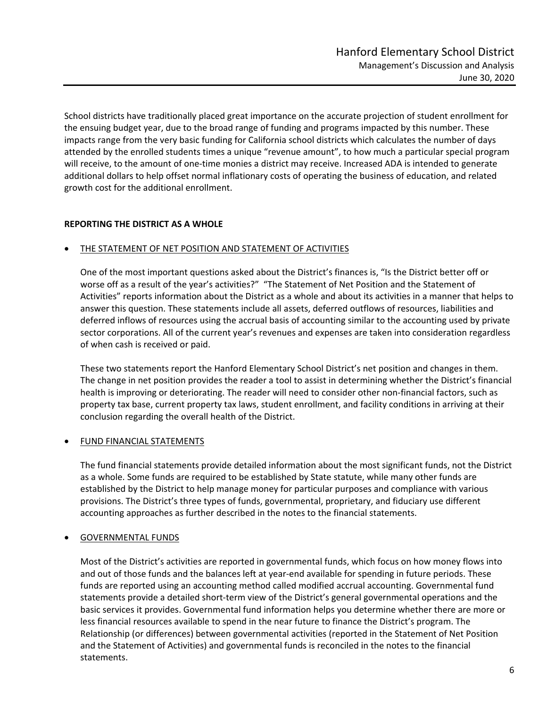School districts have traditionally placed great importance on the accurate projection of student enrollment for the ensuing budget year, due to the broad range of funding and programs impacted by this number. These impacts range from the very basic funding for California school districts which calculates the number of days attended by the enrolled students times a unique "revenue amount", to how much a particular special program will receive, to the amount of one-time monies a district may receive. Increased ADA is intended to generate additional dollars to help offset normal inflationary costs of operating the business of education, and related growth cost for the additional enrollment.

### **REPORTING THE DISTRICT AS A WHOLE**

### THE STATEMENT OF NET POSITION AND STATEMENT OF ACTIVITIES

One of the most important questions asked about the District's finances is, "Is the District better off or worse off as a result of the year's activities?" "The Statement of Net Position and the Statement of Activities" reports information about the District as a whole and about its activities in a manner that helps to answer this question. These statements include all assets, deferred outflows of resources, liabilities and deferred inflows of resources using the accrual basis of accounting similar to the accounting used by private sector corporations. All of the current year's revenues and expenses are taken into consideration regardless of when cash is received or paid.

These two statements report the Hanford Elementary School District's net position and changes in them. The change in net position provides the reader a tool to assist in determining whether the District's financial health is improving or deteriorating. The reader will need to consider other non-financial factors, such as property tax base, current property tax laws, student enrollment, and facility conditions in arriving at their conclusion regarding the overall health of the District.

### FUND FINANCIAL STATEMENTS

The fund financial statements provide detailed information about the most significant funds, not the District as a whole. Some funds are required to be established by State statute, while many other funds are established by the District to help manage money for particular purposes and compliance with various provisions. The District's three types of funds, governmental, proprietary, and fiduciary use different accounting approaches as further described in the notes to the financial statements.

### GOVERNMENTAL FUNDS

Most of the District's activities are reported in governmental funds, which focus on how money flows into and out of those funds and the balances left at year‐end available for spending in future periods. These funds are reported using an accounting method called modified accrual accounting. Governmental fund statements provide a detailed short‐term view of the District's general governmental operations and the basic services it provides. Governmental fund information helps you determine whether there are more or less financial resources available to spend in the near future to finance the District's program. The Relationship (or differences) between governmental activities (reported in the Statement of Net Position and the Statement of Activities) and governmental funds is reconciled in the notes to the financial statements.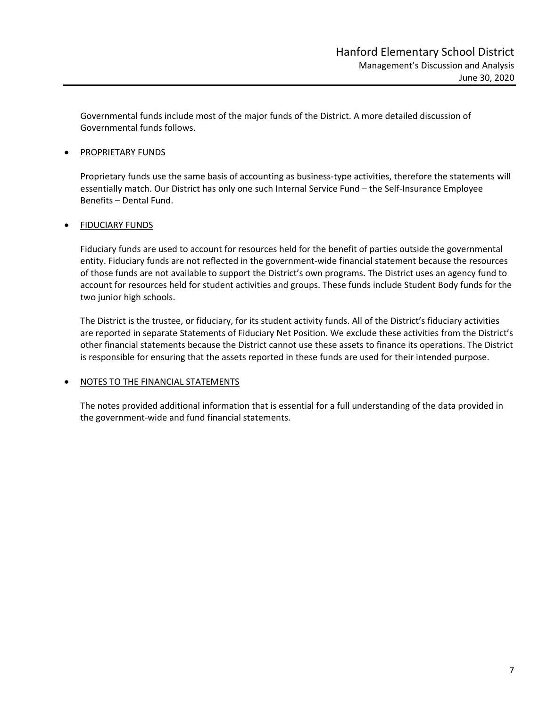Governmental funds include most of the major funds of the District. A more detailed discussion of Governmental funds follows.

### PROPRIETARY FUNDS

Proprietary funds use the same basis of accounting as business-type activities, therefore the statements will essentially match. Our District has only one such Internal Service Fund – the Self-Insurance Employee Benefits – Dental Fund.

### FIDUCIARY FUNDS

Fiduciary funds are used to account for resources held for the benefit of parties outside the governmental entity. Fiduciary funds are not reflected in the government-wide financial statement because the resources of those funds are not available to support the District's own programs. The District uses an agency fund to account for resources held for student activities and groups. These funds include Student Body funds for the two junior high schools.

The District is the trustee, or fiduciary, for its student activity funds. All of the District's fiduciary activities are reported in separate Statements of Fiduciary Net Position. We exclude these activities from the District's other financial statements because the District cannot use these assets to finance its operations. The District is responsible for ensuring that the assets reported in these funds are used for their intended purpose.

### NOTES TO THE FINANCIAL STATEMENTS

The notes provided additional information that is essential for a full understanding of the data provided in the government‐wide and fund financial statements.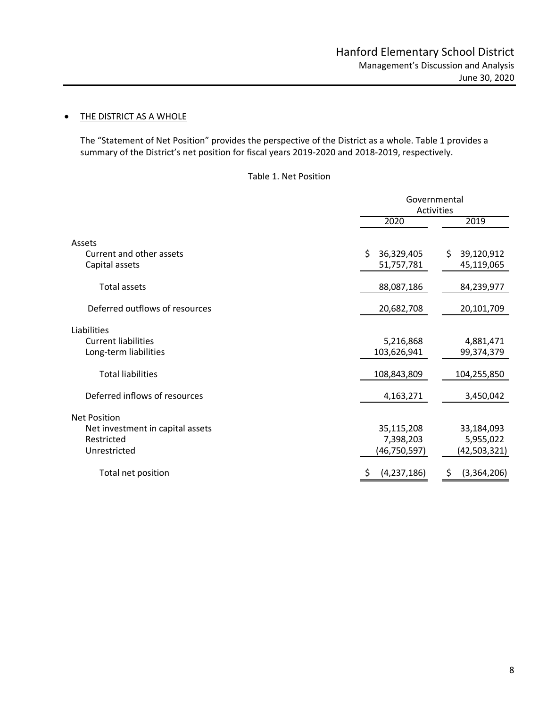### • THE DISTRICT AS A WHOLE

The "Statement of Net Position" provides the perspective of the District as a whole. Table 1 provides a summary of the District's net position for fiscal years 2019‐2020 and 2018‐2019, respectively.

### Table 1. Net Position

|                                                     | Governmental<br>Activities     |                                 |  |  |  |  |
|-----------------------------------------------------|--------------------------------|---------------------------------|--|--|--|--|
|                                                     | 2020                           | 2019                            |  |  |  |  |
| Assets                                              |                                |                                 |  |  |  |  |
| Current and other assets<br>Capital assets          | Ś.<br>36,329,405<br>51,757,781 | \$.<br>39,120,912<br>45,119,065 |  |  |  |  |
| <b>Total assets</b>                                 | 88,087,186                     | 84,239,977                      |  |  |  |  |
| Deferred outflows of resources                      | 20,682,708                     | 20,101,709                      |  |  |  |  |
| Liabilities                                         |                                |                                 |  |  |  |  |
| <b>Current liabilities</b><br>Long-term liabilities | 5,216,868<br>103,626,941       | 4,881,471<br>99,374,379         |  |  |  |  |
| <b>Total liabilities</b>                            | 108,843,809                    | 104,255,850                     |  |  |  |  |
| Deferred inflows of resources                       | 4,163,271                      | 3,450,042                       |  |  |  |  |
| <b>Net Position</b>                                 |                                |                                 |  |  |  |  |
| Net investment in capital assets                    | 35,115,208                     | 33,184,093                      |  |  |  |  |
| Restricted                                          | 7,398,203                      | 5,955,022                       |  |  |  |  |
| Unrestricted                                        | (46, 750, 597)                 | (42,503,321)                    |  |  |  |  |
| Total net position                                  | (4, 237, 186)                  | (3,364,206)<br>\$,              |  |  |  |  |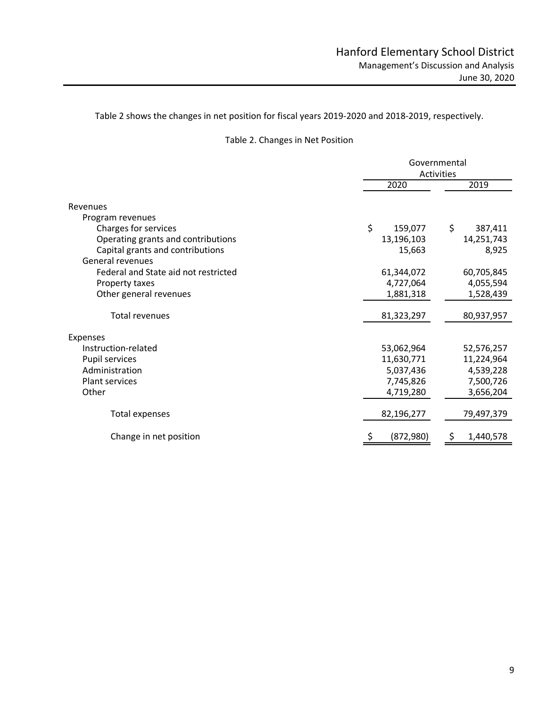## Table 2 shows the changes in net position for fiscal years 2019‐2020 and 2018‐2019, respectively.

# Table 2. Changes in Net Position

|                                      | Governmental<br>Activities |                 |  |  |  |
|--------------------------------------|----------------------------|-----------------|--|--|--|
|                                      | 2020                       | 2019            |  |  |  |
| Revenues                             |                            |                 |  |  |  |
| Program revenues                     |                            |                 |  |  |  |
| Charges for services                 | \$<br>159,077              | \$<br>387,411   |  |  |  |
| Operating grants and contributions   | 13,196,103                 | 14,251,743      |  |  |  |
| Capital grants and contributions     | 15,663                     | 8,925           |  |  |  |
| General revenues                     |                            |                 |  |  |  |
| Federal and State aid not restricted | 61,344,072                 | 60,705,845      |  |  |  |
| Property taxes                       | 4,727,064                  | 4,055,594       |  |  |  |
| Other general revenues               | 1,881,318                  | 1,528,439       |  |  |  |
| Total revenues                       | 81,323,297                 | 80,937,957      |  |  |  |
| <b>Expenses</b>                      |                            |                 |  |  |  |
| Instruction-related                  | 53,062,964                 | 52,576,257      |  |  |  |
| Pupil services                       | 11,630,771                 | 11,224,964      |  |  |  |
| Administration                       | 5,037,436                  | 4,539,228       |  |  |  |
| Plant services                       | 7,745,826                  | 7,500,726       |  |  |  |
| Other                                | 4,719,280                  | 3,656,204       |  |  |  |
| <b>Total expenses</b>                | 82,196,277                 | 79,497,379      |  |  |  |
| Change in net position               | (872,980)<br>Ş             | 1,440,578<br>\$ |  |  |  |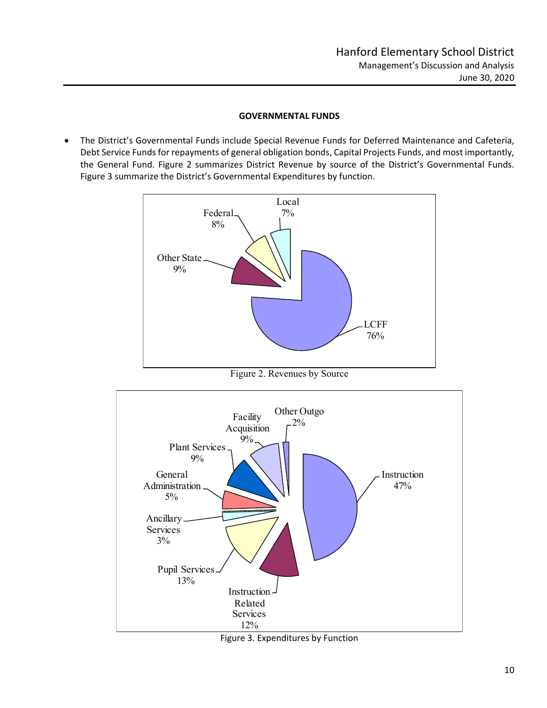### **GOVERNMENTAL FUNDS**

 The District's Governmental Funds include Special Revenue Funds for Deferred Maintenance and Cafeteria, Debt Service Funds for repayments of general obligation bonds, Capital Projects Funds, and most importantly, the General Fund. Figure 2 summarizes District Revenue by source of the District's Governmental Funds. Figure 3 summarize the District's Governmental Expenditures by function.



Figure 2. Revenues by Source



Figure 3. Expenditures by Function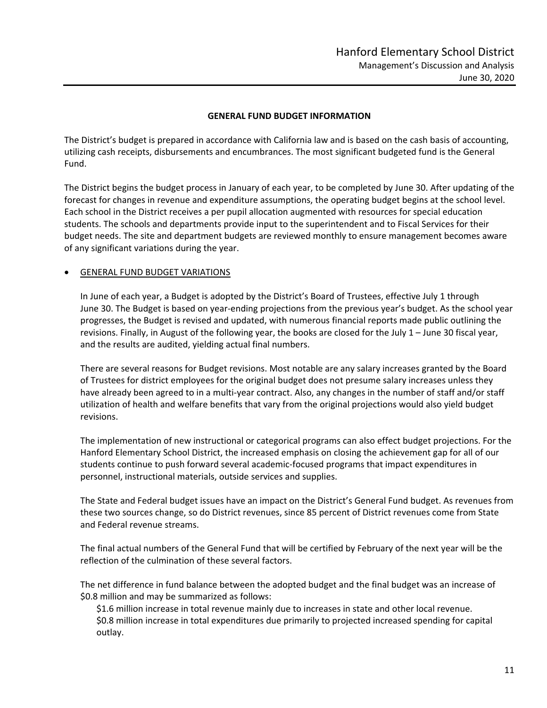### **GENERAL FUND BUDGET INFORMATION**

The District's budget is prepared in accordance with California law and is based on the cash basis of accounting, utilizing cash receipts, disbursements and encumbrances. The most significant budgeted fund is the General Fund.

The District begins the budget process in January of each year, to be completed by June 30. After updating of the forecast for changes in revenue and expenditure assumptions, the operating budget begins at the school level. Each school in the District receives a per pupil allocation augmented with resources for special education students. The schools and departments provide input to the superintendent and to Fiscal Services for their budget needs. The site and department budgets are reviewed monthly to ensure management becomes aware of any significant variations during the year.

### GENERAL FUND BUDGET VARIATIONS

In June of each year, a Budget is adopted by the District's Board of Trustees, effective July 1 through June 30. The Budget is based on year-ending projections from the previous year's budget. As the school year progresses, the Budget is revised and updated, with numerous financial reports made public outlining the revisions. Finally, in August of the following year, the books are closed for the July 1 – June 30 fiscal year, and the results are audited, yielding actual final numbers.

There are several reasons for Budget revisions. Most notable are any salary increases granted by the Board of Trustees for district employees for the original budget does not presume salary increases unless they have already been agreed to in a multi‐year contract. Also, any changes in the number of staff and/or staff utilization of health and welfare benefits that vary from the original projections would also yield budget revisions.

The implementation of new instructional or categorical programs can also effect budget projections. For the Hanford Elementary School District, the increased emphasis on closing the achievement gap for all of our students continue to push forward several academic‐focused programs that impact expenditures in personnel, instructional materials, outside services and supplies.

The State and Federal budget issues have an impact on the District's General Fund budget. As revenues from these two sources change, so do District revenues, since 85 percent of District revenues come from State and Federal revenue streams.

The final actual numbers of the General Fund that will be certified by February of the next year will be the reflection of the culmination of these several factors.

The net difference in fund balance between the adopted budget and the final budget was an increase of \$0.8 million and may be summarized as follows:

\$1.6 million increase in total revenue mainly due to increases in state and other local revenue. \$0.8 million increase in total expenditures due primarily to projected increased spending for capital outlay.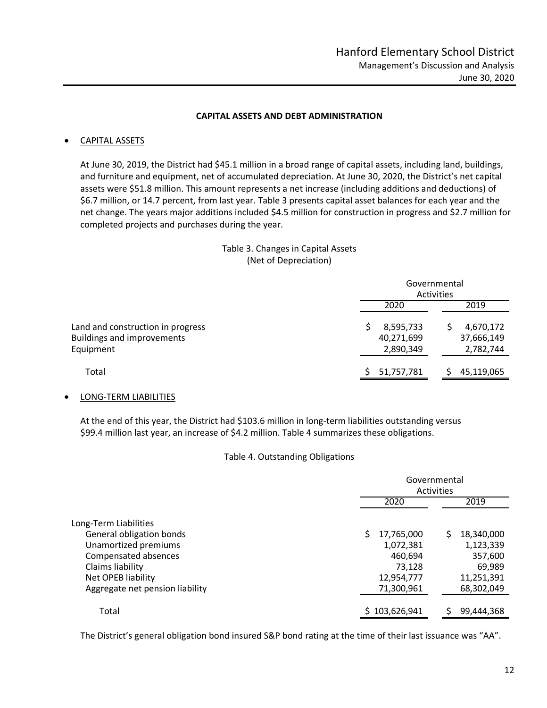### **CAPITAL ASSETS AND DEBT ADMINISTRATION**

### CAPITAL ASSETS

At June 30, 2019, the District had \$45.1 million in a broad range of capital assets, including land, buildings, and furniture and equipment, net of accumulated depreciation. At June 30, 2020, the District's net capital assets were \$51.8 million. This amount represents a net increase (including additions and deductions) of \$6.7 million, or 14.7 percent, from last year. Table 3 presents capital asset balances for each year and the net change. The years major additions included \$4.5 million for construction in progress and \$2.7 million for completed projects and purchases during the year.

# Table 3. Changes in Capital Assets (Net of Depreciation)

|                                                                                     |                                      | Governmental<br>Activities           |
|-------------------------------------------------------------------------------------|--------------------------------------|--------------------------------------|
|                                                                                     | 2020                                 | 2019                                 |
| Land and construction in progress<br><b>Buildings and improvements</b><br>Equipment | 8,595,733<br>40,271,699<br>2,890,349 | 4,670,172<br>37,666,149<br>2,782,744 |
| Total                                                                               | 51,757,781                           | 45,119,065                           |

#### LONG‐TERM LIABILITIES

At the end of this year, the District had \$103.6 million in long-term liabilities outstanding versus \$99.4 million last year, an increase of \$4.2 million. Table 4 summarizes these obligations.

### Table 4. Outstanding Obligations

|                                 | Governmental<br>Activities |                  |  |  |  |
|---------------------------------|----------------------------|------------------|--|--|--|
|                                 | 2020                       | 2019             |  |  |  |
| Long-Term Liabilities           |                            |                  |  |  |  |
| General obligation bonds        | S<br>17,765,000            | \$<br>18,340,000 |  |  |  |
| Unamortized premiums            | 1,072,381                  | 1,123,339        |  |  |  |
| Compensated absences            | 460,694                    | 357,600          |  |  |  |
| Claims liability                | 73,128                     | 69,989           |  |  |  |
| Net OPEB liability              | 12,954,777                 | 11,251,391       |  |  |  |
| Aggregate net pension liability | 71,300,961                 | 68,302,049       |  |  |  |
| Total                           | \$103,626,941              | 99,444,368<br>ς  |  |  |  |

The District's general obligation bond insured S&P bond rating at the time of their last issuance was "AA".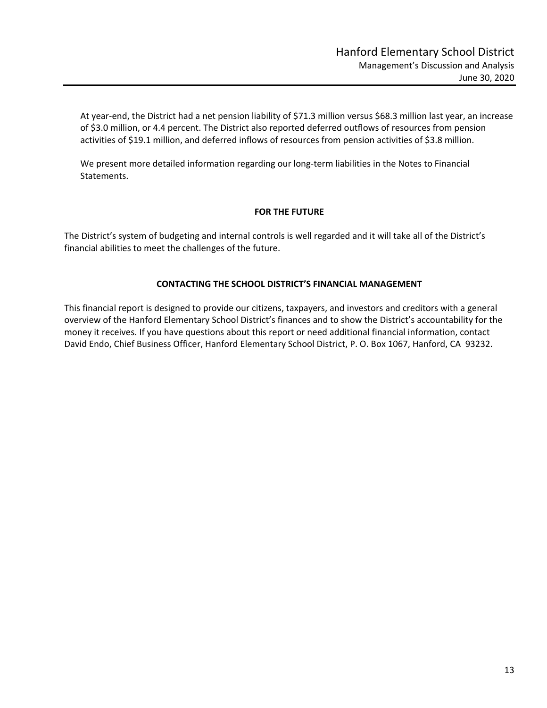At year‐end, the District had a net pension liability of \$71.3 million versus \$68.3 million last year, an increase of \$3.0 million, or 4.4 percent. The District also reported deferred outflows of resources from pension activities of \$19.1 million, and deferred inflows of resources from pension activities of \$3.8 million.

We present more detailed information regarding our long‐term liabilities in the Notes to Financial Statements.

### **FOR THE FUTURE**

The District's system of budgeting and internal controls is well regarded and it will take all of the District's financial abilities to meet the challenges of the future.

### **CONTACTING THE SCHOOL DISTRICT'S FINANCIAL MANAGEMENT**

This financial report is designed to provide our citizens, taxpayers, and investors and creditors with a general overview of the Hanford Elementary School District's finances and to show the District's accountability for the money it receives. If you have questions about this report or need additional financial information, contact David Endo, Chief Business Officer, Hanford Elementary School District, P. O. Box 1067, Hanford, CA 93232.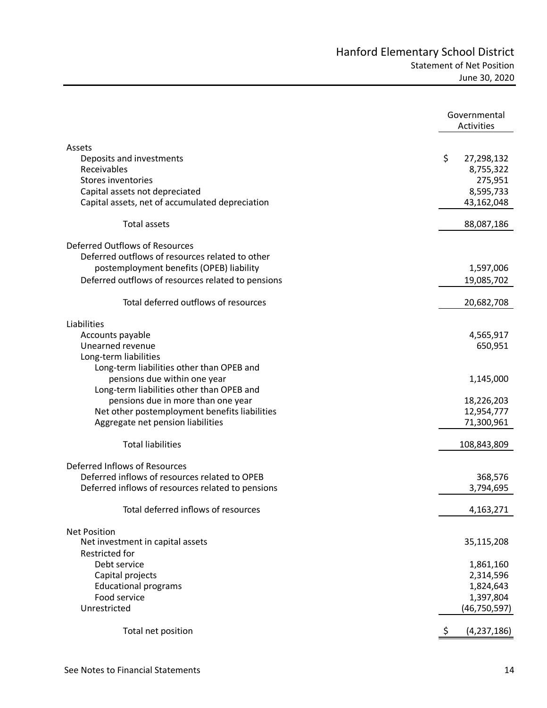|                                                    | Governmental<br><b>Activities</b> |
|----------------------------------------------------|-----------------------------------|
|                                                    |                                   |
| Assets<br>Deposits and investments                 | \$<br>27,298,132                  |
| Receivables                                        | 8,755,322                         |
| Stores inventories                                 | 275,951                           |
| Capital assets not depreciated                     | 8,595,733                         |
| Capital assets, net of accumulated depreciation    | 43,162,048                        |
|                                                    |                                   |
| Total assets                                       | 88,087,186                        |
| <b>Deferred Outflows of Resources</b>              |                                   |
| Deferred outflows of resources related to other    |                                   |
| postemployment benefits (OPEB) liability           | 1,597,006                         |
| Deferred outflows of resources related to pensions | 19,085,702                        |
| Total deferred outflows of resources               | 20,682,708                        |
| Liabilities                                        |                                   |
| Accounts payable                                   | 4,565,917                         |
| Unearned revenue                                   | 650,951                           |
| Long-term liabilities                              |                                   |
| Long-term liabilities other than OPEB and          |                                   |
| pensions due within one year                       | 1,145,000                         |
| Long-term liabilities other than OPEB and          |                                   |
| pensions due in more than one year                 | 18,226,203                        |
| Net other postemployment benefits liabilities      | 12,954,777                        |
| Aggregate net pension liabilities                  | 71,300,961                        |
| <b>Total liabilities</b>                           | 108,843,809                       |
| Deferred Inflows of Resources                      |                                   |
| Deferred inflows of resources related to OPEB      | 368,576                           |
| Deferred inflows of resources related to pensions  | 3,794,695                         |
|                                                    |                                   |
| Total deferred inflows of resources                | 4,163,271                         |
| <b>Net Position</b>                                |                                   |
| Net investment in capital assets                   | 35,115,208                        |
| Restricted for                                     |                                   |
| Debt service                                       | 1,861,160                         |
| Capital projects                                   | 2,314,596                         |
| <b>Educational programs</b>                        | 1,824,643                         |
| Food service                                       | 1,397,804                         |
| Unrestricted                                       | (46, 750, 597)                    |
| Total net position                                 | (4, 237, 186)                     |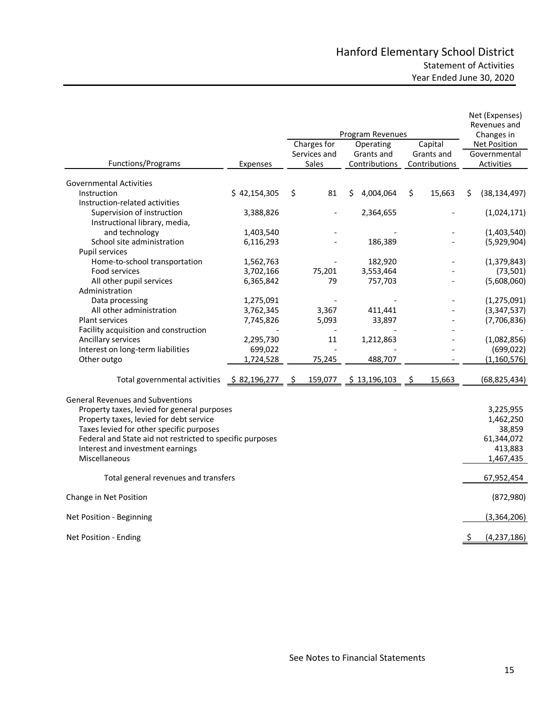|                                                           |              | Program Revenues | Net (Expenses)<br>Revenues and<br>Changes in |                     |                     |
|-----------------------------------------------------------|--------------|------------------|----------------------------------------------|---------------------|---------------------|
|                                                           |              | Charges for      | Capital                                      | <b>Net Position</b> |                     |
|                                                           |              | Services and     | Operating<br>Grants and                      | Grants and          | Governmental        |
| Functions/Programs                                        | Expenses     | Sales            | Contributions                                | Contributions       | Activities          |
| <b>Governmental Activities</b>                            |              |                  |                                              |                     |                     |
| Instruction                                               | \$42,154,305 | \$<br>81         | 4,004,064<br>\$                              | \$<br>15,663        | (38, 134, 497)<br>S |
| Instruction-related activities                            |              |                  |                                              |                     |                     |
| Supervision of instruction                                | 3,388,826    |                  | 2,364,655                                    |                     | (1,024,171)         |
| Instructional library, media,                             |              |                  |                                              |                     |                     |
| and technology                                            | 1,403,540    |                  |                                              |                     | (1,403,540)         |
| School site administration                                | 6,116,293    |                  | 186,389                                      |                     | (5,929,904)         |
| Pupil services                                            |              |                  |                                              |                     |                     |
| Home-to-school transportation                             | 1,562,763    |                  | 182,920                                      |                     | (1, 379, 843)       |
| Food services                                             | 3,702,166    | 75,201           | 3,553,464                                    |                     | (73, 501)           |
| All other pupil services                                  | 6,365,842    | 79               | 757,703                                      |                     | (5,608,060)         |
| Administration                                            |              |                  |                                              |                     |                     |
| Data processing                                           | 1,275,091    |                  |                                              |                     | (1, 275, 091)       |
| All other administration                                  | 3,762,345    | 3,367            | 411,441                                      |                     | (3,347,537)         |
| <b>Plant services</b>                                     | 7,745,826    | 5,093            | 33,897                                       |                     | (7,706,836)         |
| Facility acquisition and construction                     |              |                  |                                              |                     |                     |
| Ancillary services                                        | 2,295,730    | 11               | 1,212,863                                    |                     | (1,082,856)         |
| Interest on long-term liabilities                         | 699,022      |                  |                                              |                     | (699, 022)          |
| Other outgo                                               | 1,724,528    | 75,245           | 488,707                                      |                     | (1, 160, 576)       |
|                                                           |              |                  |                                              |                     |                     |
| Total governmental activities                             | \$82,196,277 | 159,077<br>S     | \$13,196,103                                 | \$<br>15,663        | (68,825,434)        |
| <b>General Revenues and Subventions</b>                   |              |                  |                                              |                     |                     |
| Property taxes, levied for general purposes               |              |                  |                                              |                     | 3,225,955           |
| Property taxes, levied for debt service                   |              |                  |                                              |                     | 1,462,250           |
| Taxes levied for other specific purposes                  |              |                  |                                              |                     | 38,859              |
| Federal and State aid not restricted to specific purposes |              |                  |                                              |                     | 61,344,072          |
| Interest and investment earnings                          |              |                  |                                              |                     | 413,883             |
| Miscellaneous                                             |              |                  |                                              |                     | 1,467,435           |
|                                                           |              |                  |                                              |                     |                     |
| Total general revenues and transfers                      |              |                  |                                              |                     | 67,952,454          |
| Change in Net Position                                    |              |                  |                                              |                     | (872,980)           |
| Net Position - Beginning                                  |              |                  |                                              |                     | (3,364,206)         |
| Net Position - Ending                                     |              |                  |                                              |                     | \$<br>(4, 237, 186) |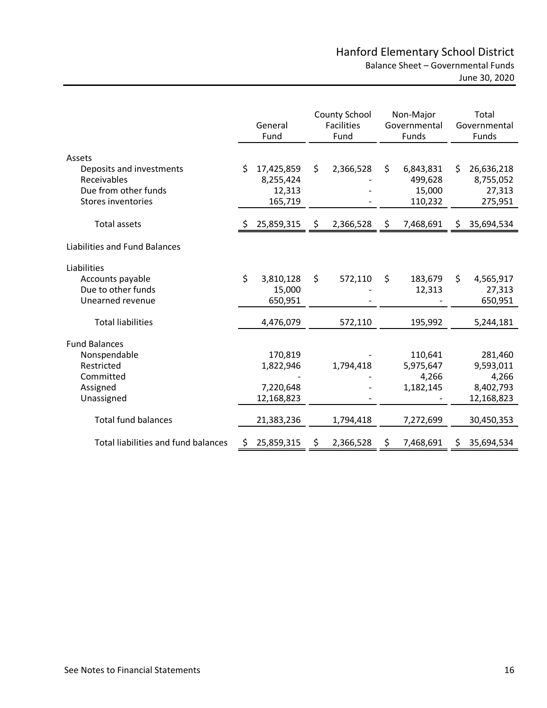|                                                                                                                         |    | General<br>Fund                                               | <b>County School</b><br>Non-Major<br><b>Facilities</b><br>Governmental<br>Fund<br>Funds |                        |    |                                                         | Total<br>Governmental<br>Funds |                                                                        |
|-------------------------------------------------------------------------------------------------------------------------|----|---------------------------------------------------------------|-----------------------------------------------------------------------------------------|------------------------|----|---------------------------------------------------------|--------------------------------|------------------------------------------------------------------------|
| Assets<br>Deposits and investments<br>Receivables<br>Due from other funds<br>Stores inventories                         | Ś  | 17,425,859<br>8,255,424<br>12,313<br>165,719                  | \$                                                                                      | 2,366,528              | \$ | 6,843,831<br>499,628<br>15,000<br>110,232               | Ŝ.                             | 26,636,218<br>8,755,052<br>27,313<br>275,951                           |
| <b>Total assets</b>                                                                                                     |    | 25,859,315                                                    | Ş.                                                                                      | 2,366,528              | \$ | 7,468,691                                               | \$                             | 35,694,534                                                             |
| Liabilities and Fund Balances                                                                                           |    |                                                               |                                                                                         |                        |    |                                                         |                                |                                                                        |
| Liabilities<br>Accounts payable<br>Due to other funds<br>Unearned revenue                                               | \$ | 3,810,128<br>15,000<br>650,951                                | \$                                                                                      | 572,110                | \$ | 183,679<br>12,313                                       | Ŝ.                             | 4,565,917<br>27,313<br>650,951                                         |
| <b>Total liabilities</b>                                                                                                |    | 4,476,079                                                     |                                                                                         | 572,110                |    | 195,992                                                 |                                | 5,244,181                                                              |
| <b>Fund Balances</b><br>Nonspendable<br>Restricted<br>Committed<br>Assigned<br>Unassigned<br><b>Total fund balances</b> |    | 170,819<br>1,822,946<br>7,220,648<br>12,168,823<br>21,383,236 |                                                                                         | 1,794,418<br>1,794,418 |    | 110,641<br>5,975,647<br>4,266<br>1,182,145<br>7,272,699 |                                | 281,460<br>9,593,011<br>4,266<br>8,402,793<br>12,168,823<br>30,450,353 |
| Total liabilities and fund balances                                                                                     | Ŝ  | 25,859,315                                                    | S                                                                                       | 2,366,528              | Ş  | 7,468,691                                               | S                              | 35,694,534                                                             |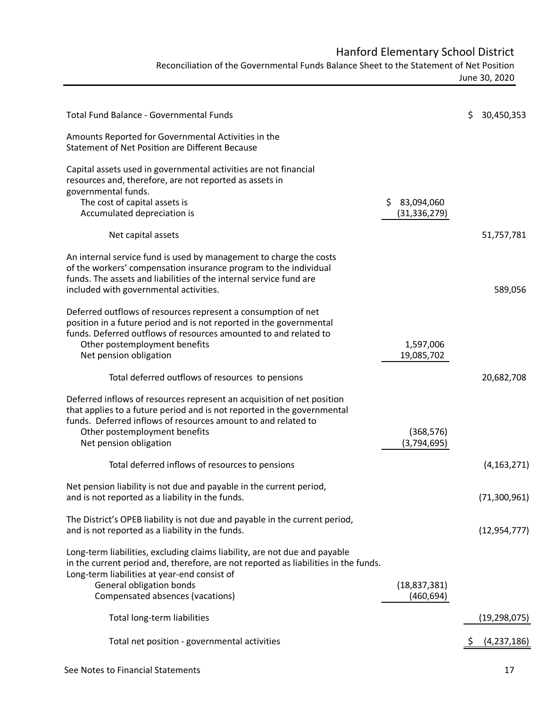Reconciliation of the Governmental Funds Balance Sheet to the Statement of Net Position

June 30, 2020

| <b>Total Fund Balance - Governmental Funds</b>                                                                                                                                                                                                                                |                              | \$. | 30,450,353     |
|-------------------------------------------------------------------------------------------------------------------------------------------------------------------------------------------------------------------------------------------------------------------------------|------------------------------|-----|----------------|
|                                                                                                                                                                                                                                                                               |                              |     |                |
| Amounts Reported for Governmental Activities in the<br>Statement of Net Position are Different Because                                                                                                                                                                        |                              |     |                |
| Capital assets used in governmental activities are not financial<br>resources and, therefore, are not reported as assets in                                                                                                                                                   |                              |     |                |
| governmental funds.<br>The cost of capital assets is                                                                                                                                                                                                                          | \$.<br>83,094,060            |     |                |
| Accumulated depreciation is                                                                                                                                                                                                                                                   | (31, 336, 279)               |     |                |
| Net capital assets                                                                                                                                                                                                                                                            |                              |     | 51,757,781     |
| An internal service fund is used by management to charge the costs<br>of the workers' compensation insurance program to the individual<br>funds. The assets and liabilities of the internal service fund are                                                                  |                              |     |                |
| included with governmental activities.                                                                                                                                                                                                                                        |                              |     | 589,056        |
| Deferred outflows of resources represent a consumption of net<br>position in a future period and is not reported in the governmental<br>funds. Deferred outflows of resources amounted to and related to<br>Other postemployment benefits<br>Net pension obligation           | 1,597,006<br>19,085,702      |     |                |
| Total deferred outflows of resources to pensions                                                                                                                                                                                                                              |                              |     | 20,682,708     |
| Deferred inflows of resources represent an acquisition of net position<br>that applies to a future period and is not reported in the governmental<br>funds. Deferred inflows of resources amount to and related to<br>Other postemployment benefits<br>Net pension obligation | (368, 576)<br>(3,794,695)    |     |                |
| Total deferred inflows of resources to pensions                                                                                                                                                                                                                               |                              |     | (4, 163, 271)  |
| Net pension liability is not due and payable in the current period,<br>and is not reported as a liability in the funds.                                                                                                                                                       |                              |     | (71, 300, 961) |
| The District's OPEB liability is not due and payable in the current period,<br>and is not reported as a liability in the funds.                                                                                                                                               |                              |     | (12, 954, 777) |
| Long-term liabilities, excluding claims liability, are not due and payable<br>in the current period and, therefore, are not reported as liabilities in the funds.<br>Long-term liabilities at year-end consist of                                                             |                              |     |                |
| General obligation bonds<br>Compensated absences (vacations)                                                                                                                                                                                                                  | (18, 837, 381)<br>(460, 694) |     |                |
| Total long-term liabilities                                                                                                                                                                                                                                                   |                              |     | (19,298,075)   |
| Total net position - governmental activities                                                                                                                                                                                                                                  |                              |     | (4,237,186)    |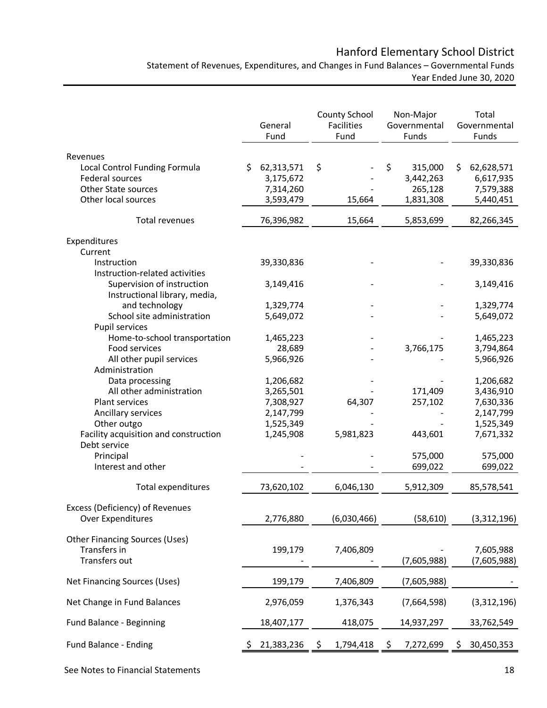Statement of Revenues, Expenditures, and Changes in Fund Balances – Governmental Funds

Year Ended June 30, 2020

|                                                                                                                   |   | General<br>Fund                                   | <b>County School</b><br><b>Facilities</b><br>Fund | Non-Major<br>Governmental<br>Funds |                                              |    | Total<br>Governmental<br>Funds                    |
|-------------------------------------------------------------------------------------------------------------------|---|---------------------------------------------------|---------------------------------------------------|------------------------------------|----------------------------------------------|----|---------------------------------------------------|
| Revenues<br>Local Control Funding Formula<br>Federal sources<br><b>Other State sources</b><br>Other local sources | Ś | 62,313,571<br>3,175,672<br>7,314,260<br>3,593,479 | \$<br>15,664                                      | \$                                 | 315,000<br>3,442,263<br>265,128<br>1,831,308 | \$ | 62,628,571<br>6,617,935<br>7,579,388<br>5,440,451 |
| <b>Total revenues</b>                                                                                             |   | 76,396,982                                        | 15,664                                            |                                    | 5,853,699                                    |    | 82,266,345                                        |
| Expenditures<br>Current                                                                                           |   |                                                   |                                                   |                                    |                                              |    |                                                   |
| Instruction                                                                                                       |   | 39,330,836                                        |                                                   |                                    |                                              |    | 39,330,836                                        |
| Instruction-related activities<br>Supervision of instruction<br>Instructional library, media,                     |   | 3,149,416                                         |                                                   |                                    |                                              |    | 3,149,416                                         |
| and technology                                                                                                    |   | 1,329,774                                         |                                                   |                                    |                                              |    | 1,329,774                                         |
| School site administration<br>Pupil services                                                                      |   | 5,649,072                                         |                                                   |                                    |                                              |    | 5,649,072                                         |
| Home-to-school transportation                                                                                     |   | 1,465,223                                         |                                                   |                                    |                                              |    | 1,465,223                                         |
| Food services                                                                                                     |   | 28,689                                            |                                                   |                                    | 3,766,175                                    |    | 3,794,864                                         |
| All other pupil services<br>Administration                                                                        |   | 5,966,926                                         |                                                   |                                    |                                              |    | 5,966,926                                         |
| Data processing<br>All other administration                                                                       |   | 1,206,682                                         |                                                   |                                    |                                              |    | 1,206,682                                         |
| Plant services                                                                                                    |   | 3,265,501<br>7,308,927                            | 64,307                                            |                                    | 171,409<br>257,102                           |    | 3,436,910<br>7,630,336                            |
| Ancillary services                                                                                                |   | 2,147,799                                         |                                                   |                                    |                                              |    | 2,147,799                                         |
| Other outgo                                                                                                       |   | 1,525,349                                         |                                                   |                                    |                                              |    | 1,525,349                                         |
| Facility acquisition and construction<br>Debt service                                                             |   | 1,245,908                                         | 5,981,823                                         |                                    | 443,601                                      |    | 7,671,332                                         |
| Principal                                                                                                         |   |                                                   |                                                   |                                    | 575,000                                      |    | 575,000                                           |
| Interest and other                                                                                                |   |                                                   |                                                   |                                    | 699,022                                      |    | 699,022                                           |
| <b>Total expenditures</b>                                                                                         |   | 73,620,102                                        | 6,046,130                                         |                                    | 5,912,309                                    |    | 85,578,541                                        |
| Excess (Deficiency) of Revenues<br>Over Expenditures                                                              |   | 2,776,880                                         | (6,030,466)                                       |                                    | (58, 610)                                    |    | (3,312,196)                                       |
| Other Financing Sources (Uses)<br>Transfers in<br>Transfers out                                                   |   | 199,179                                           | 7,406,809                                         |                                    | (7,605,988)                                  |    | 7,605,988<br>(7,605,988)                          |
| Net Financing Sources (Uses)                                                                                      |   | 199,179                                           | 7,406,809                                         |                                    | (7,605,988)                                  |    |                                                   |
| Net Change in Fund Balances                                                                                       |   | 2,976,059                                         | 1,376,343                                         |                                    | (7,664,598)                                  |    | (3,312,196)                                       |
| Fund Balance - Beginning                                                                                          |   | 18,407,177                                        | 418,075                                           |                                    | 14,937,297                                   |    | 33,762,549                                        |
| Fund Balance - Ending                                                                                             |   | 21,383,236                                        | 1,794,418                                         |                                    | 7,272,699                                    | S  | 30,450,353                                        |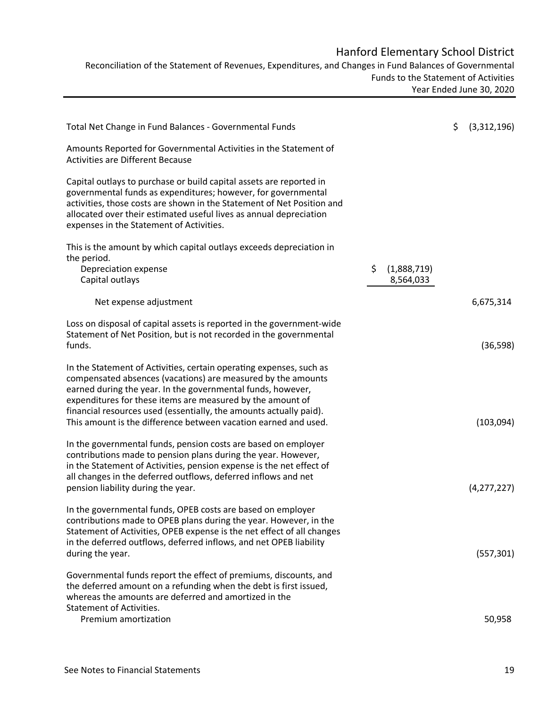Reconciliation of the Statement of Revenues, Expenditures, and Changes in Fund Balances of Governmental Funds to the Statement of Activities Year Ended June 30, 2020

| Total Net Change in Fund Balances - Governmental Funds                                                                                                                                                                                                                                                                                                                                                    |    |                          | \$ | (3,312,196)   |
|-----------------------------------------------------------------------------------------------------------------------------------------------------------------------------------------------------------------------------------------------------------------------------------------------------------------------------------------------------------------------------------------------------------|----|--------------------------|----|---------------|
| Amounts Reported for Governmental Activities in the Statement of<br><b>Activities are Different Because</b>                                                                                                                                                                                                                                                                                               |    |                          |    |               |
| Capital outlays to purchase or build capital assets are reported in<br>governmental funds as expenditures; however, for governmental<br>activities, those costs are shown in the Statement of Net Position and<br>allocated over their estimated useful lives as annual depreciation<br>expenses in the Statement of Activities.                                                                          |    |                          |    |               |
| This is the amount by which capital outlays exceeds depreciation in<br>the period.<br>Depreciation expense<br>Capital outlays                                                                                                                                                                                                                                                                             | \$ | (1,888,719)<br>8,564,033 |    |               |
| Net expense adjustment                                                                                                                                                                                                                                                                                                                                                                                    |    |                          |    | 6,675,314     |
| Loss on disposal of capital assets is reported in the government-wide<br>Statement of Net Position, but is not recorded in the governmental<br>funds.                                                                                                                                                                                                                                                     |    |                          |    | (36, 598)     |
| In the Statement of Activities, certain operating expenses, such as<br>compensated absences (vacations) are measured by the amounts<br>earned during the year. In the governmental funds, however,<br>expenditures for these items are measured by the amount of<br>financial resources used (essentially, the amounts actually paid).<br>This amount is the difference between vacation earned and used. |    |                          |    | (103,094)     |
| In the governmental funds, pension costs are based on employer<br>contributions made to pension plans during the year. However,<br>in the Statement of Activities, pension expense is the net effect of<br>all changes in the deferred outflows, deferred inflows and net<br>pension liability during the year.                                                                                           |    |                          |    | (4, 277, 227) |
| In the governmental funds, OPEB costs are based on employer<br>contributions made to OPEB plans during the year. However, in the<br>Statement of Activities, OPEB expense is the net effect of all changes<br>in the deferred outflows, deferred inflows, and net OPEB liability<br>during the year.                                                                                                      |    |                          |    | (557, 301)    |
| Governmental funds report the effect of premiums, discounts, and<br>the deferred amount on a refunding when the debt is first issued,<br>whereas the amounts are deferred and amortized in the<br><b>Statement of Activities.</b>                                                                                                                                                                         |    |                          |    |               |
| Premium amortization                                                                                                                                                                                                                                                                                                                                                                                      |    |                          |    | 50,958        |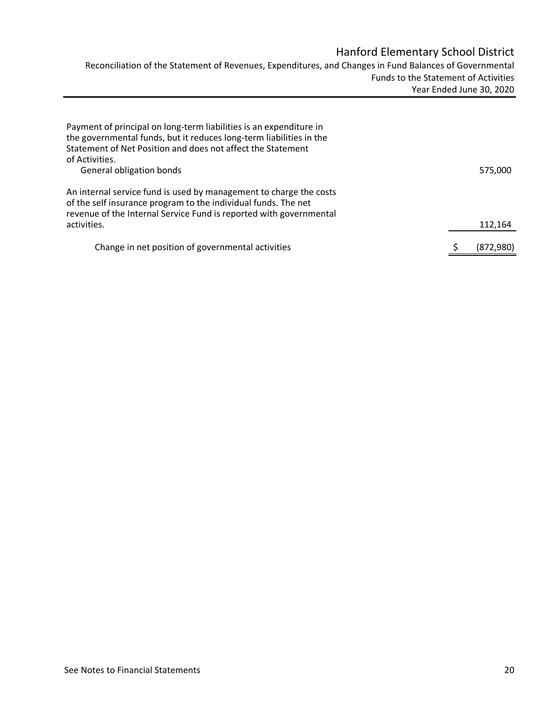Reconciliation of the Statement of Revenues, Expenditures, and Changes in Fund Balances of Governmental Funds to the Statement of Activities Year Ended June 30, 2020

| Payment of principal on long-term liabilities is an expenditure in<br>the governmental funds, but it reduces long-term liabilities in the<br>Statement of Net Position and does not affect the Statement<br>of Activities. |           |
|----------------------------------------------------------------------------------------------------------------------------------------------------------------------------------------------------------------------------|-----------|
| General obligation bonds                                                                                                                                                                                                   | 575.000   |
| An internal service fund is used by management to charge the costs<br>of the self insurance program to the individual funds. The net<br>revenue of the Internal Service Fund is reported with governmental                 |           |
| activities.                                                                                                                                                                                                                | 112,164   |
| Change in net position of governmental activities                                                                                                                                                                          | (872,980) |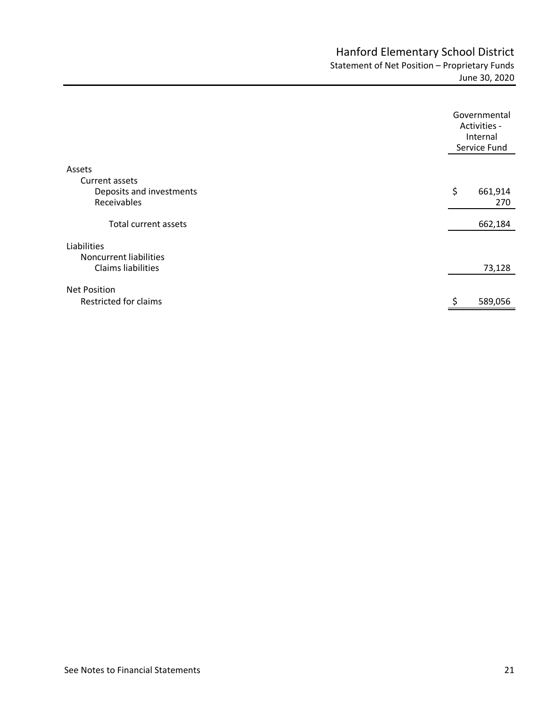|                               | Governmental<br>Activities -<br>Internal<br>Service Fund |
|-------------------------------|----------------------------------------------------------|
| Assets                        |                                                          |
| Current assets                |                                                          |
| Deposits and investments      | \$<br>661,914                                            |
| Receivables                   | 270                                                      |
| <b>Total current assets</b>   | 662,184                                                  |
|                               |                                                          |
| Liabilities                   |                                                          |
| <b>Noncurrent liabilities</b> |                                                          |
| <b>Claims liabilities</b>     | 73,128                                                   |
| <b>Net Position</b>           |                                                          |
| Restricted for claims         |                                                          |
|                               | 589,056                                                  |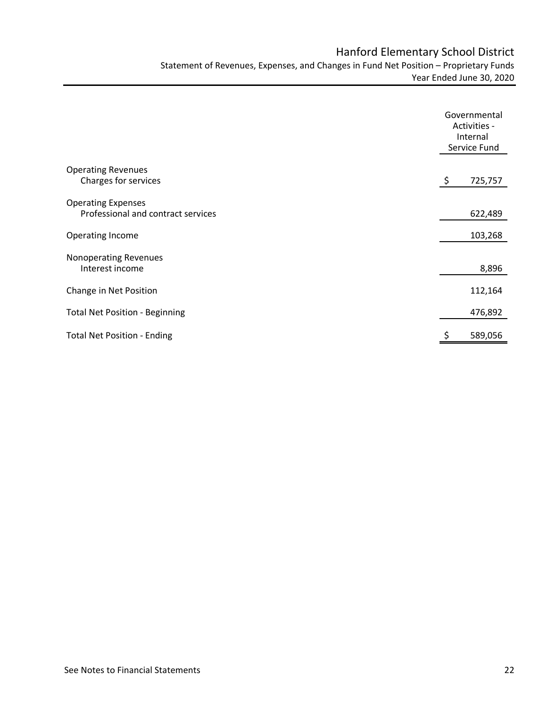Statement of Revenues, Expenses, and Changes in Fund Net Position – Proprietary Funds Year Ended June 30, 2020

|                                                   | Governmental<br>Activities -<br>Internal<br>Service Fund |  |
|---------------------------------------------------|----------------------------------------------------------|--|
| <b>Operating Revenues</b><br>Charges for services | 725,757                                                  |  |
|                                                   | \$                                                       |  |
| <b>Operating Expenses</b>                         |                                                          |  |
| Professional and contract services                | 622,489                                                  |  |
|                                                   |                                                          |  |
| Operating Income                                  | 103,268                                                  |  |
| <b>Nonoperating Revenues</b>                      |                                                          |  |
| Interest income                                   | 8,896                                                    |  |
|                                                   |                                                          |  |
| Change in Net Position                            | 112,164                                                  |  |
| <b>Total Net Position - Beginning</b>             | 476,892                                                  |  |
|                                                   |                                                          |  |
| <b>Total Net Position - Ending</b>                | \$<br>589,056                                            |  |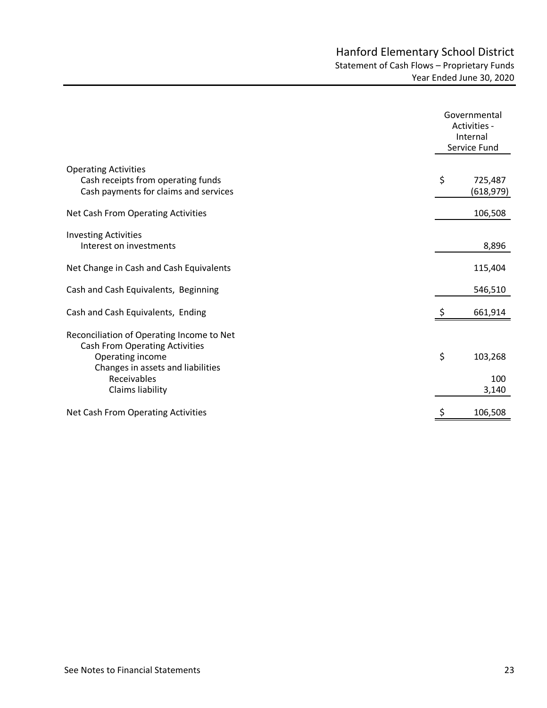|                                                                                                                                                                                | Governmental<br>Activities -<br>Internal<br>Service Fund |                         |
|--------------------------------------------------------------------------------------------------------------------------------------------------------------------------------|----------------------------------------------------------|-------------------------|
| <b>Operating Activities</b><br>Cash receipts from operating funds<br>Cash payments for claims and services                                                                     | \$                                                       | 725,487<br>(618, 979)   |
| Net Cash From Operating Activities                                                                                                                                             |                                                          | 106,508                 |
| <b>Investing Activities</b><br>Interest on investments                                                                                                                         |                                                          | 8,896                   |
| Net Change in Cash and Cash Equivalents                                                                                                                                        |                                                          | 115,404                 |
| Cash and Cash Equivalents, Beginning                                                                                                                                           |                                                          | 546,510                 |
| Cash and Cash Equivalents, Ending                                                                                                                                              |                                                          | 661,914                 |
| Reconciliation of Operating Income to Net<br><b>Cash From Operating Activities</b><br>Operating income<br>Changes in assets and liabilities<br>Receivables<br>Claims liability | \$                                                       | 103,268<br>100<br>3,140 |
| Net Cash From Operating Activities                                                                                                                                             |                                                          | 106,508                 |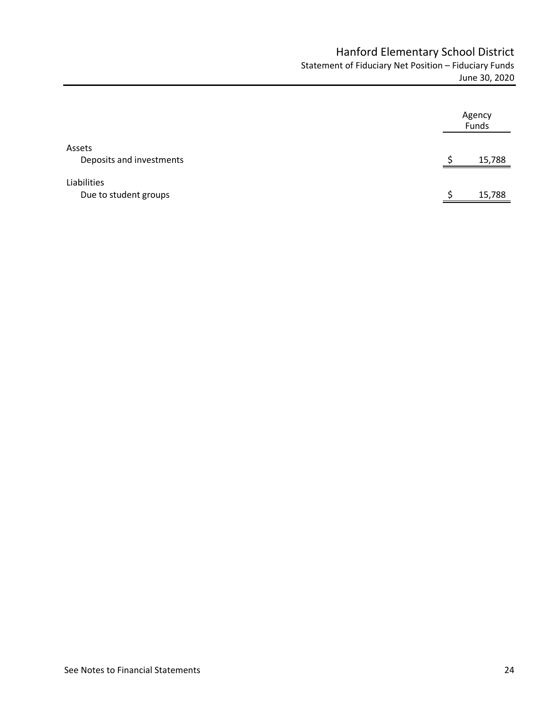Statement of Fiduciary Net Position – Fiduciary Funds June 30, 2020

|                                      | Agency<br>Funds |        |
|--------------------------------------|-----------------|--------|
| Assets<br>Deposits and investments   |                 | 15,788 |
| Liabilities<br>Due to student groups |                 | 15,788 |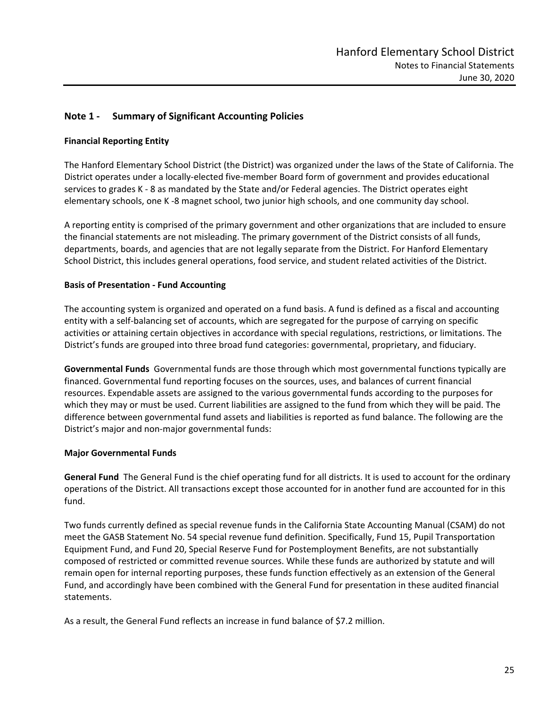### **Note 1 ‐ Summary of Significant Accounting Policies**

### **Financial Reporting Entity**

The Hanford Elementary School District (the District) was organized under the laws of the State of California. The District operates under a locally‐elected five‐member Board form of government and provides educational services to grades K - 8 as mandated by the State and/or Federal agencies. The District operates eight elementary schools, one K ‐8 magnet school, two junior high schools, and one community day school.

A reporting entity is comprised of the primary government and other organizations that are included to ensure the financial statements are not misleading. The primary government of the District consists of all funds, departments, boards, and agencies that are not legally separate from the District. For Hanford Elementary School District, this includes general operations, food service, and student related activities of the District.

### **Basis of Presentation ‐ Fund Accounting**

The accounting system is organized and operated on a fund basis. A fund is defined as a fiscal and accounting entity with a self‐balancing set of accounts, which are segregated for the purpose of carrying on specific activities or attaining certain objectives in accordance with special regulations, restrictions, or limitations. The District's funds are grouped into three broad fund categories: governmental, proprietary, and fiduciary.

**Governmental Funds** Governmental funds are those through which most governmental functions typically are financed. Governmental fund reporting focuses on the sources, uses, and balances of current financial resources. Expendable assets are assigned to the various governmental funds according to the purposes for which they may or must be used. Current liabilities are assigned to the fund from which they will be paid. The difference between governmental fund assets and liabilities is reported as fund balance. The following are the District's major and non‐major governmental funds:

### **Major Governmental Funds**

**General Fund** The General Fund is the chief operating fund for all districts. It is used to account for the ordinary operations of the District. All transactions except those accounted for in another fund are accounted for in this fund.

Two funds currently defined as special revenue funds in the California State Accounting Manual (CSAM) do not meet the GASB Statement No. 54 special revenue fund definition. Specifically, Fund 15, Pupil Transportation Equipment Fund, and Fund 20, Special Reserve Fund for Postemployment Benefits, are not substantially composed of restricted or committed revenue sources. While these funds are authorized by statute and will remain open for internal reporting purposes, these funds function effectively as an extension of the General Fund, and accordingly have been combined with the General Fund for presentation in these audited financial statements.

As a result, the General Fund reflects an increase in fund balance of \$7.2 million.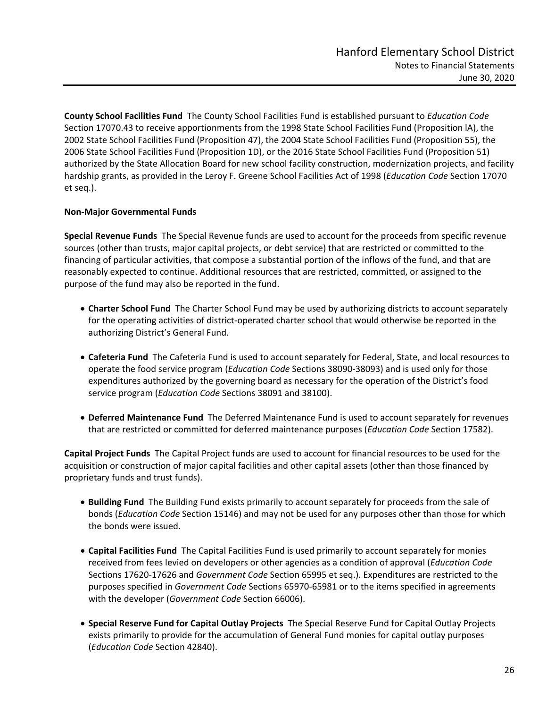**County School Facilities Fund** The County School Facilities Fund is established pursuant to *Education Code*  Section 17070.43 to receive apportionments from the 1998 State School Facilities Fund (Proposition lA), the 2002 State School Facilities Fund (Proposition 47), the 2004 State School Facilities Fund (Proposition 55), the 2006 State School Facilities Fund (Proposition 1D), or the 2016 State School Facilities Fund (Proposition 51) authorized by the State Allocation Board for new school facility construction, modernization projects, and facility hardship grants, as provided in the Leroy F. Greene School Facilities Act of 1998 (*Education Code* Section 17070 et seq.).

### **Non‐Major Governmental Funds**

**Special Revenue Funds** The Special Revenue funds are used to account for the proceeds from specific revenue sources (other than trusts, major capital projects, or debt service) that are restricted or committed to the financing of particular activities, that compose a substantial portion of the inflows of the fund, and that are reasonably expected to continue. Additional resources that are restricted, committed, or assigned to the purpose of the fund may also be reported in the fund.

- **Charter School Fund** The Charter School Fund may be used by authorizing districts to account separately for the operating activities of district-operated charter school that would otherwise be reported in the authorizing District's General Fund.
- **Cafeteria Fund** The Cafeteria Fund is used to account separately for Federal, State, and local resources to operate the food service program (*Education Code* Sections 38090‐38093) and is used only for those expenditures authorized by the governing board as necessary for the operation of the District's food service program (*Education Code* Sections 38091 and 38100).
- **Deferred Maintenance Fund** The Deferred Maintenance Fund is used to account separately for revenues that are restricted or committed for deferred maintenance purposes (*Education Code* Section 17582).

**Capital Project Funds** The Capital Project funds are used to account for financial resources to be used for the acquisition or construction of major capital facilities and other capital assets (other than those financed by proprietary funds and trust funds).

- **Building Fund** The Building Fund exists primarily to account separately for proceeds from the sale of bonds (*Education Code* Section 15146) and may not be used for any purposes other than those for which the bonds were issued.
- **Capital Facilities Fund** The Capital Facilities Fund is used primarily to account separately for monies received from fees levied on developers or other agencies as a condition of approval (*Education Code*  Sections 17620‐17626 and *Government Code* Section 65995 et seq.). Expenditures are restricted to the purposes specified in *Government Code* Sections 65970‐65981 or to the items specified in agreements with the developer (*Government Code* Section 66006).
- **Special Reserve Fund for Capital Outlay Projects** The Special Reserve Fund for Capital Outlay Projects exists primarily to provide for the accumulation of General Fund monies for capital outlay purposes (*Education Code* Section 42840).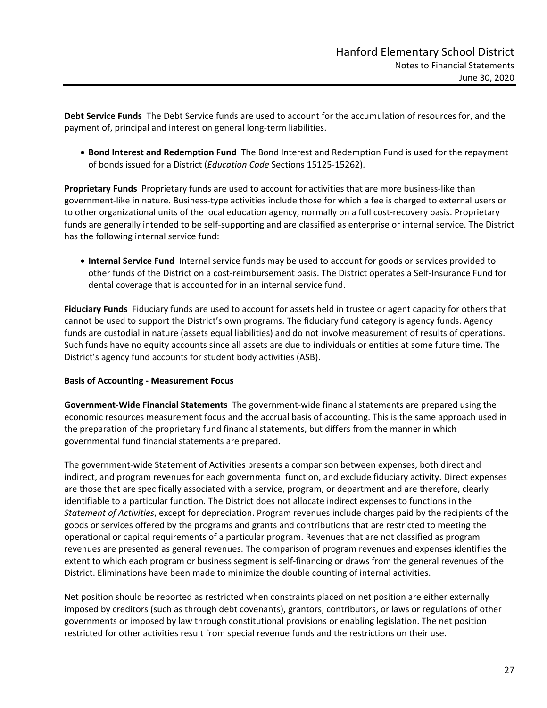**Debt Service Funds** The Debt Service funds are used to account for the accumulation of resources for, and the payment of, principal and interest on general long-term liabilities.

 **Bond Interest and Redemption Fund** The Bond Interest and Redemption Fund is used for the repayment of bonds issued for a District (*Education Code* Sections 15125‐15262).

**Proprietary Funds** Proprietary funds are used to account for activities that are more business‐like than government‐like in nature. Business‐type activities include those for which a fee is charged to external users or to other organizational units of the local education agency, normally on a full cost-recovery basis. Proprietary funds are generally intended to be self-supporting and are classified as enterprise or internal service. The District has the following internal service fund:

 **Internal Service Fund** Internal service funds may be used to account for goods or services provided to other funds of the District on a cost‐reimbursement basis. The District operates a Self‐Insurance Fund for dental coverage that is accounted for in an internal service fund.

**Fiduciary Funds** Fiduciary funds are used to account for assets held in trustee or agent capacity for others that cannot be used to support the District's own programs. The fiduciary fund category is agency funds. Agency funds are custodial in nature (assets equal liabilities) and do not involve measurement of results of operations. Such funds have no equity accounts since all assets are due to individuals or entities at some future time. The District's agency fund accounts for student body activities (ASB).

### **Basis of Accounting ‐ Measurement Focus**

**Government‐Wide Financial Statements** The government‐wide financial statements are prepared using the economic resources measurement focus and the accrual basis of accounting. This is the same approach used in the preparation of the proprietary fund financial statements, but differs from the manner in which governmental fund financial statements are prepared.

The government-wide Statement of Activities presents a comparison between expenses, both direct and indirect, and program revenues for each governmental function, and exclude fiduciary activity. Direct expenses are those that are specifically associated with a service, program, or department and are therefore, clearly identifiable to a particular function. The District does not allocate indirect expenses to functions in the *Statement of Activities*, except for depreciation. Program revenues include charges paid by the recipients of the goods or services offered by the programs and grants and contributions that are restricted to meeting the operational or capital requirements of a particular program. Revenues that are not classified as program revenues are presented as general revenues. The comparison of program revenues and expenses identifies the extent to which each program or business segment is self-financing or draws from the general revenues of the District. Eliminations have been made to minimize the double counting of internal activities.

Net position should be reported as restricted when constraints placed on net position are either externally imposed by creditors (such as through debt covenants), grantors, contributors, or laws or regulations of other governments or imposed by law through constitutional provisions or enabling legislation. The net position restricted for other activities result from special revenue funds and the restrictions on their use.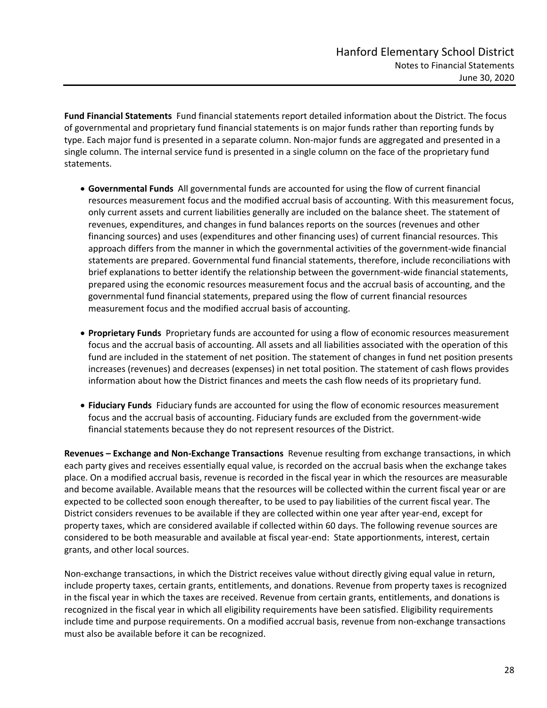**Fund Financial Statements** Fund financial statements report detailed information about the District. The focus of governmental and proprietary fund financial statements is on major funds rather than reporting funds by type. Each major fund is presented in a separate column. Non‐major funds are aggregated and presented in a single column. The internal service fund is presented in a single column on the face of the proprietary fund statements.

- **Governmental Funds** All governmental funds are accounted for using the flow of current financial resources measurement focus and the modified accrual basis of accounting. With this measurement focus, only current assets and current liabilities generally are included on the balance sheet. The statement of revenues, expenditures, and changes in fund balances reports on the sources (revenues and other financing sources) and uses (expenditures and other financing uses) of current financial resources. This approach differs from the manner in which the governmental activities of the government‐wide financial statements are prepared. Governmental fund financial statements, therefore, include reconciliations with brief explanations to better identify the relationship between the government-wide financial statements, prepared using the economic resources measurement focus and the accrual basis of accounting, and the governmental fund financial statements, prepared using the flow of current financial resources measurement focus and the modified accrual basis of accounting.
- **Proprietary Funds** Proprietary funds are accounted for using a flow of economic resources measurement focus and the accrual basis of accounting. All assets and all liabilities associated with the operation of this fund are included in the statement of net position. The statement of changes in fund net position presents increases (revenues) and decreases (expenses) in net total position. The statement of cash flows provides information about how the District finances and meets the cash flow needs of its proprietary fund.
- **Fiduciary Funds** Fiduciary funds are accounted for using the flow of economic resources measurement focus and the accrual basis of accounting. Fiduciary funds are excluded from the government‐wide financial statements because they do not represent resources of the District.

**Revenues – Exchange and Non‐Exchange Transactions** Revenue resulting from exchange transactions, in which each party gives and receives essentially equal value, is recorded on the accrual basis when the exchange takes place. On a modified accrual basis, revenue is recorded in the fiscal year in which the resources are measurable and become available. Available means that the resources will be collected within the current fiscal year or are expected to be collected soon enough thereafter, to be used to pay liabilities of the current fiscal year. The District considers revenues to be available if they are collected within one year after year‐end, except for property taxes, which are considered available if collected within 60 days. The following revenue sources are considered to be both measurable and available at fiscal year‐end: State apportionments, interest, certain grants, and other local sources.

Non‐exchange transactions, in which the District receives value without directly giving equal value in return, include property taxes, certain grants, entitlements, and donations. Revenue from property taxes is recognized in the fiscal year in which the taxes are received. Revenue from certain grants, entitlements, and donations is recognized in the fiscal year in which all eligibility requirements have been satisfied. Eligibility requirements include time and purpose requirements. On a modified accrual basis, revenue from non-exchange transactions must also be available before it can be recognized.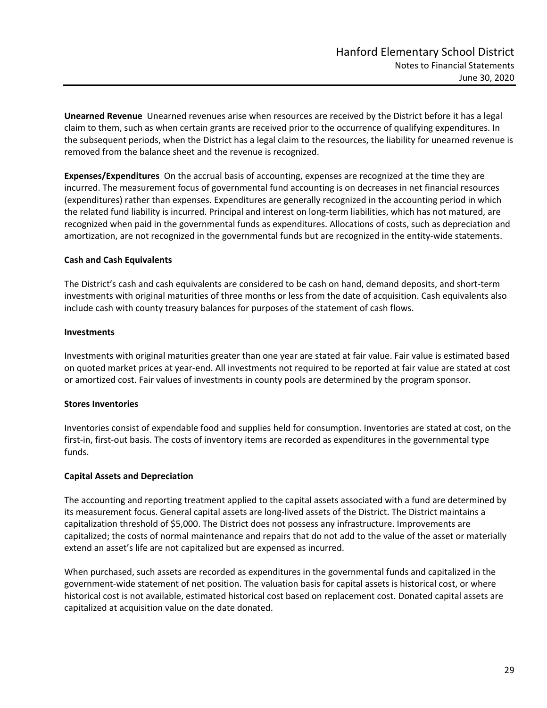**Unearned Revenue** Unearned revenues arise when resources are received by the District before it has a legal claim to them, such as when certain grants are received prior to the occurrence of qualifying expenditures. In the subsequent periods, when the District has a legal claim to the resources, the liability for unearned revenue is removed from the balance sheet and the revenue is recognized.

**Expenses/Expenditures** On the accrual basis of accounting, expenses are recognized at the time they are incurred. The measurement focus of governmental fund accounting is on decreases in net financial resources (expenditures) rather than expenses. Expenditures are generally recognized in the accounting period in which the related fund liability is incurred. Principal and interest on long‐term liabilities, which has not matured, are recognized when paid in the governmental funds as expenditures. Allocations of costs, such as depreciation and amortization, are not recognized in the governmental funds but are recognized in the entity-wide statements.

### **Cash and Cash Equivalents**

The District's cash and cash equivalents are considered to be cash on hand, demand deposits, and short‐term investments with original maturities of three months or less from the date of acquisition. Cash equivalents also include cash with county treasury balances for purposes of the statement of cash flows.

### **Investments**

Investments with original maturities greater than one year are stated at fair value. Fair value is estimated based on quoted market prices at year‐end. All investments not required to be reported at fair value are stated at cost or amortized cost. Fair values of investments in county pools are determined by the program sponsor.

### **Stores Inventories**

Inventories consist of expendable food and supplies held for consumption. Inventories are stated at cost, on the first-in, first-out basis. The costs of inventory items are recorded as expenditures in the governmental type funds.

### **Capital Assets and Depreciation**

The accounting and reporting treatment applied to the capital assets associated with a fund are determined by its measurement focus. General capital assets are long‐lived assets of the District. The District maintains a capitalization threshold of \$5,000. The District does not possess any infrastructure. Improvements are capitalized; the costs of normal maintenance and repairs that do not add to the value of the asset or materially extend an asset's life are not capitalized but are expensed as incurred.

When purchased, such assets are recorded as expenditures in the governmental funds and capitalized in the government‐wide statement of net position. The valuation basis for capital assets is historical cost, or where historical cost is not available, estimated historical cost based on replacement cost. Donated capital assets are capitalized at acquisition value on the date donated.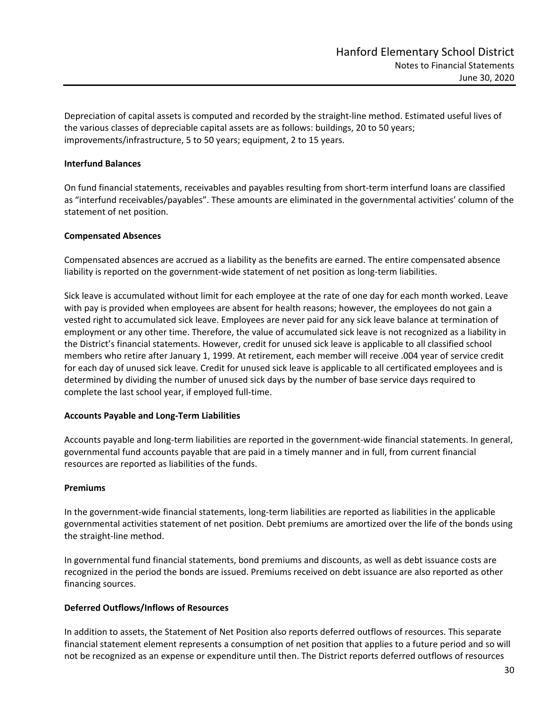Depreciation of capital assets is computed and recorded by the straight‐line method. Estimated useful lives of the various classes of depreciable capital assets are as follows: buildings, 20 to 50 years; improvements/infrastructure, 5 to 50 years; equipment, 2 to 15 years.

### **Interfund Balances**

On fund financial statements, receivables and payables resulting from short‐term interfund loans are classified as "interfund receivables/payables". These amounts are eliminated in the governmental activities' column of the statement of net position.

### **Compensated Absences**

Compensated absences are accrued as a liability as the benefits are earned. The entire compensated absence liability is reported on the government-wide statement of net position as long-term liabilities.

Sick leave is accumulated without limit for each employee at the rate of one day for each month worked. Leave with pay is provided when employees are absent for health reasons; however, the employees do not gain a vested right to accumulated sick leave. Employees are never paid for any sick leave balance at termination of employment or any other time. Therefore, the value of accumulated sick leave is not recognized as a liability in the District's financial statements. However, credit for unused sick leave is applicable to all classified school members who retire after January 1, 1999. At retirement, each member will receive .004 year of service credit for each day of unused sick leave. Credit for unused sick leave is applicable to all certificated employees and is determined by dividing the number of unused sick days by the number of base service days required to complete the last school year, if employed full‐time.

### **Accounts Payable and Long‐Term Liabilities**

Accounts payable and long‐term liabilities are reported in the government‐wide financial statements. In general, governmental fund accounts payable that are paid in a timely manner and in full, from current financial resources are reported as liabilities of the funds.

### **Premiums**

In the government-wide financial statements, long-term liabilities are reported as liabilities in the applicable governmental activities statement of net position. Debt premiums are amortized over the life of the bonds using the straight‐line method.

In governmental fund financial statements, bond premiums and discounts, as well as debt issuance costs are recognized in the period the bonds are issued. Premiums received on debt issuance are also reported as other financing sources.

### **Deferred Outflows/Inflows of Resources**

In addition to assets, the Statement of Net Position also reports deferred outflows of resources. This separate financial statement element represents a consumption of net position that applies to a future period and so will not be recognized as an expense or expenditure until then. The District reports deferred outflows of resources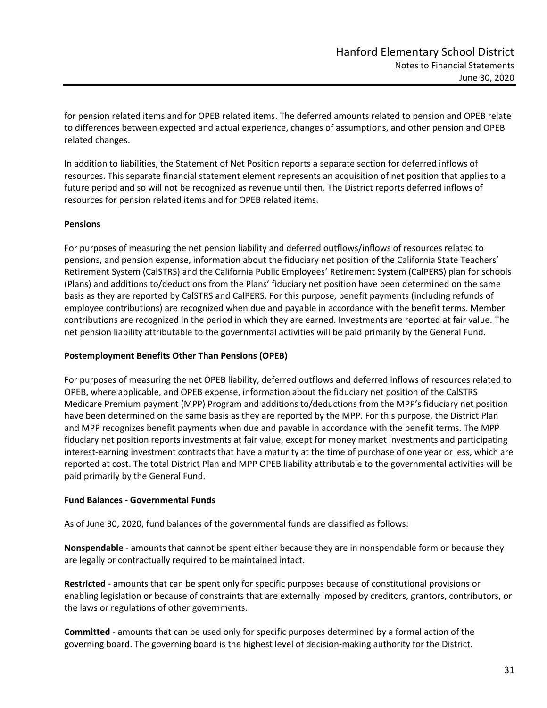for pension related items and for OPEB related items. The deferred amounts related to pension and OPEB relate to differences between expected and actual experience, changes of assumptions, and other pension and OPEB related changes.

In addition to liabilities, the Statement of Net Position reports a separate section for deferred inflows of resources. This separate financial statement element represents an acquisition of net position that applies to a future period and so will not be recognized as revenue until then. The District reports deferred inflows of resources for pension related items and for OPEB related items.

### **Pensions**

For purposes of measuring the net pension liability and deferred outflows/inflows of resources related to pensions, and pension expense, information about the fiduciary net position of the California State Teachers' Retirement System (CalSTRS) and the California Public Employees' Retirement System (CalPERS) plan for schools (Plans) and additions to/deductions from the Plans' fiduciary net position have been determined on the same basis as they are reported by CalSTRS and CalPERS. For this purpose, benefit payments (including refunds of employee contributions) are recognized when due and payable in accordance with the benefit terms. Member contributions are recognized in the period in which they are earned. Investments are reported at fair value. The net pension liability attributable to the governmental activities will be paid primarily by the General Fund.

### **Postemployment Benefits Other Than Pensions (OPEB)**

For purposes of measuring the net OPEB liability, deferred outflows and deferred inflows of resources related to OPEB, where applicable, and OPEB expense, information about the fiduciary net position of the CalSTRS Medicare Premium payment (MPP) Program and additions to/deductions from the MPP's fiduciary net position have been determined on the same basis as they are reported by the MPP. For this purpose, the District Plan and MPP recognizes benefit payments when due and payable in accordance with the benefit terms. The MPP fiduciary net position reports investments at fair value, except for money market investments and participating interest-earning investment contracts that have a maturity at the time of purchase of one year or less, which are reported at cost. The total District Plan and MPP OPEB liability attributable to the governmental activities will be paid primarily by the General Fund.

### **Fund Balances ‐ Governmental Funds**

As of June 30, 2020, fund balances of the governmental funds are classified as follows:

**Nonspendable** ‐ amounts that cannot be spent either because they are in nonspendable form or because they are legally or contractually required to be maintained intact.

**Restricted** ‐ amounts that can be spent only for specific purposes because of constitutional provisions or enabling legislation or because of constraints that are externally imposed by creditors, grantors, contributors, or the laws or regulations of other governments.

**Committed** ‐ amounts that can be used only for specific purposes determined by a formal action of the governing board. The governing board is the highest level of decision-making authority for the District.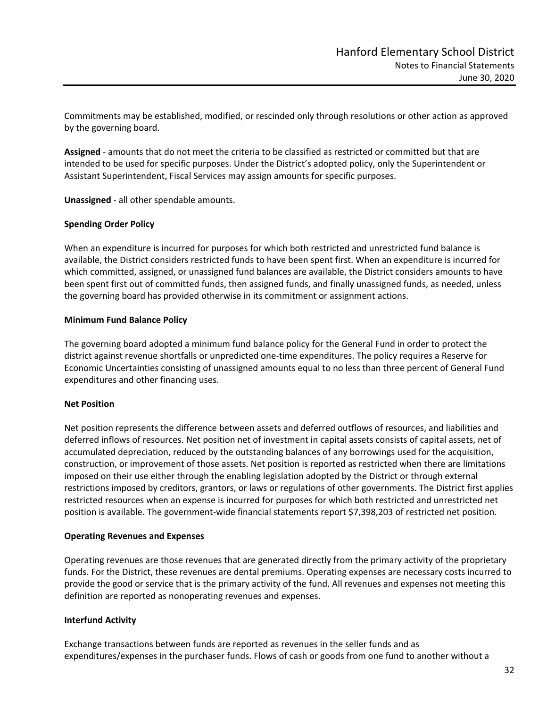Commitments may be established, modified, or rescinded only through resolutions or other action as approved by the governing board.

**Assigned** ‐ amounts that do not meet the criteria to be classified as restricted or committed but that are intended to be used for specific purposes. Under the District's adopted policy, only the Superintendent or Assistant Superintendent, Fiscal Services may assign amounts for specific purposes.

**Unassigned** ‐ all other spendable amounts.

### **Spending Order Policy**

When an expenditure is incurred for purposes for which both restricted and unrestricted fund balance is available, the District considers restricted funds to have been spent first. When an expenditure is incurred for which committed, assigned, or unassigned fund balances are available, the District considers amounts to have been spent first out of committed funds, then assigned funds, and finally unassigned funds, as needed, unless the governing board has provided otherwise in its commitment or assignment actions.

### **Minimum Fund Balance Policy**

The governing board adopted a minimum fund balance policy for the General Fund in order to protect the district against revenue shortfalls or unpredicted one‐time expenditures. The policy requires a Reserve for Economic Uncertainties consisting of unassigned amounts equal to no less than three percent of General Fund expenditures and other financing uses.

### **Net Position**

Net position represents the difference between assets and deferred outflows of resources, and liabilities and deferred inflows of resources. Net position net of investment in capital assets consists of capital assets, net of accumulated depreciation, reduced by the outstanding balances of any borrowings used for the acquisition, construction, or improvement of those assets. Net position is reported as restricted when there are limitations imposed on their use either through the enabling legislation adopted by the District or through external restrictions imposed by creditors, grantors, or laws or regulations of other governments. The District first applies restricted resources when an expense is incurred for purposes for which both restricted and unrestricted net position is available. The government-wide financial statements report \$7,398,203 of restricted net position.

#### **Operating Revenues and Expenses**

Operating revenues are those revenues that are generated directly from the primary activity of the proprietary funds. For the District, these revenues are dental premiums. Operating expenses are necessary costs incurred to provide the good or service that is the primary activity of the fund. All revenues and expenses not meeting this definition are reported as nonoperating revenues and expenses.

### **Interfund Activity**

Exchange transactions between funds are reported as revenues in the seller funds and as expenditures/expenses in the purchaser funds. Flows of cash or goods from one fund to another without a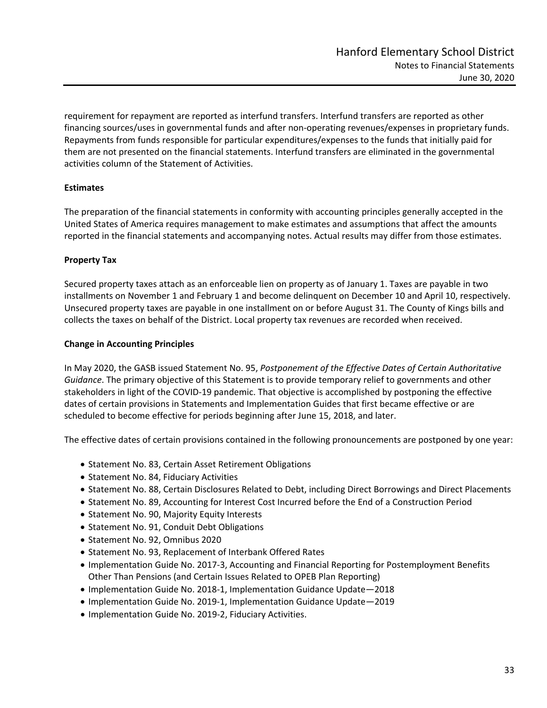requirement for repayment are reported as interfund transfers. Interfund transfers are reported as other financing sources/uses in governmental funds and after non-operating revenues/expenses in proprietary funds. Repayments from funds responsible for particular expenditures/expenses to the funds that initially paid for them are not presented on the financial statements. Interfund transfers are eliminated in the governmental activities column of the Statement of Activities.

### **Estimates**

The preparation of the financial statements in conformity with accounting principles generally accepted in the United States of America requires management to make estimates and assumptions that affect the amounts reported in the financial statements and accompanying notes. Actual results may differ from those estimates.

### **Property Tax**

Secured property taxes attach as an enforceable lien on property as of January 1. Taxes are payable in two installments on November 1 and February 1 and become delinquent on December 10 and April 10, respectively. Unsecured property taxes are payable in one installment on or before August 31. The County of Kings bills and collects the taxes on behalf of the District. Local property tax revenues are recorded when received.

### **Change in Accounting Principles**

In May 2020, the GASB issued Statement No. 95, *Postponement of the Effective Dates of Certain Authoritative Guidance*. The primary objective of this Statement is to provide temporary relief to governments and other stakeholders in light of the COVID‐19 pandemic. That objective is accomplished by postponing the effective dates of certain provisions in Statements and Implementation Guides that first became effective or are scheduled to become effective for periods beginning after June 15, 2018, and later.

The effective dates of certain provisions contained in the following pronouncements are postponed by one year:

- Statement No. 83, Certain Asset Retirement Obligations
- Statement No. 84, Fiduciary Activities
- Statement No. 88, Certain Disclosures Related to Debt, including Direct Borrowings and Direct Placements
- Statement No. 89, Accounting for Interest Cost Incurred before the End of a Construction Period
- Statement No. 90, Majority Equity Interests
- Statement No. 91, Conduit Debt Obligations
- Statement No. 92, Omnibus 2020
- Statement No. 93, Replacement of Interbank Offered Rates
- Implementation Guide No. 2017‐3, Accounting and Financial Reporting for Postemployment Benefits Other Than Pensions (and Certain Issues Related to OPEB Plan Reporting)
- Implementation Guide No. 2018-1, Implementation Guidance Update-2018
- Implementation Guide No. 2019-1, Implementation Guidance Update-2019
- Implementation Guide No. 2019-2, Fiduciary Activities.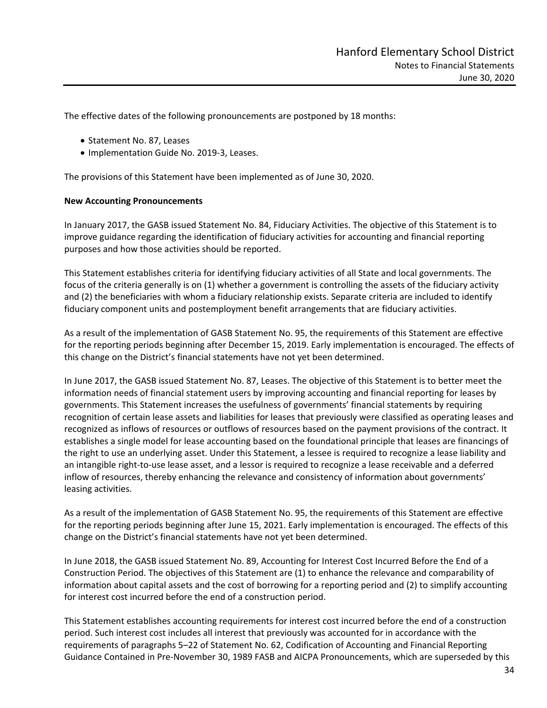The effective dates of the following pronouncements are postponed by 18 months:

- Statement No. 87, Leases
- Implementation Guide No. 2019-3, Leases.

The provisions of this Statement have been implemented as of June 30, 2020.

#### **New Accounting Pronouncements**

In January 2017, the GASB issued Statement No. 84, Fiduciary Activities. The objective of this Statement is to improve guidance regarding the identification of fiduciary activities for accounting and financial reporting purposes and how those activities should be reported.

This Statement establishes criteria for identifying fiduciary activities of all State and local governments. The focus of the criteria generally is on (1) whether a government is controlling the assets of the fiduciary activity and (2) the beneficiaries with whom a fiduciary relationship exists. Separate criteria are included to identify fiduciary component units and postemployment benefit arrangements that are fiduciary activities.

As a result of the implementation of GASB Statement No. 95, the requirements of this Statement are effective for the reporting periods beginning after December 15, 2019. Early implementation is encouraged. The effects of this change on the District's financial statements have not yet been determined.

In June 2017, the GASB issued Statement No. 87, Leases. The objective of this Statement is to better meet the information needs of financial statement users by improving accounting and financial reporting for leases by governments. This Statement increases the usefulness of governments' financial statements by requiring recognition of certain lease assets and liabilities for leases that previously were classified as operating leases and recognized as inflows of resources or outflows of resources based on the payment provisions of the contract. It establishes a single model for lease accounting based on the foundational principle that leases are financings of the right to use an underlying asset. Under this Statement, a lessee is required to recognize a lease liability and an intangible right‐to‐use lease asset, and a lessor is required to recognize a lease receivable and a deferred inflow of resources, thereby enhancing the relevance and consistency of information about governments' leasing activities.

As a result of the implementation of GASB Statement No. 95, the requirements of this Statement are effective for the reporting periods beginning after June 15, 2021. Early implementation is encouraged. The effects of this change on the District's financial statements have not yet been determined.

In June 2018, the GASB issued Statement No. 89, Accounting for Interest Cost Incurred Before the End of a Construction Period. The objectives of this Statement are (1) to enhance the relevance and comparability of information about capital assets and the cost of borrowing for a reporting period and (2) to simplify accounting for interest cost incurred before the end of a construction period.

This Statement establishes accounting requirements for interest cost incurred before the end of a construction period. Such interest cost includes all interest that previously was accounted for in accordance with the requirements of paragraphs 5–22 of Statement No. 62, Codification of Accounting and Financial Reporting Guidance Contained in Pre‐November 30, 1989 FASB and AICPA Pronouncements, which are superseded by this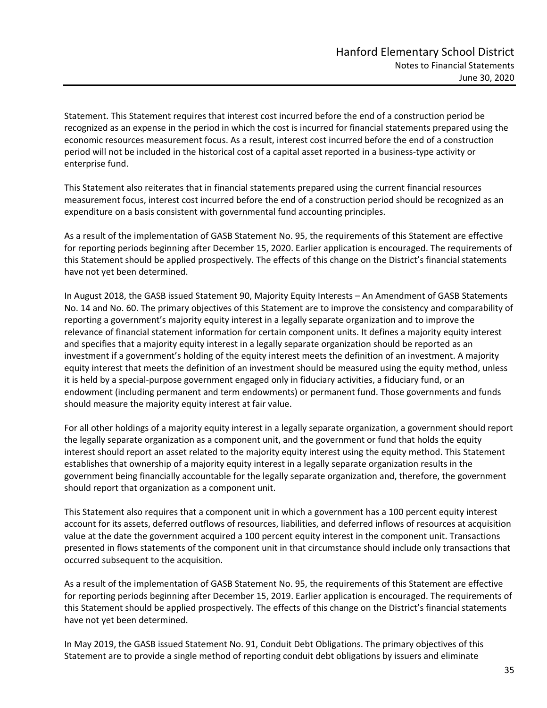Statement. This Statement requires that interest cost incurred before the end of a construction period be recognized as an expense in the period in which the cost is incurred for financial statements prepared using the economic resources measurement focus. As a result, interest cost incurred before the end of a construction period will not be included in the historical cost of a capital asset reported in a business‐type activity or enterprise fund.

This Statement also reiterates that in financial statements prepared using the current financial resources measurement focus, interest cost incurred before the end of a construction period should be recognized as an expenditure on a basis consistent with governmental fund accounting principles.

As a result of the implementation of GASB Statement No. 95, the requirements of this Statement are effective for reporting periods beginning after December 15, 2020. Earlier application is encouraged. The requirements of this Statement should be applied prospectively. The effects of this change on the District's financial statements have not yet been determined.

In August 2018, the GASB issued Statement 90, Majority Equity Interests – An Amendment of GASB Statements No. 14 and No. 60. The primary objectives of this Statement are to improve the consistency and comparability of reporting a government's majority equity interest in a legally separate organization and to improve the relevance of financial statement information for certain component units. It defines a majority equity interest and specifies that a majority equity interest in a legally separate organization should be reported as an investment if a government's holding of the equity interest meets the definition of an investment. A majority equity interest that meets the definition of an investment should be measured using the equity method, unless it is held by a special‐purpose government engaged only in fiduciary activities, a fiduciary fund, or an endowment (including permanent and term endowments) or permanent fund. Those governments and funds should measure the majority equity interest at fair value.

For all other holdings of a majority equity interest in a legally separate organization, a government should report the legally separate organization as a component unit, and the government or fund that holds the equity interest should report an asset related to the majority equity interest using the equity method. This Statement establishes that ownership of a majority equity interest in a legally separate organization results in the government being financially accountable for the legally separate organization and, therefore, the government should report that organization as a component unit.

This Statement also requires that a component unit in which a government has a 100 percent equity interest account for its assets, deferred outflows of resources, liabilities, and deferred inflows of resources at acquisition value at the date the government acquired a 100 percent equity interest in the component unit. Transactions presented in flows statements of the component unit in that circumstance should include only transactions that occurred subsequent to the acquisition.

As a result of the implementation of GASB Statement No. 95, the requirements of this Statement are effective for reporting periods beginning after December 15, 2019. Earlier application is encouraged. The requirements of this Statement should be applied prospectively. The effects of this change on the District's financial statements have not yet been determined.

In May 2019, the GASB issued Statement No. 91, Conduit Debt Obligations. The primary objectives of this Statement are to provide a single method of reporting conduit debt obligations by issuers and eliminate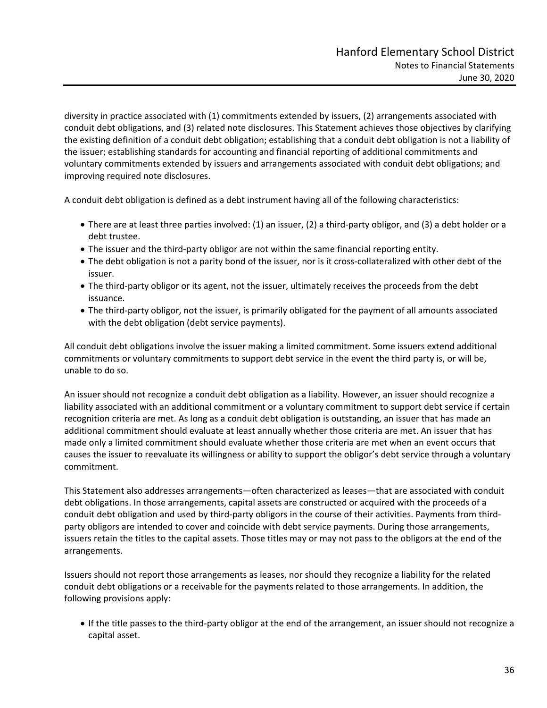diversity in practice associated with (1) commitments extended by issuers, (2) arrangements associated with conduit debt obligations, and (3) related note disclosures. This Statement achieves those objectives by clarifying the existing definition of a conduit debt obligation; establishing that a conduit debt obligation is not a liability of the issuer; establishing standards for accounting and financial reporting of additional commitments and voluntary commitments extended by issuers and arrangements associated with conduit debt obligations; and improving required note disclosures.

A conduit debt obligation is defined as a debt instrument having all of the following characteristics:

- There are at least three parties involved: (1) an issuer, (2) a third‐party obligor, and (3) a debt holder or a debt trustee.
- The issuer and the third-party obligor are not within the same financial reporting entity.
- The debt obligation is not a parity bond of the issuer, nor is it cross‐collateralized with other debt of the issuer.
- The third-party obligor or its agent, not the issuer, ultimately receives the proceeds from the debt issuance.
- The third-party obligor, not the issuer, is primarily obligated for the payment of all amounts associated with the debt obligation (debt service payments).

All conduit debt obligations involve the issuer making a limited commitment. Some issuers extend additional commitments or voluntary commitments to support debt service in the event the third party is, or will be, unable to do so.

An issuer should not recognize a conduit debt obligation as a liability. However, an issuer should recognize a liability associated with an additional commitment or a voluntary commitment to support debt service if certain recognition criteria are met. As long as a conduit debt obligation is outstanding, an issuer that has made an additional commitment should evaluate at least annually whether those criteria are met. An issuer that has made only a limited commitment should evaluate whether those criteria are met when an event occurs that causes the issuer to reevaluate its willingness or ability to support the obligor's debt service through a voluntary commitment.

This Statement also addresses arrangements—often characterized as leases—that are associated with conduit debt obligations. In those arrangements, capital assets are constructed or acquired with the proceeds of a conduit debt obligation and used by third‐party obligors in the course of their activities. Payments from third‐ party obligors are intended to cover and coincide with debt service payments. During those arrangements, issuers retain the titles to the capital assets. Those titles may or may not pass to the obligors at the end of the arrangements.

Issuers should not report those arrangements as leases, nor should they recognize a liability for the related conduit debt obligations or a receivable for the payments related to those arrangements. In addition, the following provisions apply:

■ If the title passes to the third-party obligor at the end of the arrangement, an issuer should not recognize a capital asset.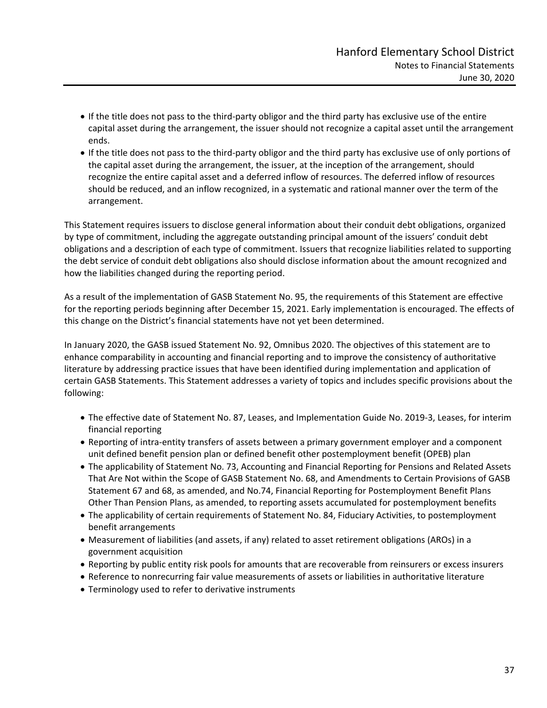- If the title does not pass to the third-party obligor and the third party has exclusive use of the entire capital asset during the arrangement, the issuer should not recognize a capital asset until the arrangement ends.
- If the title does not pass to the third-party obligor and the third party has exclusive use of only portions of the capital asset during the arrangement, the issuer, at the inception of the arrangement, should recognize the entire capital asset and a deferred inflow of resources. The deferred inflow of resources should be reduced, and an inflow recognized, in a systematic and rational manner over the term of the arrangement.

This Statement requires issuers to disclose general information about their conduit debt obligations, organized by type of commitment, including the aggregate outstanding principal amount of the issuers' conduit debt obligations and a description of each type of commitment. Issuers that recognize liabilities related to supporting the debt service of conduit debt obligations also should disclose information about the amount recognized and how the liabilities changed during the reporting period.

As a result of the implementation of GASB Statement No. 95, the requirements of this Statement are effective for the reporting periods beginning after December 15, 2021. Early implementation is encouraged. The effects of this change on the District's financial statements have not yet been determined.

In January 2020, the GASB issued Statement No. 92, Omnibus 2020. The objectives of this statement are to enhance comparability in accounting and financial reporting and to improve the consistency of authoritative literature by addressing practice issues that have been identified during implementation and application of certain GASB Statements. This Statement addresses a variety of topics and includes specific provisions about the following:

- The effective date of Statement No. 87, Leases, and Implementation Guide No. 2019‐3, Leases, for interim financial reporting
- Reporting of intra-entity transfers of assets between a primary government employer and a component unit defined benefit pension plan or defined benefit other postemployment benefit (OPEB) plan
- The applicability of Statement No. 73, Accounting and Financial Reporting for Pensions and Related Assets That Are Not within the Scope of GASB Statement No. 68, and Amendments to Certain Provisions of GASB Statement 67 and 68, as amended, and No.74, Financial Reporting for Postemployment Benefit Plans Other Than Pension Plans, as amended, to reporting assets accumulated for postemployment benefits
- The applicability of certain requirements of Statement No. 84, Fiduciary Activities, to postemployment benefit arrangements
- Measurement of liabilities (and assets, if any) related to asset retirement obligations (AROs) in a government acquisition
- Reporting by public entity risk pools for amounts that are recoverable from reinsurers or excess insurers
- Reference to nonrecurring fair value measurements of assets or liabilities in authoritative literature
- Terminology used to refer to derivative instruments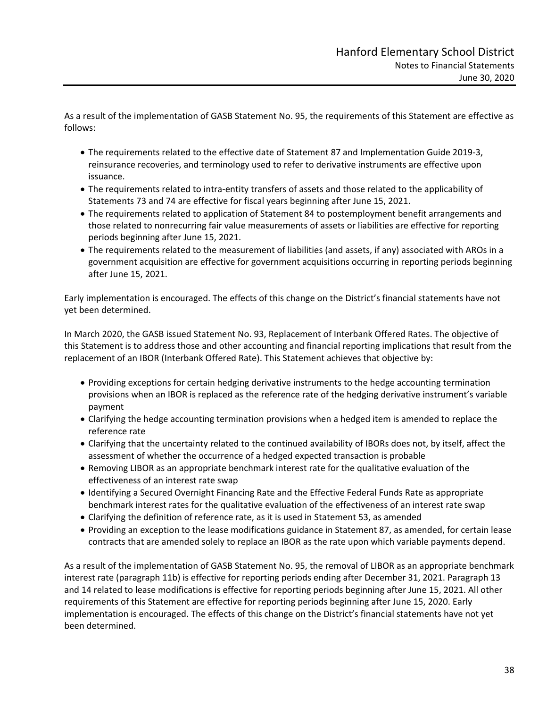As a result of the implementation of GASB Statement No. 95, the requirements of this Statement are effective as follows:

- The requirements related to the effective date of Statement 87 and Implementation Guide 2019‐3, reinsurance recoveries, and terminology used to refer to derivative instruments are effective upon issuance.
- The requirements related to intra‐entity transfers of assets and those related to the applicability of Statements 73 and 74 are effective for fiscal years beginning after June 15, 2021.
- The requirements related to application of Statement 84 to postemployment benefit arrangements and those related to nonrecurring fair value measurements of assets or liabilities are effective for reporting periods beginning after June 15, 2021.
- The requirements related to the measurement of liabilities (and assets, if any) associated with AROs in a government acquisition are effective for government acquisitions occurring in reporting periods beginning after June 15, 2021.

Early implementation is encouraged. The effects of this change on the District's financial statements have not yet been determined.

In March 2020, the GASB issued Statement No. 93, Replacement of Interbank Offered Rates. The objective of this Statement is to address those and other accounting and financial reporting implications that result from the replacement of an IBOR (Interbank Offered Rate). This Statement achieves that objective by:

- Providing exceptions for certain hedging derivative instruments to the hedge accounting termination provisions when an IBOR is replaced as the reference rate of the hedging derivative instrument's variable payment
- Clarifying the hedge accounting termination provisions when a hedged item is amended to replace the reference rate
- Clarifying that the uncertainty related to the continued availability of IBORs does not, by itself, affect the assessment of whether the occurrence of a hedged expected transaction is probable
- Removing LIBOR as an appropriate benchmark interest rate for the qualitative evaluation of the effectiveness of an interest rate swap
- Identifying a Secured Overnight Financing Rate and the Effective Federal Funds Rate as appropriate benchmark interest rates for the qualitative evaluation of the effectiveness of an interest rate swap
- Clarifying the definition of reference rate, as it is used in Statement 53, as amended
- Providing an exception to the lease modifications guidance in Statement 87, as amended, for certain lease contracts that are amended solely to replace an IBOR as the rate upon which variable payments depend.

As a result of the implementation of GASB Statement No. 95, the removal of LIBOR as an appropriate benchmark interest rate (paragraph 11b) is effective for reporting periods ending after December 31, 2021. Paragraph 13 and 14 related to lease modifications is effective for reporting periods beginning after June 15, 2021. All other requirements of this Statement are effective for reporting periods beginning after June 15, 2020. Early implementation is encouraged. The effects of this change on the District's financial statements have not yet been determined.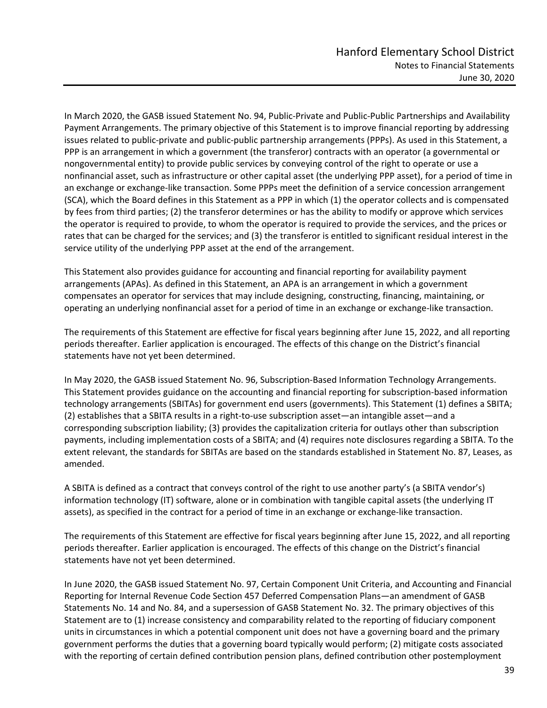In March 2020, the GASB issued Statement No. 94, Public‐Private and Public‐Public Partnerships and Availability Payment Arrangements. The primary objective of this Statement is to improve financial reporting by addressing issues related to public‐private and public‐public partnership arrangements (PPPs). As used in this Statement, a PPP is an arrangement in which a government (the transferor) contracts with an operator (a governmental or nongovernmental entity) to provide public services by conveying control of the right to operate or use a nonfinancial asset, such as infrastructure or other capital asset (the underlying PPP asset), for a period of time in an exchange or exchange‐like transaction. Some PPPs meet the definition of a service concession arrangement (SCA), which the Board defines in this Statement as a PPP in which (1) the operator collects and is compensated by fees from third parties; (2) the transferor determines or has the ability to modify or approve which services the operator is required to provide, to whom the operator is required to provide the services, and the prices or rates that can be charged for the services; and (3) the transferor is entitled to significant residual interest in the service utility of the underlying PPP asset at the end of the arrangement.

This Statement also provides guidance for accounting and financial reporting for availability payment arrangements (APAs). As defined in this Statement, an APA is an arrangement in which a government compensates an operator for services that may include designing, constructing, financing, maintaining, or operating an underlying nonfinancial asset for a period of time in an exchange or exchange‐like transaction.

The requirements of this Statement are effective for fiscal years beginning after June 15, 2022, and all reporting periods thereafter. Earlier application is encouraged. The effects of this change on the District's financial statements have not yet been determined.

In May 2020, the GASB issued Statement No. 96, Subscription‐Based Information Technology Arrangements. This Statement provides guidance on the accounting and financial reporting for subscription‐based information technology arrangements (SBITAs) for government end users (governments). This Statement (1) defines a SBITA; (2) establishes that a SBITA results in a right‐to‐use subscription asset—an intangible asset—and a corresponding subscription liability; (3) provides the capitalization criteria for outlays other than subscription payments, including implementation costs of a SBITA; and (4) requires note disclosures regarding a SBITA. To the extent relevant, the standards for SBITAs are based on the standards established in Statement No. 87, Leases, as amended.

A SBITA is defined as a contract that conveys control of the right to use another party's (a SBITA vendor's) information technology (IT) software, alone or in combination with tangible capital assets (the underlying IT assets), as specified in the contract for a period of time in an exchange or exchange‐like transaction.

The requirements of this Statement are effective for fiscal years beginning after June 15, 2022, and all reporting periods thereafter. Earlier application is encouraged. The effects of this change on the District's financial statements have not yet been determined.

In June 2020, the GASB issued Statement No. 97, Certain Component Unit Criteria, and Accounting and Financial Reporting for Internal Revenue Code Section 457 Deferred Compensation Plans—an amendment of GASB Statements No. 14 and No. 84, and a supersession of GASB Statement No. 32. The primary objectives of this Statement are to (1) increase consistency and comparability related to the reporting of fiduciary component units in circumstances in which a potential component unit does not have a governing board and the primary government performs the duties that a governing board typically would perform; (2) mitigate costs associated with the reporting of certain defined contribution pension plans, defined contribution other postemployment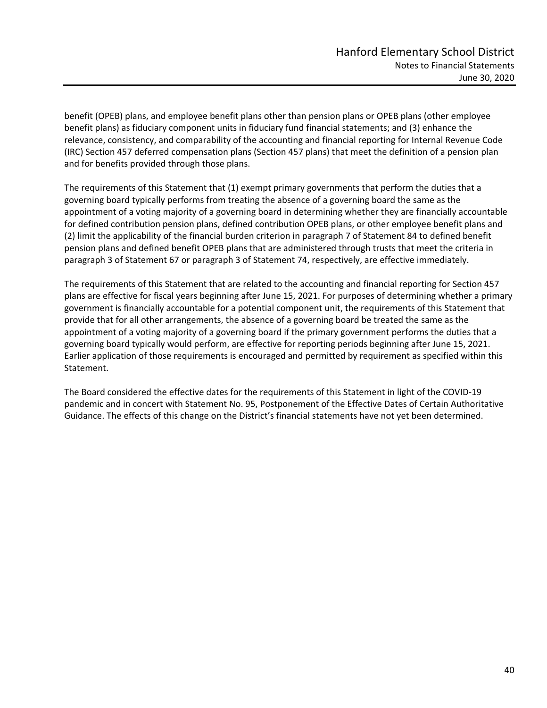benefit (OPEB) plans, and employee benefit plans other than pension plans or OPEB plans (other employee benefit plans) as fiduciary component units in fiduciary fund financial statements; and (3) enhance the relevance, consistency, and comparability of the accounting and financial reporting for Internal Revenue Code (IRC) Section 457 deferred compensation plans (Section 457 plans) that meet the definition of a pension plan and for benefits provided through those plans.

The requirements of this Statement that (1) exempt primary governments that perform the duties that a governing board typically performs from treating the absence of a governing board the same as the appointment of a voting majority of a governing board in determining whether they are financially accountable for defined contribution pension plans, defined contribution OPEB plans, or other employee benefit plans and (2) limit the applicability of the financial burden criterion in paragraph 7 of Statement 84 to defined benefit pension plans and defined benefit OPEB plans that are administered through trusts that meet the criteria in paragraph 3 of Statement 67 or paragraph 3 of Statement 74, respectively, are effective immediately.

The requirements of this Statement that are related to the accounting and financial reporting for Section 457 plans are effective for fiscal years beginning after June 15, 2021. For purposes of determining whether a primary government is financially accountable for a potential component unit, the requirements of this Statement that provide that for all other arrangements, the absence of a governing board be treated the same as the appointment of a voting majority of a governing board if the primary government performs the duties that a governing board typically would perform, are effective for reporting periods beginning after June 15, 2021. Earlier application of those requirements is encouraged and permitted by requirement as specified within this Statement.

The Board considered the effective dates for the requirements of this Statement in light of the COVID‐19 pandemic and in concert with Statement No. 95, Postponement of the Effective Dates of Certain Authoritative Guidance. The effects of this change on the District's financial statements have not yet been determined.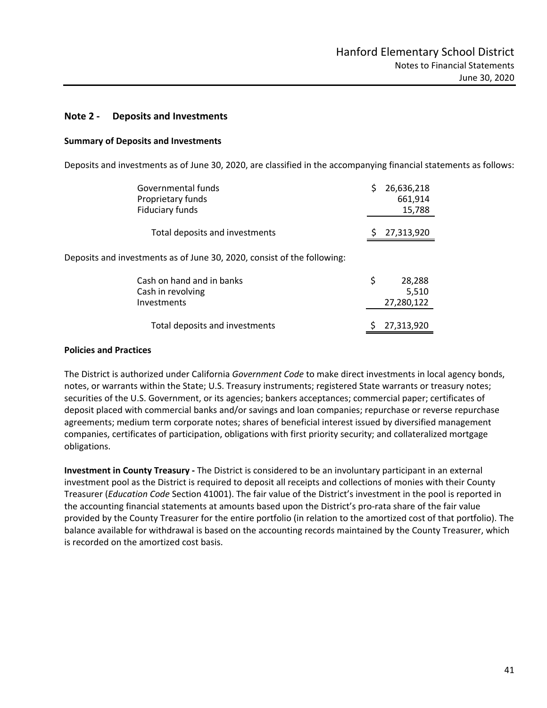## **Note 2 ‐ Deposits and Investments**

#### **Summary of Deposits and Investments**

Deposits and investments as of June 30, 2020, are classified in the accompanying financial statements as follows:

| Governmental funds                                                      | 26,636,218                          |
|-------------------------------------------------------------------------|-------------------------------------|
| Proprietary funds                                                       | 661,914                             |
| Fiduciary funds                                                         | 15,788                              |
| Total deposits and investments                                          | 27,313,920                          |
| Deposits and investments as of June 30, 2020, consist of the following: |                                     |
| Cash on hand and in banks<br>Cash in revolving<br>Investments           | \$<br>28,288<br>5,510<br>27,280,122 |
|                                                                         |                                     |

Total deposits and investments  $\angle$  27,313,920

#### **Policies and Practices**

The District is authorized under California *Government Code* to make direct investments in local agency bonds, notes, or warrants within the State; U.S. Treasury instruments; registered State warrants or treasury notes; securities of the U.S. Government, or its agencies; bankers acceptances; commercial paper; certificates of deposit placed with commercial banks and/or savings and loan companies; repurchase or reverse repurchase agreements; medium term corporate notes; shares of beneficial interest issued by diversified management companies, certificates of participation, obligations with first priority security; and collateralized mortgage obligations.

**Investment in County Treasury ‐** The District is considered to be an involuntary participant in an external investment pool as the District is required to deposit all receipts and collections of monies with their County Treasurer (*Education Code* Section 41001). The fair value of the District's investment in the pool is reported in the accounting financial statements at amounts based upon the District's pro-rata share of the fair value provided by the County Treasurer for the entire portfolio (in relation to the amortized cost of that portfolio). The balance available for withdrawal is based on the accounting records maintained by the County Treasurer, which is recorded on the amortized cost basis.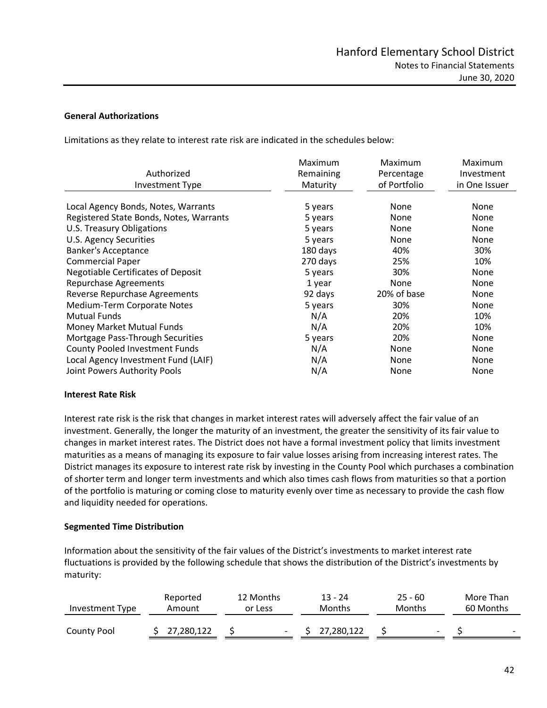### **General Authorizations**

Limitations as they relate to interest rate risk are indicated in the schedules below:

| Authorized<br><b>Investment Type</b>      | Maximum<br>Remaining<br>Maturity | Maximum<br>Percentage<br>of Portfolio | Maximum<br>Investment<br>in One Issuer |
|-------------------------------------------|----------------------------------|---------------------------------------|----------------------------------------|
| Local Agency Bonds, Notes, Warrants       | 5 years                          | None                                  | None                                   |
| Registered State Bonds, Notes, Warrants   | 5 years                          | None                                  | <b>None</b>                            |
| U.S. Treasury Obligations                 | 5 years                          | None                                  | None                                   |
| <b>U.S. Agency Securities</b>             | 5 years                          | None                                  | None                                   |
| <b>Banker's Acceptance</b>                | 180 days                         | 40%                                   | 30%                                    |
| <b>Commercial Paper</b>                   | 270 days                         | 25%                                   | 10%                                    |
| <b>Negotiable Certificates of Deposit</b> | 5 years                          | 30%                                   | None                                   |
| <b>Repurchase Agreements</b>              | 1 year                           | None                                  | None                                   |
| Reverse Repurchase Agreements             | 92 days                          | 20% of base                           | None                                   |
| Medium-Term Corporate Notes               | 5 years                          | 30%                                   | None                                   |
| <b>Mutual Funds</b>                       | N/A                              | 20%                                   | 10%                                    |
| Money Market Mutual Funds                 | N/A                              | 20%                                   | 10%                                    |
| Mortgage Pass-Through Securities          | 5 years                          | 20%                                   | None                                   |
| <b>County Pooled Investment Funds</b>     | N/A                              | None                                  | None                                   |
| Local Agency Investment Fund (LAIF)       | N/A                              | None                                  | None                                   |
| Joint Powers Authority Pools              | N/A                              | None                                  | None                                   |

#### **Interest Rate Risk**

Interest rate risk is the risk that changes in market interest rates will adversely affect the fair value of an investment. Generally, the longer the maturity of an investment, the greater the sensitivity of its fair value to changes in market interest rates. The District does not have a formal investment policy that limits investment maturities as a means of managing its exposure to fair value losses arising from increasing interest rates. The District manages its exposure to interest rate risk by investing in the County Pool which purchases a combination of shorter term and longer term investments and which also times cash flows from maturities so that a portion of the portfolio is maturing or coming close to maturity evenly over time as necessary to provide the cash flow and liquidity needed for operations.

### **Segmented Time Distribution**

Information about the sensitivity of the fair values of the District's investments to market interest rate fluctuations is provided by the following schedule that shows the distribution of the District's investments by maturity:

| Investment Type | Reported   | 12 Months                | $13 - 24$  | $25 - 60$     | More Than |  |
|-----------------|------------|--------------------------|------------|---------------|-----------|--|
|                 | Amount     | or Less                  | Months     | <b>Months</b> | 60 Months |  |
| County Pool     | 27,280,122 | $\overline{\phantom{a}}$ | 27,280,122 | -             |           |  |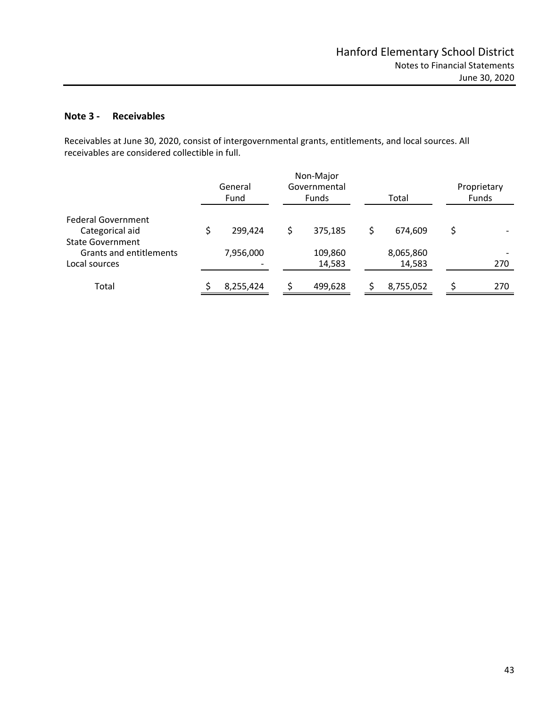## **Note 3 ‐ Receivables**

Receivables at June 30, 2020, consist of intergovernmental grants, entitlements, and local sources. All receivables are considered collectible in full.

|                                              |  | General<br>Fund | Non-Major<br>Governmental<br><b>Funds</b> | Total     | Proprietary<br>Funds |  |
|----------------------------------------------|--|-----------------|-------------------------------------------|-----------|----------------------|--|
| <b>Federal Government</b><br>Categorical aid |  | 299,424         | 375,185                                   | 674.609   | \$                   |  |
| <b>State Government</b>                      |  |                 |                                           |           |                      |  |
| Grants and entitlements                      |  | 7,956,000       | 109,860                                   | 8,065,860 |                      |  |
| Local sources                                |  |                 | 14,583                                    | 14,583    | 270                  |  |
| Total                                        |  | 8,255,424       | 499,628                                   | 8,755,052 | 270                  |  |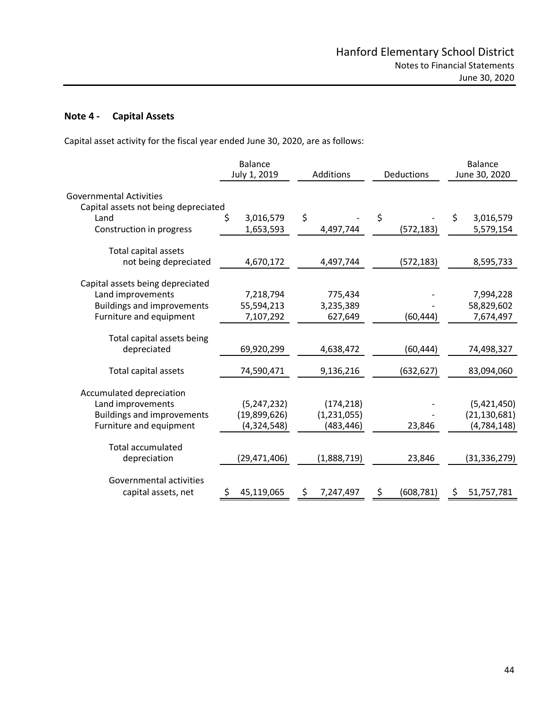# **Note 4 ‐ Capital Assets**

Capital asset activity for the fiscal year ended June 30, 2020, are as follows:

|                                      | <b>Balance</b><br>July 1, 2019 | Additions     | Deductions       | <b>Balance</b><br>June 30, 2020 |
|--------------------------------------|--------------------------------|---------------|------------------|---------------------------------|
| <b>Governmental Activities</b>       |                                |               |                  |                                 |
| Capital assets not being depreciated |                                |               |                  |                                 |
| Land                                 | \$<br>3,016,579                | \$            | \$               | \$<br>3,016,579                 |
| Construction in progress             | 1,653,593                      | 4,497,744     | (572, 183)       | 5,579,154                       |
| Total capital assets                 |                                |               |                  |                                 |
| not being depreciated                | 4,670,172                      | 4,497,744     | (572, 183)       | 8,595,733                       |
| Capital assets being depreciated     |                                |               |                  |                                 |
| Land improvements                    | 7,218,794                      | 775,434       |                  | 7,994,228                       |
| <b>Buildings and improvements</b>    | 55,594,213                     | 3,235,389     |                  | 58,829,602                      |
| Furniture and equipment              | 7,107,292                      | 627,649       | (60, 444)        | 7,674,497                       |
|                                      |                                |               |                  |                                 |
| Total capital assets being           |                                |               |                  |                                 |
| depreciated                          | 69,920,299                     | 4,638,472     | (60, 444)        | 74,498,327                      |
| Total capital assets                 | 74,590,471                     | 9,136,216     | (632,627)        | 83,094,060                      |
| Accumulated depreciation             |                                |               |                  |                                 |
| Land improvements                    | (5, 247, 232)                  | (174, 218)    |                  | (5,421,450)                     |
| <b>Buildings and improvements</b>    | (19,899,626)                   | (1, 231, 055) |                  | (21, 130, 681)                  |
| Furniture and equipment              | (4,324,548)                    | (483, 446)    | 23,846           | (4, 784, 148)                   |
|                                      |                                |               |                  |                                 |
| <b>Total accumulated</b>             |                                |               |                  |                                 |
| depreciation                         | (29, 471, 406)                 | (1,888,719)   | 23,846           | (31, 336, 279)                  |
| Governmental activities              |                                |               |                  |                                 |
| capital assets, net                  | 45,119,065<br>Ş                | 7,247,497     | (608, 781)<br>\$ | 51,757,781<br>Ş                 |
|                                      |                                |               |                  |                                 |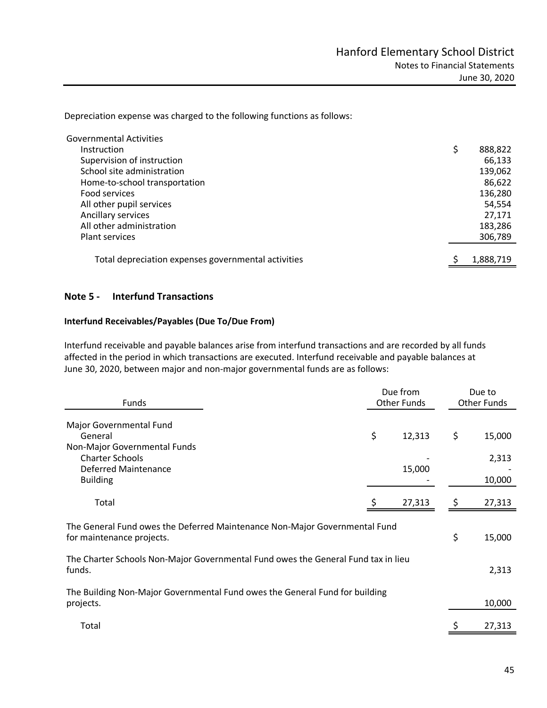Depreciation expense was charged to the following functions as follows:

| <b>Governmental Activities</b>                      |               |
|-----------------------------------------------------|---------------|
| <b>Instruction</b>                                  | \$<br>888,822 |
| Supervision of instruction                          | 66,133        |
| School site administration                          | 139,062       |
| Home-to-school transportation                       | 86,622        |
| Food services                                       | 136,280       |
| All other pupil services                            | 54,554        |
| Ancillary services                                  | 27.171        |
| All other administration                            | 183,286       |
| Plant services                                      | 306,789       |
|                                                     |               |
| Total depreciation expenses governmental activities | 1,888,719     |

## **Note 5 ‐ Interfund Transactions**

#### **Interfund Receivables/Payables (Due To/Due From)**

Interfund receivable and payable balances arise from interfund transactions and are recorded by all funds affected in the period in which transactions are executed. Interfund receivable and payable balances at June 30, 2020, between major and non‐major governmental funds are as follows:

| Funds                                                                                                   | Due from<br><b>Other Funds</b> | Due to<br><b>Other Funds</b> |                 |
|---------------------------------------------------------------------------------------------------------|--------------------------------|------------------------------|-----------------|
| Major Governmental Fund<br>General<br>Non-Major Governmental Funds                                      | \$                             | 12,313                       | \$<br>15,000    |
| <b>Charter Schools</b><br><b>Deferred Maintenance</b><br><b>Building</b>                                |                                | 15,000                       | 2,313<br>10,000 |
| Total                                                                                                   |                                | 27,313                       | 27,313          |
| The General Fund owes the Deferred Maintenance Non-Major Governmental Fund<br>for maintenance projects. |                                |                              | \$<br>15,000    |
| The Charter Schools Non-Major Governmental Fund owes the General Fund tax in lieu<br>funds.             |                                |                              | 2,313           |
| The Building Non-Major Governmental Fund owes the General Fund for building<br>projects.                |                                |                              | 10,000          |
| Total                                                                                                   |                                |                              | \$<br>27,313    |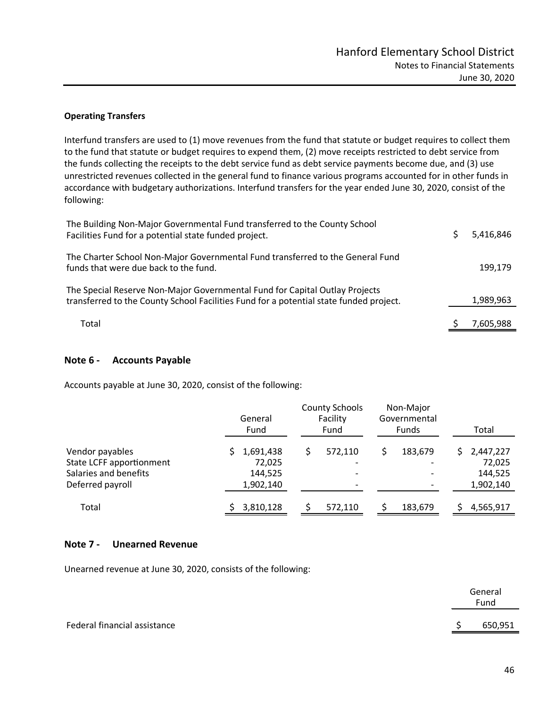### **Operating Transfers**

Interfund transfers are used to (1) move revenues from the fund that statute or budget requires to collect them to the fund that statute or budget requires to expend them, (2) move receipts restricted to debt service from the funds collecting the receipts to the debt service fund as debt service payments become due, and (3) use unrestricted revenues collected in the general fund to finance various programs accounted for in other funds in accordance with budgetary authorizations. Interfund transfers for the year ended June 30, 2020, consist of the following:

| The Building Non-Major Governmental Fund transferred to the County School<br>Facilities Fund for a potential state funded project.                                    | 5,416,846 |
|-----------------------------------------------------------------------------------------------------------------------------------------------------------------------|-----------|
| The Charter School Non-Major Governmental Fund transferred to the General Fund<br>funds that were due back to the fund.                                               | 199.179   |
| The Special Reserve Non-Major Governmental Fund for Capital Outlay Projects<br>transferred to the County School Facilities Fund for a potential state funded project. | 1,989,963 |
| Total                                                                                                                                                                 | 7,605,988 |

### **Note 6 ‐ Accounts Payable**

Accounts payable at June 30, 2020, consist of the following:

|                          | General<br>Fund | <b>County Schools</b><br>Facility<br>Fund | Non-Major<br>Governmental<br><b>Funds</b> | Total           |  |
|--------------------------|-----------------|-------------------------------------------|-------------------------------------------|-----------------|--|
| Vendor payables          | 1,691,438       | 572,110                                   | 183,679                                   | 2,447,227<br>S. |  |
| State LCFF apportionment | 72,025          | $\overline{\phantom{a}}$                  |                                           | 72,025          |  |
| Salaries and benefits    | 144,525         | -                                         |                                           | 144,525         |  |
| Deferred payroll         | 1,902,140       | $\overline{\phantom{0}}$                  |                                           | 1,902,140       |  |
| Total                    | 3,810,128       | 572,110                                   | 183,679                                   | 4,565,917       |  |

#### **Note 7 ‐ Unearned Revenue**

Unearned revenue at June 30, 2020, consists of the following:

|                              | General<br>Fund |         |
|------------------------------|-----------------|---------|
| Federal financial assistance |                 | 650,951 |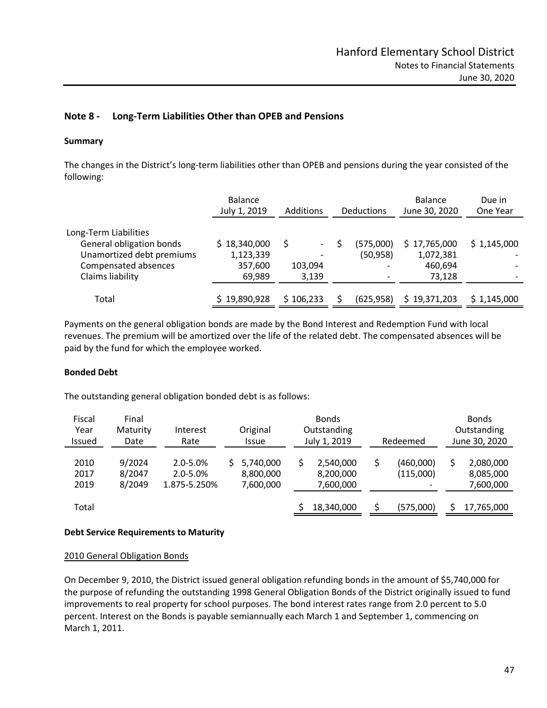## **Note 8 ‐ Long‐Term Liabilities Other than OPEB and Pensions**

#### **Summary**

The changes in the District's long-term liabilities other than OPEB and pensions during the year consisted of the following:

|                           | <b>Balance</b><br>July 1, 2019 | <b>Additions</b><br>Deductions |            | <b>Balance</b><br>June 30, 2020 | Due in<br>One Year |
|---------------------------|--------------------------------|--------------------------------|------------|---------------------------------|--------------------|
| Long-Term Liabilities     |                                |                                |            |                                 |                    |
| General obligation bonds  | \$18,340,000                   | \$                             | (575,000)  | \$17,765,000                    | \$1,145,000        |
| Unamortized debt premiums | 1,123,339                      |                                | (50, 958)  | 1,072,381                       |                    |
| Compensated absences      | 357,600                        | 103,094                        |            | 460,694                         |                    |
| Claims liability          | 69,989                         | 3,139                          |            | 73,128                          |                    |
|                           |                                |                                |            |                                 |                    |
| Total                     | \$19,890,928                   | \$106,233                      | (625, 958) | \$19,371,203                    | \$1,145,000        |

Payments on the general obligation bonds are made by the Bond Interest and Redemption Fund with local revenues. The premium will be amortized over the life of the related debt. The compensated absences will be paid by the fund for which the employee worked.

#### **Bonded Debt**

The outstanding general obligation bonded debt is as follows:

| Fiscal<br>Year<br><b>Issued</b> | Final<br>Maturity<br>Date  | Interest<br>Rate                             | Original<br>Issue |                                     | <b>Bonds</b><br>Outstanding<br>July 1, 2019 |                                     | Redeemed |                        | <b>Bonds</b><br>Outstanding<br>June 30, 2020 |                                     |
|---------------------------------|----------------------------|----------------------------------------------|-------------------|-------------------------------------|---------------------------------------------|-------------------------------------|----------|------------------------|----------------------------------------------|-------------------------------------|
| 2010<br>2017<br>2019            | 9/2024<br>8/2047<br>8/2049 | $2.0 - 5.0%$<br>$2.0 - 5.0%$<br>1.875-5.250% | S.                | 5,740,000<br>8,800,000<br>7,600,000 |                                             | 2.540.000<br>8,200,000<br>7,600,000 | \$       | (460,000)<br>(115,000) |                                              | 2,080,000<br>8,085,000<br>7,600,000 |
| Total                           |                            |                                              |                   |                                     |                                             | 18,340,000                          | Ś        | (575,000)              |                                              | 17,765,000                          |

### **Debt Service Requirements to Maturity**

#### 2010 General Obligation Bonds

On December 9, 2010, the District issued general obligation refunding bonds in the amount of \$5,740,000 for the purpose of refunding the outstanding 1998 General Obligation Bonds of the District originally issued to fund improvements to real property for school purposes. The bond interest rates range from 2.0 percent to 5.0 percent. Interest on the Bonds is payable semiannually each March 1 and September 1, commencing on March 1, 2011.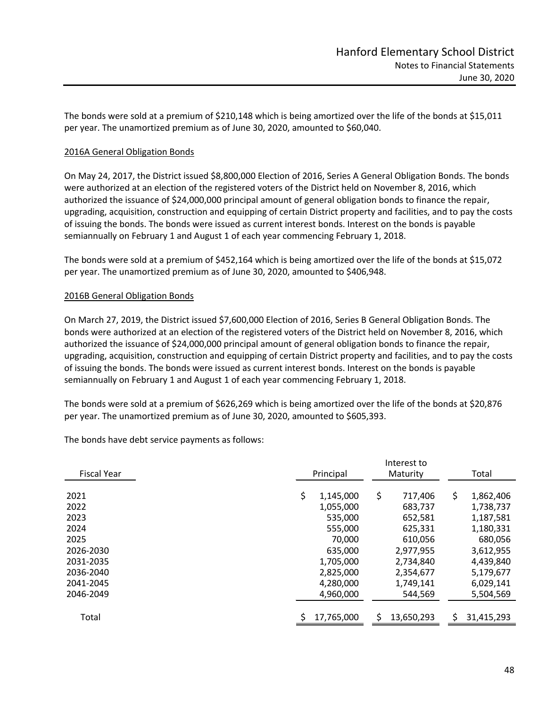The bonds were sold at a premium of \$210,148 which is being amortized over the life of the bonds at \$15,011 per year. The unamortized premium as of June 30, 2020, amounted to \$60,040.

## 2016A General Obligation Bonds

On May 24, 2017, the District issued \$8,800,000 Election of 2016, Series A General Obligation Bonds. The bonds were authorized at an election of the registered voters of the District held on November 8, 2016, which authorized the issuance of \$24,000,000 principal amount of general obligation bonds to finance the repair, upgrading, acquisition, construction and equipping of certain District property and facilities, and to pay the costs of issuing the bonds. The bonds were issued as current interest bonds. Interest on the bonds is payable semiannually on February 1 and August 1 of each year commencing February 1, 2018.

The bonds were sold at a premium of \$452,164 which is being amortized over the life of the bonds at \$15,072 per year. The unamortized premium as of June 30, 2020, amounted to \$406,948.

## 2016B General Obligation Bonds

On March 27, 2019, the District issued \$7,600,000 Election of 2016, Series B General Obligation Bonds. The bonds were authorized at an election of the registered voters of the District held on November 8, 2016, which authorized the issuance of \$24,000,000 principal amount of general obligation bonds to finance the repair, upgrading, acquisition, construction and equipping of certain District property and facilities, and to pay the costs of issuing the bonds. The bonds were issued as current interest bonds. Interest on the bonds is payable semiannually on February 1 and August 1 of each year commencing February 1, 2018.

The bonds were sold at a premium of \$626,269 which is being amortized over the life of the bonds at \$20,876 per year. The unamortized premium as of June 30, 2020, amounted to \$605,393.

The bonds have debt service payments as follows:

|                    | Interest to |            |    |            |    |            |
|--------------------|-------------|------------|----|------------|----|------------|
| <b>Fiscal Year</b> |             | Principal  |    | Maturity   |    | Total      |
| 2021               | \$          | 1,145,000  | \$ | 717,406    | \$ | 1,862,406  |
| 2022               |             | 1,055,000  |    | 683,737    |    | 1,738,737  |
| 2023               |             | 535,000    |    | 652,581    |    | 1,187,581  |
| 2024               |             | 555,000    |    | 625,331    |    | 1,180,331  |
| 2025               |             | 70,000     |    | 610,056    |    | 680,056    |
| 2026-2030          |             | 635,000    |    | 2,977,955  |    | 3,612,955  |
| 2031-2035          |             | 1,705,000  |    | 2,734,840  |    | 4,439,840  |
| 2036-2040          |             | 2,825,000  |    | 2,354,677  |    | 5,179,677  |
| 2041-2045          |             | 4,280,000  |    | 1,749,141  |    | 6,029,141  |
| 2046-2049          |             | 4.960.000  |    | 544,569    |    | 5,504,569  |
|                    |             |            |    |            |    |            |
| Total              |             | 17,765,000 | ς  | 13,650,293 | ς  | 31,415,293 |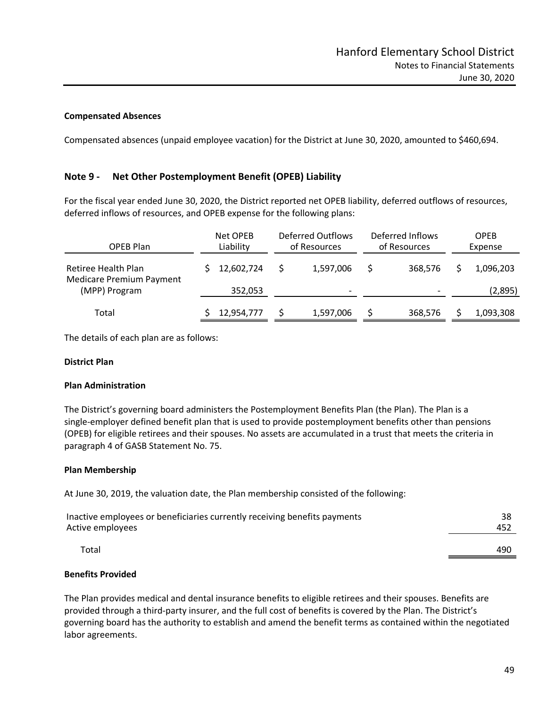#### **Compensated Absences**

Compensated absences (unpaid employee vacation) for the District at June 30, 2020, amounted to \$460,694.

## **Note 9 ‐ Net Other Postemployment Benefit (OPEB) Liability**

For the fiscal year ended June 30, 2020, the District reported net OPEB liability, deferred outflows of resources, deferred inflows of resources, and OPEB expense for the following plans:

| OPEB Plan                                              | Net OPEB<br>Liability | Deferred Outflows<br>of Resources |   | Deferred Inflows<br>of Resources | <b>OPEB</b><br>Expense |
|--------------------------------------------------------|-----------------------|-----------------------------------|---|----------------------------------|------------------------|
| Retiree Health Plan<br><b>Medicare Premium Payment</b> | 12,602,724            | 1,597,006                         | S | 368.576                          | 1,096,203              |
| (MPP) Program                                          | 352.053               | $\overline{\phantom{0}}$          |   | $\overline{\phantom{0}}$         | (2,895)                |
| Total                                                  | 12,954,777            | 1,597,006                         |   | 368,576                          | 1,093,308              |

The details of each plan are as follows:

#### **District Plan**

#### **Plan Administration**

The District's governing board administers the Postemployment Benefits Plan (the Plan). The Plan is a single-employer defined benefit plan that is used to provide postemployment benefits other than pensions (OPEB) for eligible retirees and their spouses. No assets are accumulated in a trust that meets the criteria in paragraph 4 of GASB Statement No. 75.

#### **Plan Membership**

At June 30, 2019, the valuation date, the Plan membership consisted of the following:

| Inactive employees or beneficiaries currently receiving benefits payments | 38  |
|---------------------------------------------------------------------------|-----|
| Active employees                                                          | 452 |
| Total                                                                     | 490 |

## **Benefits Provided**

The Plan provides medical and dental insurance benefits to eligible retirees and their spouses. Benefits are provided through a third‐party insurer, and the full cost of benefits is covered by the Plan. The District's governing board has the authority to establish and amend the benefit terms as contained within the negotiated labor agreements.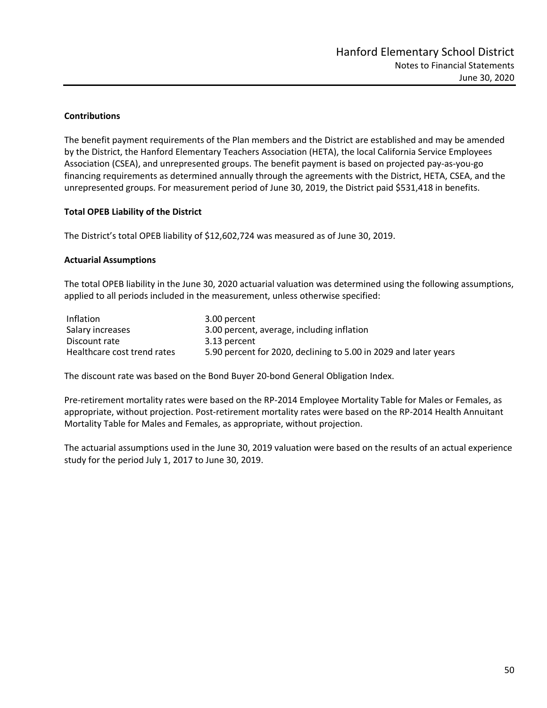### **Contributions**

The benefit payment requirements of the Plan members and the District are established and may be amended by the District, the Hanford Elementary Teachers Association (HETA), the local California Service Employees Association (CSEA), and unrepresented groups. The benefit payment is based on projected pay‐as‐you‐go financing requirements as determined annually through the agreements with the District, HETA, CSEA, and the unrepresented groups. For measurement period of June 30, 2019, the District paid \$531,418 in benefits.

### **Total OPEB Liability of the District**

The District's total OPEB liability of \$12,602,724 was measured as of June 30, 2019.

#### **Actuarial Assumptions**

The total OPEB liability in the June 30, 2020 actuarial valuation was determined using the following assumptions, applied to all periods included in the measurement, unless otherwise specified:

| Inflation                   | 3.00 percent                                                     |
|-----------------------------|------------------------------------------------------------------|
| Salary increases            | 3.00 percent, average, including inflation                       |
| Discount rate               | 3.13 percent                                                     |
| Healthcare cost trend rates | 5.90 percent for 2020, declining to 5.00 in 2029 and later years |

The discount rate was based on the Bond Buyer 20‐bond General Obligation Index.

Pre‐retirement mortality rates were based on the RP‐2014 Employee Mortality Table for Males or Females, as appropriate, without projection. Post-retirement mortality rates were based on the RP-2014 Health Annuitant Mortality Table for Males and Females, as appropriate, without projection.

The actuarial assumptions used in the June 30, 2019 valuation were based on the results of an actual experience study for the period July 1, 2017 to June 30, 2019.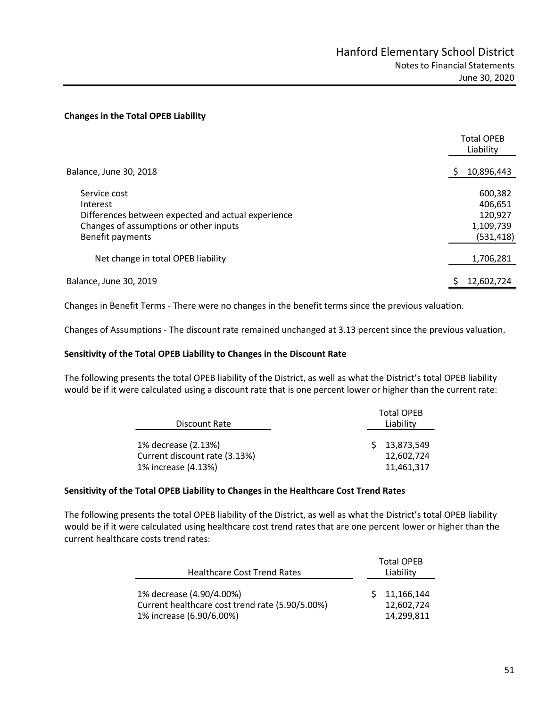#### **Changes in the Total OPEB Liability**

|                                                                                                                                              | <b>Total OPEB</b><br>Liability                           |
|----------------------------------------------------------------------------------------------------------------------------------------------|----------------------------------------------------------|
| Balance, June 30, 2018                                                                                                                       | 10,896,443                                               |
| Service cost<br>Interest<br>Differences between expected and actual experience<br>Changes of assumptions or other inputs<br>Benefit payments | 600,382<br>406,651<br>120,927<br>1,109,739<br>(531, 418) |
| Net change in total OPEB liability                                                                                                           | 1,706,281                                                |
| Balance, June 30, 2019                                                                                                                       | 12,602,724                                               |

Changes in Benefit Terms ‐ There were no changes in the benefit terms since the previous valuation.

Changes of Assumptions ‐ The discount rate remained unchanged at 3.13 percent since the previous valuation.

#### **Sensitivity of the Total OPEB Liability to Changes in the Discount Rate**

The following presents the total OPEB liability of the District, as well as what the District's total OPEB liability would be if it were calculated using a discount rate that is one percent lower or higher than the current rate:

|                                                                             | <b>Total OPEB</b>                        |
|-----------------------------------------------------------------------------|------------------------------------------|
| Discount Rate                                                               | Liability                                |
| 1% decrease (2.13%)<br>Current discount rate (3.13%)<br>1% increase (4.13%) | \$13,873,549<br>12.602.724<br>11.461.317 |

#### **Sensitivity of the Total OPEB Liability to Changes in the Healthcare Cost Trend Rates**

The following presents the total OPEB liability of the District, as well as what the District's total OPEB liability would be if it were calculated using healthcare cost trend rates that are one percent lower or higher than the current healthcare costs trend rates:

| <b>Healthcare Cost Trend Rates</b>                                                                      | <b>Total OPEB</b><br>Liability           |
|---------------------------------------------------------------------------------------------------------|------------------------------------------|
| 1% decrease (4.90/4.00%)<br>Current healthcare cost trend rate (5.90/5.00%)<br>1% increase (6.90/6.00%) | \$11,166,144<br>12.602.724<br>14,299,811 |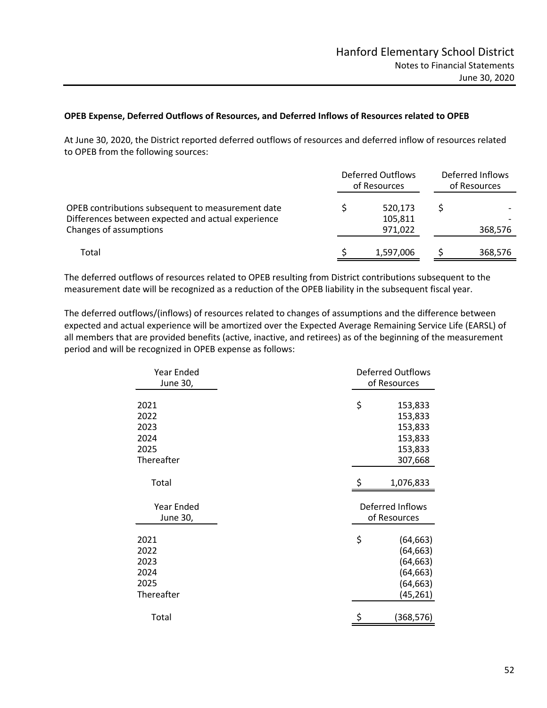#### **OPEB Expense, Deferred Outflows of Resources, and Deferred Inflows of Resources related to OPEB**

At June 30, 2020, the District reported deferred outflows of resources and deferred inflow of resources related to OPEB from the following sources:

|                                                                                                                                   | Deferred Outflows<br>of Resources | Deferred Inflows<br>of Resources |         |
|-----------------------------------------------------------------------------------------------------------------------------------|-----------------------------------|----------------------------------|---------|
| OPEB contributions subsequent to measurement date<br>Differences between expected and actual experience<br>Changes of assumptions | 520,173<br>105,811<br>971,022     |                                  | 368,576 |
| Total                                                                                                                             | 1,597,006                         |                                  | 368,576 |

The deferred outflows of resources related to OPEB resulting from District contributions subsequent to the measurement date will be recognized as a reduction of the OPEB liability in the subsequent fiscal year.

The deferred outflows/(inflows) of resources related to changes of assumptions and the difference between expected and actual experience will be amortized over the Expected Average Remaining Service Life (EARSL) of all members that are provided benefits (active, inactive, and retirees) as of the beginning of the measurement period and will be recognized in OPEB expense as follows:

| Year Ended<br>June 30,                             | <b>Deferred Outflows</b><br>of Resources |                                                                            |  |
|----------------------------------------------------|------------------------------------------|----------------------------------------------------------------------------|--|
| 2021<br>2022<br>2023<br>2024<br>2025<br>Thereafter | \$                                       | 153,833<br>153,833<br>153,833<br>153,833<br>153,833<br>307,668             |  |
| Total                                              | \$                                       | 1,076,833                                                                  |  |
| Year Ended<br>June 30,                             | Deferred Inflows<br>of Resources         |                                                                            |  |
| 2021<br>2022<br>2023<br>2024<br>2025<br>Thereafter | \$                                       | (64, 663)<br>(64, 663)<br>(64, 663)<br>(64, 663)<br>(64, 663)<br>(45, 261) |  |
| Total                                              |                                          | (368, 576)                                                                 |  |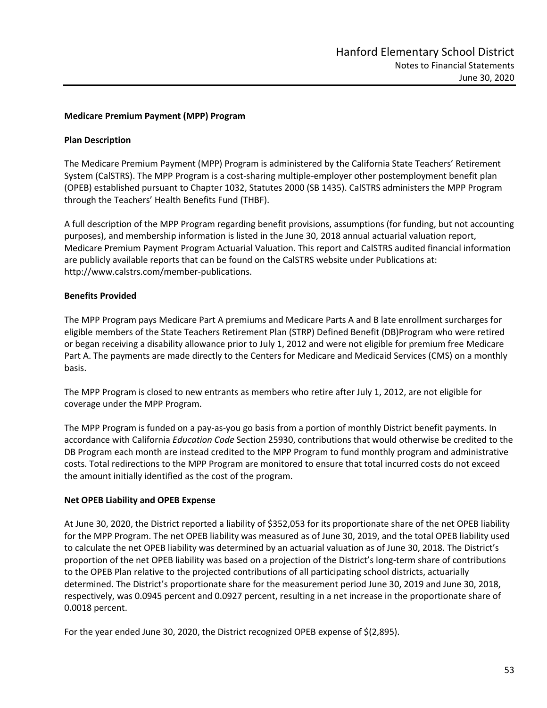#### **Medicare Premium Payment (MPP) Program**

#### **Plan Description**

The Medicare Premium Payment (MPP) Program is administered by the California State Teachers' Retirement System (CalSTRS). The MPP Program is a cost‐sharing multiple‐employer other postemployment benefit plan (OPEB) established pursuant to Chapter 1032, Statutes 2000 (SB 1435). CalSTRS administers the MPP Program through the Teachers' Health Benefits Fund (THBF).

A full description of the MPP Program regarding benefit provisions, assumptions (for funding, but not accounting purposes), and membership information is listed in the June 30, 2018 annual actuarial valuation report, Medicare Premium Payment Program Actuarial Valuation. This report and CalSTRS audited financial information are publicly available reports that can be found on the CalSTRS website under Publications at: http://www.calstrs.com/member‐publications.

#### **Benefits Provided**

The MPP Program pays Medicare Part A premiums and Medicare Parts A and B late enrollment surcharges for eligible members of the State Teachers Retirement Plan (STRP) Defined Benefit (DB)Program who were retired or began receiving a disability allowance prior to July 1, 2012 and were not eligible for premium free Medicare Part A. The payments are made directly to the Centers for Medicare and Medicaid Services (CMS) on a monthly basis.

The MPP Program is closed to new entrants as members who retire after July 1, 2012, are not eligible for coverage under the MPP Program.

The MPP Program is funded on a pay‐as‐you go basis from a portion of monthly District benefit payments. In accordance with California *Education Code* Section 25930, contributions that would otherwise be credited to the DB Program each month are instead credited to the MPP Program to fund monthly program and administrative costs. Total redirections to the MPP Program are monitored to ensure that total incurred costs do not exceed the amount initially identified as the cost of the program.

### **Net OPEB Liability and OPEB Expense**

At June 30, 2020, the District reported a liability of \$352,053 for its proportionate share of the net OPEB liability for the MPP Program. The net OPEB liability was measured as of June 30, 2019, and the total OPEB liability used to calculate the net OPEB liability was determined by an actuarial valuation as of June 30, 2018. The District's proportion of the net OPEB liability was based on a projection of the District's long‐term share of contributions to the OPEB Plan relative to the projected contributions of all participating school districts, actuarially determined. The District's proportionate share for the measurement period June 30, 2019 and June 30, 2018, respectively, was 0.0945 percent and 0.0927 percent, resulting in a net increase in the proportionate share of 0.0018 percent.

For the year ended June 30, 2020, the District recognized OPEB expense of \$(2,895).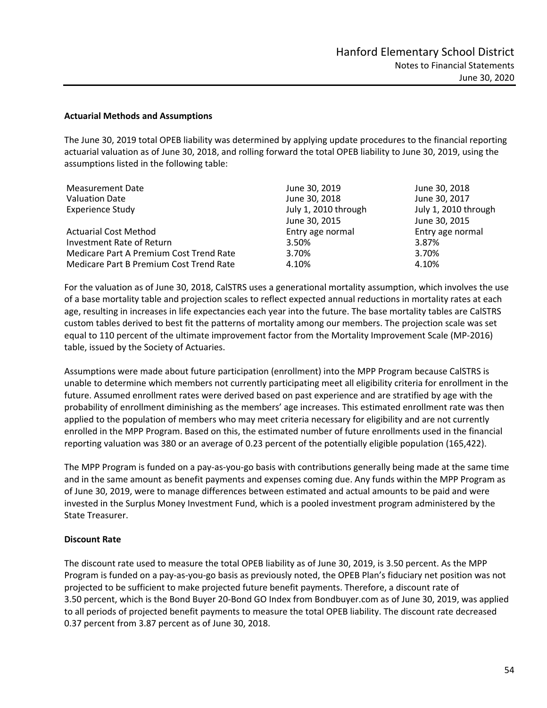### **Actuarial Methods and Assumptions**

The June 30, 2019 total OPEB liability was determined by applying update procedures to the financial reporting actuarial valuation as of June 30, 2018, and rolling forward the total OPEB liability to June 30, 2019, using the assumptions listed in the following table:

| Measurement Date                        | June 30, 2019        | June 30, 2018        |
|-----------------------------------------|----------------------|----------------------|
| <b>Valuation Date</b>                   | June 30, 2018        | June 30, 2017        |
| <b>Experience Study</b>                 | July 1, 2010 through | July 1, 2010 through |
|                                         | June 30, 2015        | June 30, 2015        |
| <b>Actuarial Cost Method</b>            | Entry age normal     | Entry age normal     |
| Investment Rate of Return               | 3.50%                | 3.87%                |
| Medicare Part A Premium Cost Trend Rate | 3.70%                | 3.70%                |
| Medicare Part B Premium Cost Trend Rate | 4.10%                | 4.10%                |

For the valuation as of June 30, 2018, CalSTRS uses a generational mortality assumption, which involves the use of a base mortality table and projection scales to reflect expected annual reductions in mortality rates at each age, resulting in increases in life expectancies each year into the future. The base mortality tables are CalSTRS custom tables derived to best fit the patterns of mortality among our members. The projection scale was set equal to 110 percent of the ultimate improvement factor from the Mortality Improvement Scale (MP‐2016) table, issued by the Society of Actuaries.

Assumptions were made about future participation (enrollment) into the MPP Program because CalSTRS is unable to determine which members not currently participating meet all eligibility criteria for enrollment in the future. Assumed enrollment rates were derived based on past experience and are stratified by age with the probability of enrollment diminishing as the members' age increases. This estimated enrollment rate was then applied to the population of members who may meet criteria necessary for eligibility and are not currently enrolled in the MPP Program. Based on this, the estimated number of future enrollments used in the financial reporting valuation was 380 or an average of 0.23 percent of the potentially eligible population (165,422).

The MPP Program is funded on a pay‐as‐you‐go basis with contributions generally being made at the same time and in the same amount as benefit payments and expenses coming due. Any funds within the MPP Program as of June 30, 2019, were to manage differences between estimated and actual amounts to be paid and were invested in the Surplus Money Investment Fund, which is a pooled investment program administered by the State Treasurer.

### **Discount Rate**

The discount rate used to measure the total OPEB liability as of June 30, 2019, is 3.50 percent. As the MPP Program is funded on a pay‐as‐you‐go basis as previously noted, the OPEB Plan's fiduciary net position was not projected to be sufficient to make projected future benefit payments. Therefore, a discount rate of 3.50 percent, which is the Bond Buyer 20‐Bond GO Index from Bondbuyer.com as of June 30, 2019, was applied to all periods of projected benefit payments to measure the total OPEB liability. The discount rate decreased 0.37 percent from 3.87 percent as of June 30, 2018.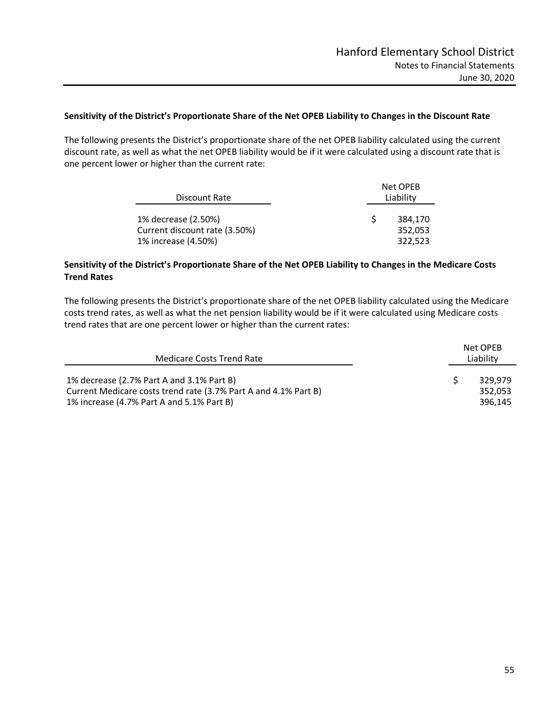## **Sensitivity of the District's Proportionate Share of the Net OPEB Liability to Changes in the Discount Rate**

The following presents the District's proportionate share of the net OPEB liability calculated using the current discount rate, as well as what the net OPEB liability would be if it were calculated using a discount rate that is one percent lower or higher than the current rate:

| Discount Rate                                        | Net OPEB<br>Liability |  |  |  |
|------------------------------------------------------|-----------------------|--|--|--|
| 1% decrease (2.50%)                                  | 384.170               |  |  |  |
| Current discount rate (3.50%)<br>1% increase (4.50%) | 352.053<br>322,523    |  |  |  |

## **Sensitivity of the District's Proportionate Share of the Net OPEB Liability to Changes in the Medicare Costs Trend Rates**

The following presents the District's proportionate share of the net OPEB liability calculated using the Medicare costs trend rates, as well as what the net pension liability would be if it were calculated using Medicare costs trend rates that are one percent lower or higher than the current rates:

| Medicare Costs Trend Rate                                                                                                                                 |  | Net OPEB<br>Liability         |  |
|-----------------------------------------------------------------------------------------------------------------------------------------------------------|--|-------------------------------|--|
| 1% decrease (2.7% Part A and 3.1% Part B)<br>Current Medicare costs trend rate (3.7% Part A and 4.1% Part B)<br>1% increase (4.7% Part A and 5.1% Part B) |  | 329.979<br>352,053<br>396.145 |  |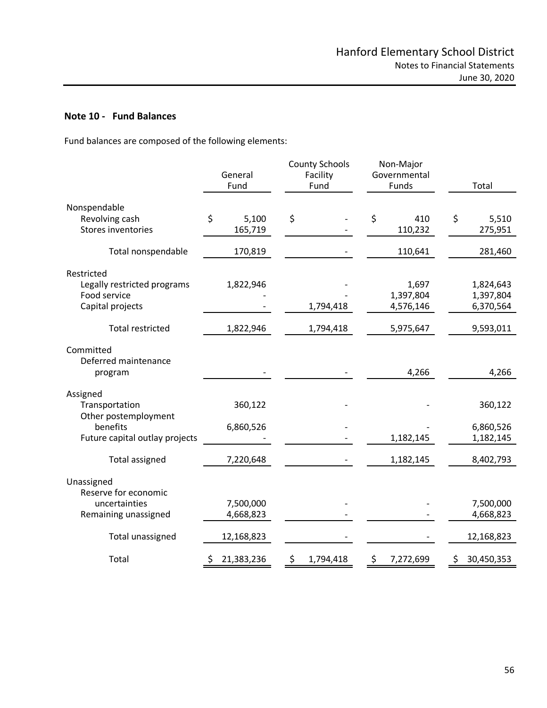## **Note 10 ‐ Fund Balances**

Fund balances are composed of the following elements:

|                                | General<br>Fund   | <b>County Schools</b><br>Facility<br>Fund | Non-Major<br>Governmental<br>Funds | Total            |
|--------------------------------|-------------------|-------------------------------------------|------------------------------------|------------------|
|                                |                   |                                           |                                    |                  |
| Nonspendable                   |                   |                                           |                                    |                  |
| Revolving cash                 | \$<br>5,100       | \$                                        | \$<br>410                          | \$<br>5,510      |
| Stores inventories             | 165,719           |                                           | 110,232                            | 275,951          |
| Total nonspendable             | 170,819           |                                           | 110,641                            | 281,460          |
| Restricted                     |                   |                                           |                                    |                  |
| Legally restricted programs    | 1,822,946         |                                           | 1,697                              | 1,824,643        |
| Food service                   |                   |                                           | 1,397,804                          | 1,397,804        |
| Capital projects               |                   | 1,794,418                                 | 4,576,146                          | 6,370,564        |
| <b>Total restricted</b>        | 1,822,946         | 1,794,418                                 | 5,975,647                          | 9,593,011        |
| Committed                      |                   |                                           |                                    |                  |
| Deferred maintenance           |                   |                                           |                                    |                  |
| program                        |                   |                                           | 4,266                              | 4,266            |
| Assigned                       |                   |                                           |                                    |                  |
| Transportation                 | 360,122           |                                           |                                    | 360,122          |
| Other postemployment           |                   |                                           |                                    |                  |
| benefits                       | 6,860,526         |                                           |                                    | 6,860,526        |
| Future capital outlay projects |                   |                                           | 1,182,145                          | 1,182,145        |
| <b>Total assigned</b>          | 7,220,648         |                                           | 1,182,145                          | 8,402,793        |
| Unassigned                     |                   |                                           |                                    |                  |
| Reserve for economic           |                   |                                           |                                    |                  |
| uncertainties                  | 7,500,000         |                                           |                                    | 7,500,000        |
| Remaining unassigned           | 4,668,823         |                                           |                                    | 4,668,823        |
| Total unassigned               | 12,168,823        |                                           |                                    | 12,168,823       |
| Total                          | 21,383,236<br>\$, | 1,794,418                                 | 7,272,699<br>\$,                   | 30,450,353<br>\$ |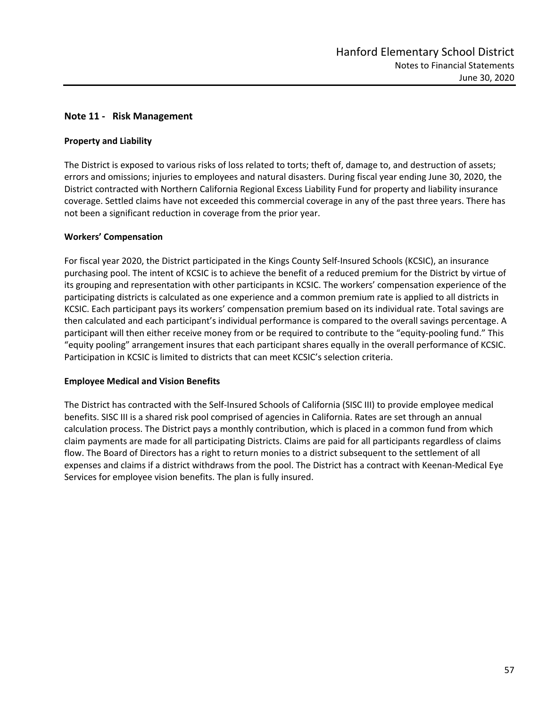## **Note 11 ‐ Risk Management**

### **Property and Liability**

The District is exposed to various risks of loss related to torts; theft of, damage to, and destruction of assets; errors and omissions; injuries to employees and natural disasters. During fiscal year ending June 30, 2020, the District contracted with Northern California Regional Excess Liability Fund for property and liability insurance coverage. Settled claims have not exceeded this commercial coverage in any of the past three years. There has not been a significant reduction in coverage from the prior year.

#### **Workers' Compensation**

For fiscal year 2020, the District participated in the Kings County Self‐Insured Schools (KCSIC), an insurance purchasing pool. The intent of KCSIC is to achieve the benefit of a reduced premium for the District by virtue of its grouping and representation with other participants in KCSIC. The workers' compensation experience of the participating districts is calculated as one experience and a common premium rate is applied to all districts in KCSIC. Each participant pays its workers' compensation premium based on its individual rate. Total savings are then calculated and each participant's individual performance is compared to the overall savings percentage. A participant will then either receive money from or be required to contribute to the "equity-pooling fund." This "equity pooling" arrangement insures that each participant shares equally in the overall performance of KCSIC. Participation in KCSIC is limited to districts that can meet KCSIC's selection criteria.

### **Employee Medical and Vision Benefits**

The District has contracted with the Self‐Insured Schools of California (SISC III) to provide employee medical benefits. SISC III is a shared risk pool comprised of agencies in California. Rates are set through an annual calculation process. The District pays a monthly contribution, which is placed in a common fund from which claim payments are made for all participating Districts. Claims are paid for all participants regardless of claims flow. The Board of Directors has a right to return monies to a district subsequent to the settlement of all expenses and claims if a district withdraws from the pool. The District has a contract with Keenan‐Medical Eye Services for employee vision benefits. The plan is fully insured.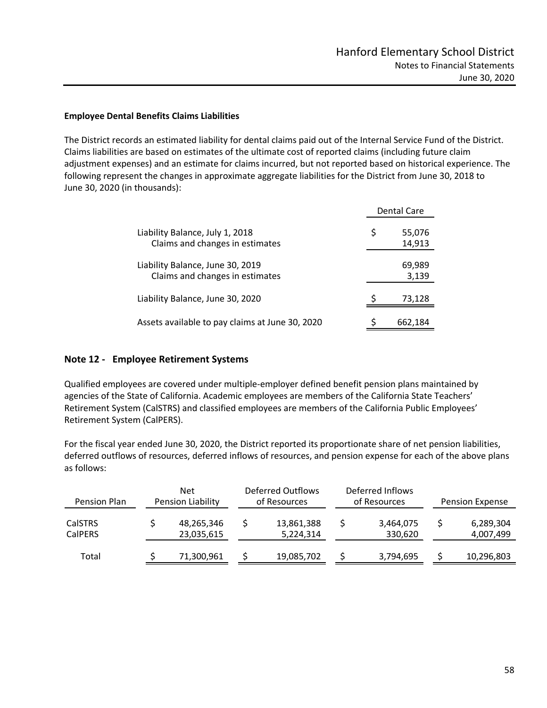## **Employee Dental Benefits Claims Liabilities**

The District records an estimated liability for dental claims paid out of the Internal Service Fund of the District. Claims liabilities are based on estimates of the ultimate cost of reported claims (including future claim adjustment expenses) and an estimate for claims incurred, but not reported based on historical experience. The following represent the changes in approximate aggregate liabilities for the District from June 30, 2018 to June 30, 2020 (in thousands):

|                                                                     | <b>Dental Care</b>     |
|---------------------------------------------------------------------|------------------------|
| Liability Balance, July 1, 2018<br>Claims and changes in estimates  | \$<br>55,076<br>14,913 |
| Liability Balance, June 30, 2019<br>Claims and changes in estimates | 69,989<br>3,139        |
| Liability Balance, June 30, 2020                                    | 73,128                 |
| Assets available to pay claims at June 30, 2020                     | 662,184                |

## **Note 12 ‐ Employee Retirement Systems**

Qualified employees are covered under multiple‐employer defined benefit pension plans maintained by agencies of the State of California. Academic employees are members of the California State Teachers' Retirement System (CalSTRS) and classified employees are members of the California Public Employees' Retirement System (CalPERS).

For the fiscal year ended June 30, 2020, the District reported its proportionate share of net pension liabilities, deferred outflows of resources, deferred inflows of resources, and pension expense for each of the above plans as follows:

| Pension Plan              | Net<br>Pension Liability | Deferred Outflows<br>of Resources | Deferred Inflows<br>of Resources | <b>Pension Expense</b> |
|---------------------------|--------------------------|-----------------------------------|----------------------------------|------------------------|
| <b>CalSTRS</b><br>CalPERS | 48,265,346<br>23,035,615 | 13,861,388<br>5,224,314           | 3,464,075<br>330,620             | 6,289,304<br>4,007,499 |
| Total                     | 71,300,961               | 19,085,702                        | 3,794,695                        | 10,296,803             |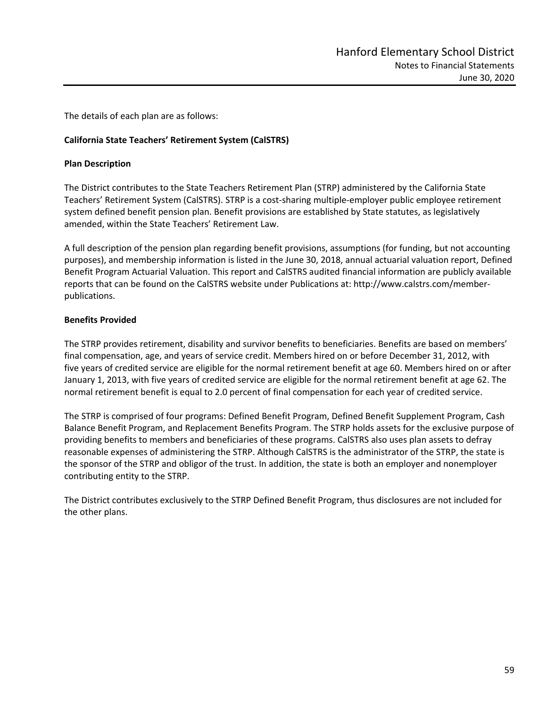The details of each plan are as follows:

#### **California State Teachers' Retirement System (CalSTRS)**

#### **Plan Description**

The District contributes to the State Teachers Retirement Plan (STRP) administered by the California State Teachers' Retirement System (CalSTRS). STRP is a cost‐sharing multiple‐employer public employee retirement system defined benefit pension plan. Benefit provisions are established by State statutes, as legislatively amended, within the State Teachers' Retirement Law.

A full description of the pension plan regarding benefit provisions, assumptions (for funding, but not accounting purposes), and membership information is listed in the June 30, 2018, annual actuarial valuation report, Defined Benefit Program Actuarial Valuation. This report and CalSTRS audited financial information are publicly available reports that can be found on the CalSTRS website under Publications at: http://www.calstrs.com/member‐ publications.

#### **Benefits Provided**

The STRP provides retirement, disability and survivor benefits to beneficiaries. Benefits are based on members' final compensation, age, and years of service credit. Members hired on or before December 31, 2012, with five years of credited service are eligible for the normal retirement benefit at age 60. Members hired on or after January 1, 2013, with five years of credited service are eligible for the normal retirement benefit at age 62. The normal retirement benefit is equal to 2.0 percent of final compensation for each year of credited service.

The STRP is comprised of four programs: Defined Benefit Program, Defined Benefit Supplement Program, Cash Balance Benefit Program, and Replacement Benefits Program. The STRP holds assets for the exclusive purpose of providing benefits to members and beneficiaries of these programs. CalSTRS also uses plan assets to defray reasonable expenses of administering the STRP. Although CalSTRS is the administrator of the STRP, the state is the sponsor of the STRP and obligor of the trust. In addition, the state is both an employer and nonemployer contributing entity to the STRP.

The District contributes exclusively to the STRP Defined Benefit Program, thus disclosures are not included for the other plans.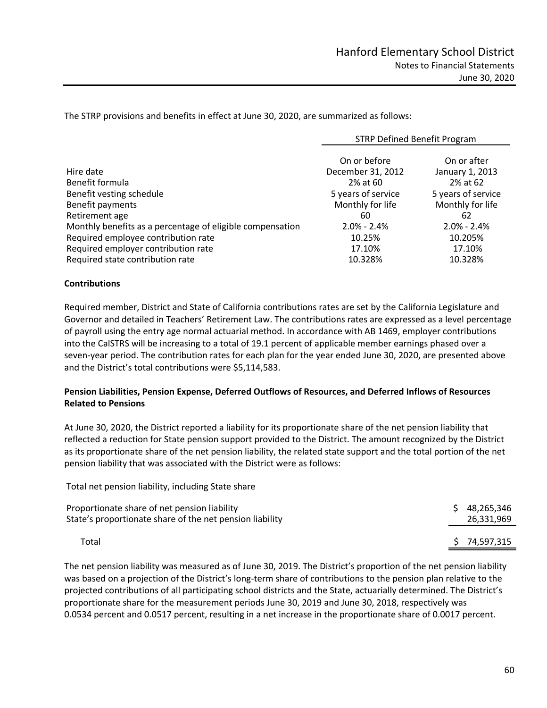The STRP provisions and benefits in effect at June 30, 2020, are summarized as follows:

|                                                           | <b>STRP Defined Benefit Program</b> |                    |  |
|-----------------------------------------------------------|-------------------------------------|--------------------|--|
|                                                           | On or before                        | On or after        |  |
| Hire date                                                 | December 31, 2012                   | January 1, 2013    |  |
| Benefit formula                                           | 2% at 60                            | 2% at 62           |  |
| Benefit vesting schedule                                  | 5 years of service                  | 5 years of service |  |
| Benefit payments                                          | Monthly for life                    | Monthly for life   |  |
| Retirement age                                            | 60                                  | 62                 |  |
| Monthly benefits as a percentage of eligible compensation | $2.0\% - 2.4\%$                     | $2.0\% - 2.4\%$    |  |
| Required employee contribution rate                       | 10.25%                              | 10.205%            |  |
| Required employer contribution rate                       | 17.10%                              | 17.10%             |  |
| Required state contribution rate                          | 10.328%                             | 10.328%            |  |

#### **Contributions**

Required member, District and State of California contributions rates are set by the California Legislature and Governor and detailed in Teachers' Retirement Law. The contributions rates are expressed as a level percentage of payroll using the entry age normal actuarial method. In accordance with AB 1469, employer contributions into the CalSTRS will be increasing to a total of 19.1 percent of applicable member earnings phased over a seven-year period. The contribution rates for each plan for the year ended June 30, 2020, are presented above and the District's total contributions were \$5,114,583.

### **Pension Liabilities, Pension Expense, Deferred Outflows of Resources, and Deferred Inflows of Resources Related to Pensions**

At June 30, 2020, the District reported a liability for its proportionate share of the net pension liability that reflected a reduction for State pension support provided to the District. The amount recognized by the District as its proportionate share of the net pension liability, the related state support and the total portion of the net pension liability that was associated with the District were as follows:

Total net pension liability, including State share

| Proportionate share of net pension liability<br>State's proportionate share of the net pension liability | 48,265,346<br>26,331,969 |
|----------------------------------------------------------------------------------------------------------|--------------------------|
| Total                                                                                                    | \$74,597,315             |

The net pension liability was measured as of June 30, 2019. The District's proportion of the net pension liability was based on a projection of the District's long-term share of contributions to the pension plan relative to the projected contributions of all participating school districts and the State, actuarially determined. The District's proportionate share for the measurement periods June 30, 2019 and June 30, 2018, respectively was 0.0534 percent and 0.0517 percent, resulting in a net increase in the proportionate share of 0.0017 percent.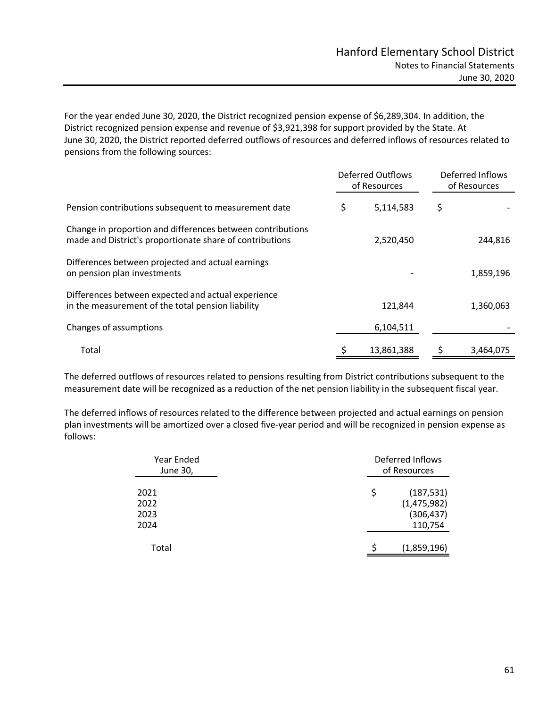For the year ended June 30, 2020, the District recognized pension expense of \$6,289,304. In addition, the District recognized pension expense and revenue of \$3,921,398 for support provided by the State. At June 30, 2020, the District reported deferred outflows of resources and deferred inflows of resources related to pensions from the following sources:

|                                                                                                                        | <b>Deferred Outflows</b><br>of Resources | Deferred Inflows<br>of Resources |
|------------------------------------------------------------------------------------------------------------------------|------------------------------------------|----------------------------------|
| Pension contributions subsequent to measurement date                                                                   | \$<br>5,114,583                          | \$                               |
| Change in proportion and differences between contributions<br>made and District's proportionate share of contributions | 2,520,450                                | 244,816                          |
| Differences between projected and actual earnings<br>on pension plan investments                                       |                                          | 1,859,196                        |
| Differences between expected and actual experience<br>in the measurement of the total pension liability                | 121,844                                  | 1,360,063                        |
| Changes of assumptions                                                                                                 | 6,104,511                                |                                  |
| Total                                                                                                                  | 13,861,388                               | 3,464,075                        |

The deferred outflows of resources related to pensions resulting from District contributions subsequent to the measurement date will be recognized as a reduction of the net pension liability in the subsequent fiscal year.

The deferred inflows of resources related to the difference between projected and actual earnings on pension plan investments will be amortized over a closed five‐year period and will be recognized in pension expense as follows:

| Year Ended<br>June 30,       | Deferred Inflows<br>of Resources |                                                    |  |
|------------------------------|----------------------------------|----------------------------------------------------|--|
| 2021<br>2022<br>2023<br>2024 | \$                               | (187, 531)<br>(1,475,982)<br>(306, 437)<br>110,754 |  |
| Total                        |                                  | (1,859,196)                                        |  |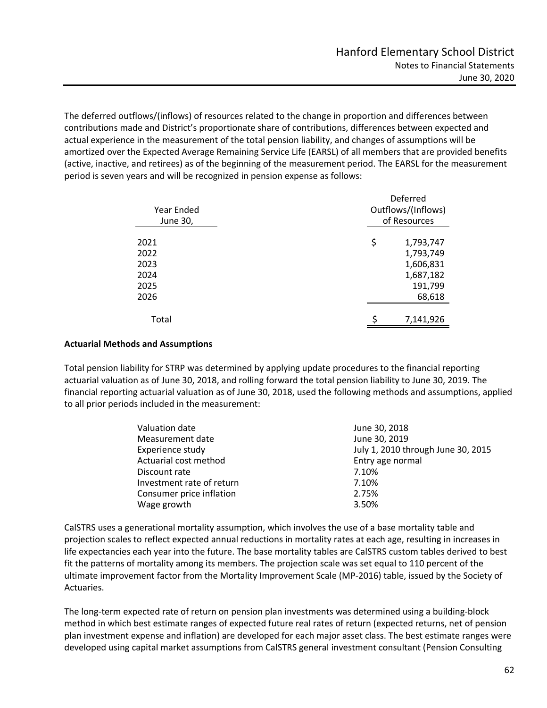The deferred outflows/(inflows) of resources related to the change in proportion and differences between contributions made and District's proportionate share of contributions, differences between expected and actual experience in the measurement of the total pension liability, and changes of assumptions will be amortized over the Expected Average Remaining Service Life (EARSL) of all members that are provided benefits (active, inactive, and retirees) as of the beginning of the measurement period. The EARSL for the measurement period is seven years and will be recognized in pension expense as follows:

| Year Ended<br>June 30,                       | Deferred<br>Outflows/(Inflows)<br>of Resources                              |  |
|----------------------------------------------|-----------------------------------------------------------------------------|--|
| 2021<br>2022<br>2023<br>2024<br>2025<br>2026 | \$<br>1,793,747<br>1,793,749<br>1,606,831<br>1,687,182<br>191,799<br>68,618 |  |
| Total                                        | ς<br>7,141,926                                                              |  |

#### **Actuarial Methods and Assumptions**

Total pension liability for STRP was determined by applying update procedures to the financial reporting actuarial valuation as of June 30, 2018, and rolling forward the total pension liability to June 30, 2019. The financial reporting actuarial valuation as of June 30, 2018, used the following methods and assumptions, applied to all prior periods included in the measurement:

| Valuation date            | June 30, 2018                      |
|---------------------------|------------------------------------|
| Measurement date          | June 30, 2019                      |
| Experience study          | July 1, 2010 through June 30, 2015 |
| Actuarial cost method     | Entry age normal                   |
| Discount rate             | 7.10%                              |
| Investment rate of return | 7.10%                              |
| Consumer price inflation  | 2.75%                              |
| Wage growth               | 3.50%                              |

CalSTRS uses a generational mortality assumption, which involves the use of a base mortality table and projection scales to reflect expected annual reductions in mortality rates at each age, resulting in increases in life expectancies each year into the future. The base mortality tables are CalSTRS custom tables derived to best fit the patterns of mortality among its members. The projection scale was set equal to 110 percent of the ultimate improvement factor from the Mortality Improvement Scale (MP‐2016) table, issued by the Society of Actuaries.

The long‐term expected rate of return on pension plan investments was determined using a building‐block method in which best estimate ranges of expected future real rates of return (expected returns, net of pension plan investment expense and inflation) are developed for each major asset class. The best estimate ranges were developed using capital market assumptions from CalSTRS general investment consultant (Pension Consulting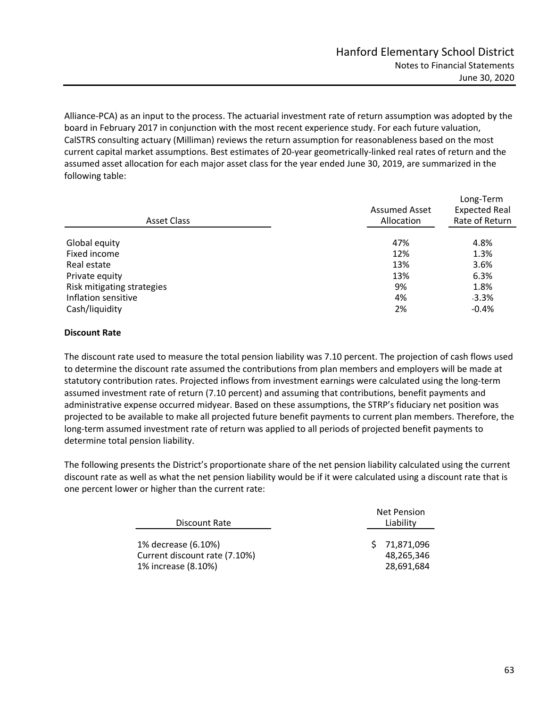Alliance‐PCA) as an input to the process. The actuarial investment rate of return assumption was adopted by the board in February 2017 in conjunction with the most recent experience study. For each future valuation, CalSTRS consulting actuary (Milliman) reviews the return assumption for reasonableness based on the most current capital market assumptions. Best estimates of 20‐year geometrically‐linked real rates of return and the assumed asset allocation for each major asset class for the year ended June 30, 2019, are summarized in the following table:

| <b>Asset Class</b>         | <b>Assumed Asset</b><br>Allocation | Long-Term<br><b>Expected Real</b><br>Rate of Return |
|----------------------------|------------------------------------|-----------------------------------------------------|
| Global equity              | 47%                                | 4.8%                                                |
| Fixed income               | 12%                                | 1.3%                                                |
| Real estate                | 13%                                | 3.6%                                                |
| Private equity             | 13%                                | 6.3%                                                |
| Risk mitigating strategies | 9%                                 | 1.8%                                                |
| Inflation sensitive        | 4%                                 | $-3.3%$                                             |
| Cash/liquidity             | 2%                                 | $-0.4%$                                             |

### **Discount Rate**

The discount rate used to measure the total pension liability was 7.10 percent. The projection of cash flows used to determine the discount rate assumed the contributions from plan members and employers will be made at statutory contribution rates. Projected inflows from investment earnings were calculated using the long‐term assumed investment rate of return (7.10 percent) and assuming that contributions, benefit payments and administrative expense occurred midyear. Based on these assumptions, the STRP's fiduciary net position was projected to be available to make all projected future benefit payments to current plan members. Therefore, the long‐term assumed investment rate of return was applied to all periods of projected benefit payments to determine total pension liability.

The following presents the District's proportionate share of the net pension liability calculated using the current discount rate as well as what the net pension liability would be if it were calculated using a discount rate that is one percent lower or higher than the current rate:

| Discount Rate                                                               |  |  | <b>Net Pension</b><br>Liability          |
|-----------------------------------------------------------------------------|--|--|------------------------------------------|
| 1% decrease (6.10%)<br>Current discount rate (7.10%)<br>1% increase (8.10%) |  |  | \$71,871,096<br>48,265,346<br>28,691,684 |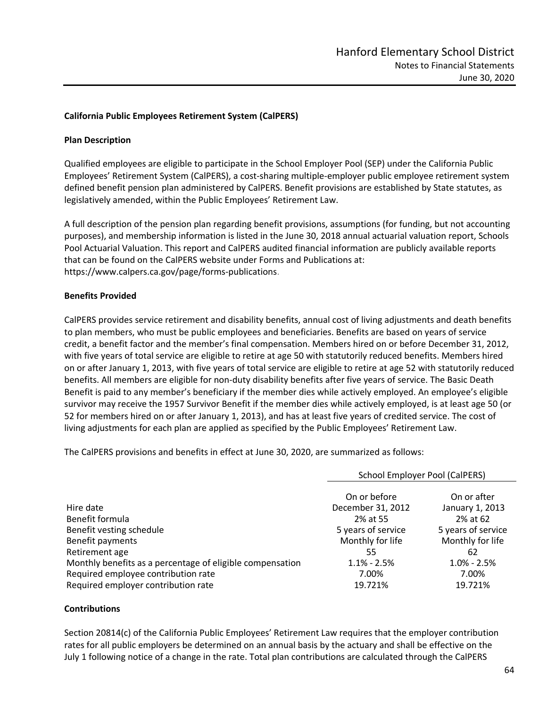#### **California Public Employees Retirement System (CalPERS)**

#### **Plan Description**

Qualified employees are eligible to participate in the School Employer Pool (SEP) under the California Public Employees' Retirement System (CalPERS), a cost‐sharing multiple‐employer public employee retirement system defined benefit pension plan administered by CalPERS. Benefit provisions are established by State statutes, as legislatively amended, within the Public Employees' Retirement Law.

A full description of the pension plan regarding benefit provisions, assumptions (for funding, but not accounting purposes), and membership information is listed in the June 30, 2018 annual actuarial valuation report, Schools Pool Actuarial Valuation. This report and CalPERS audited financial information are publicly available reports that can be found on the CalPERS website under Forms and Publications at: https://www.calpers.ca.gov/page/forms‐publications.

#### **Benefits Provided**

CalPERS provides service retirement and disability benefits, annual cost of living adjustments and death benefits to plan members, who must be public employees and beneficiaries. Benefits are based on years of service credit, a benefit factor and the member's final compensation. Members hired on or before December 31, 2012, with five years of total service are eligible to retire at age 50 with statutorily reduced benefits. Members hired on or after January 1, 2013, with five years of total service are eligible to retire at age 52 with statutorily reduced benefits. All members are eligible for non‐duty disability benefits after five years of service. The Basic Death Benefit is paid to any member's beneficiary if the member dies while actively employed. An employee's eligible survivor may receive the 1957 Survivor Benefit if the member dies while actively employed, is at least age 50 (or 52 for members hired on or after January 1, 2013), and has at least five years of credited service. The cost of living adjustments for each plan are applied as specified by the Public Employees' Retirement Law.

The CalPERS provisions and benefits in effect at June 30, 2020, are summarized as follows:

|                                                           | School Employer Pool (CalPERS) |                    |  |
|-----------------------------------------------------------|--------------------------------|--------------------|--|
|                                                           | On or before                   | On or after        |  |
| Hire date                                                 | December 31, 2012              | January 1, 2013    |  |
| Benefit formula                                           | 2% at 55                       | 2% at 62           |  |
| Benefit vesting schedule                                  | 5 years of service             | 5 years of service |  |
| Benefit payments                                          | Monthly for life               | Monthly for life   |  |
| Retirement age                                            | 55                             | 62                 |  |
| Monthly benefits as a percentage of eligible compensation | $1.1\% - 2.5\%$                | $1.0\% - 2.5\%$    |  |
| Required employee contribution rate                       | 7.00%                          | 7.00%              |  |
| Required employer contribution rate                       | 19.721%                        | 19.721%            |  |

#### **Contributions**

Section 20814(c) of the California Public Employees' Retirement Law requires that the employer contribution rates for all public employers be determined on an annual basis by the actuary and shall be effective on the July 1 following notice of a change in the rate. Total plan contributions are calculated through the CalPERS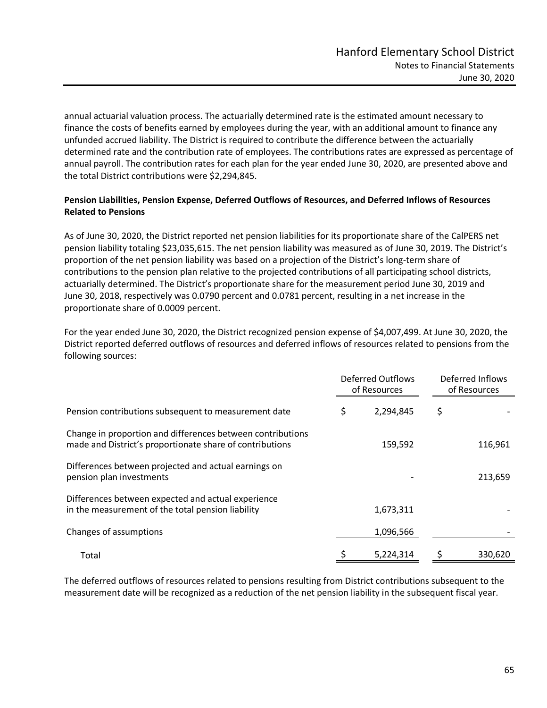annual actuarial valuation process. The actuarially determined rate is the estimated amount necessary to finance the costs of benefits earned by employees during the year, with an additional amount to finance any unfunded accrued liability. The District is required to contribute the difference between the actuarially determined rate and the contribution rate of employees. The contributions rates are expressed as percentage of annual payroll. The contribution rates for each plan for the year ended June 30, 2020, are presented above and the total District contributions were \$2,294,845.

## **Pension Liabilities, Pension Expense, Deferred Outflows of Resources, and Deferred Inflows of Resources Related to Pensions**

As of June 30, 2020, the District reported net pension liabilities for its proportionate share of the CalPERS net pension liability totaling \$23,035,615. The net pension liability was measured as of June 30, 2019. The District's proportion of the net pension liability was based on a projection of the District's long‐term share of contributions to the pension plan relative to the projected contributions of all participating school districts, actuarially determined. The District's proportionate share for the measurement period June 30, 2019 and June 30, 2018, respectively was 0.0790 percent and 0.0781 percent, resulting in a net increase in the proportionate share of 0.0009 percent.

For the year ended June 30, 2020, the District recognized pension expense of \$4,007,499. At June 30, 2020, the District reported deferred outflows of resources and deferred inflows of resources related to pensions from the following sources:

|                                                                                                                        | Deferred Outflows<br>of Resources |           | Deferred Inflows<br>of Resources |         |
|------------------------------------------------------------------------------------------------------------------------|-----------------------------------|-----------|----------------------------------|---------|
| Pension contributions subsequent to measurement date                                                                   | \$                                | 2,294,845 | \$                               |         |
| Change in proportion and differences between contributions<br>made and District's proportionate share of contributions |                                   | 159,592   |                                  | 116,961 |
| Differences between projected and actual earnings on<br>pension plan investments                                       |                                   |           |                                  | 213,659 |
| Differences between expected and actual experience<br>in the measurement of the total pension liability                |                                   | 1,673,311 |                                  |         |
| Changes of assumptions                                                                                                 |                                   | 1,096,566 |                                  |         |
| Total                                                                                                                  |                                   | 5,224,314 |                                  | 330,620 |

The deferred outflows of resources related to pensions resulting from District contributions subsequent to the measurement date will be recognized as a reduction of the net pension liability in the subsequent fiscal year.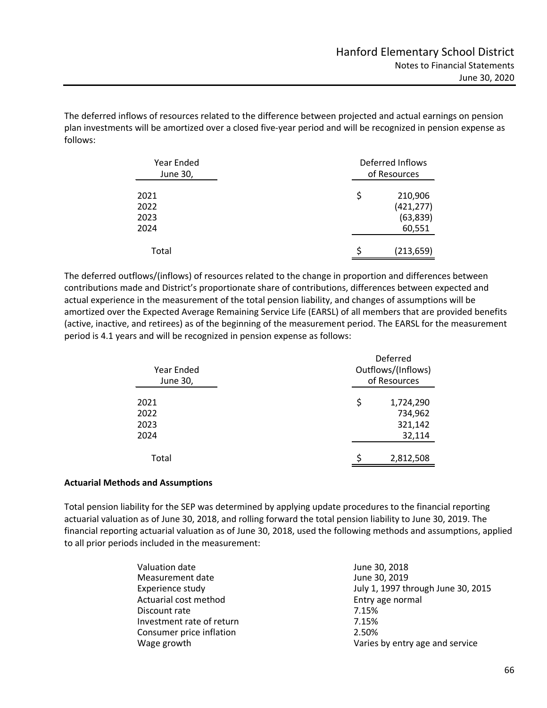The deferred inflows of resources related to the difference between projected and actual earnings on pension plan investments will be amortized over a closed five‐year period and will be recognized in pension expense as follows:

| Year Ended<br>June 30,       | Deferred Inflows<br>of Resources                   |  |  |
|------------------------------|----------------------------------------------------|--|--|
| 2021<br>2022<br>2023<br>2024 | \$<br>210,906<br>(421, 277)<br>(63, 839)<br>60,551 |  |  |
| Total                        | (213, 659)                                         |  |  |

The deferred outflows/(inflows) of resources related to the change in proportion and differences between contributions made and District's proportionate share of contributions, differences between expected and actual experience in the measurement of the total pension liability, and changes of assumptions will be amortized over the Expected Average Remaining Service Life (EARSL) of all members that are provided benefits (active, inactive, and retirees) as of the beginning of the measurement period. The EARSL for the measurement period is 4.1 years and will be recognized in pension expense as follows:

| Year Ended<br>June 30,       | Deferred<br>Outflows/(Inflows)<br>of Resources  |
|------------------------------|-------------------------------------------------|
| 2021<br>2022<br>2023<br>2024 | \$<br>1,724,290<br>734,962<br>321,142<br>32,114 |
| Total                        | 2,812,508                                       |

### **Actuarial Methods and Assumptions**

Total pension liability for the SEP was determined by applying update procedures to the financial reporting actuarial valuation as of June 30, 2018, and rolling forward the total pension liability to June 30, 2019. The financial reporting actuarial valuation as of June 30, 2018, used the following methods and assumptions, applied to all prior periods included in the measurement:

| Valuation date            | June 30, 2018                      |
|---------------------------|------------------------------------|
|                           |                                    |
| Measurement date          | June 30, 2019                      |
| Experience study          | July 1, 1997 through June 30, 2015 |
| Actuarial cost method     | Entry age normal                   |
| Discount rate             | 7.15%                              |
| Investment rate of return | 7.15%                              |
| Consumer price inflation  | 2.50%                              |
| Wage growth               | Varies by entry age and service    |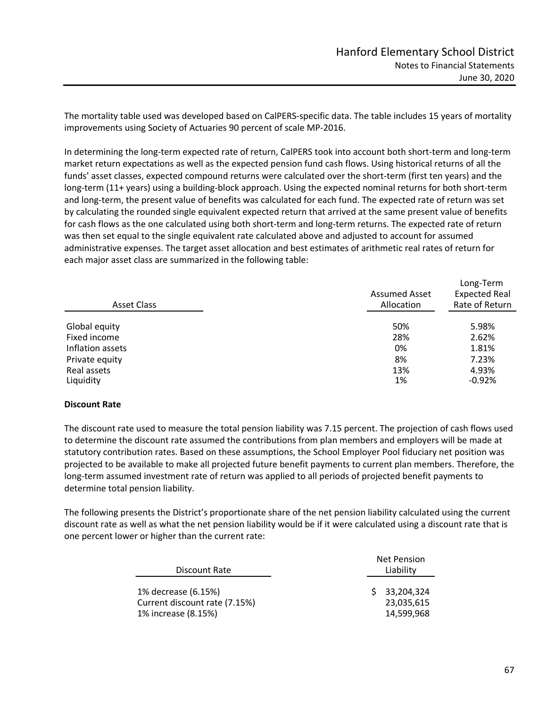The mortality table used was developed based on CalPERS‐specific data. The table includes 15 years of mortality improvements using Society of Actuaries 90 percent of scale MP‐2016.

In determining the long‐term expected rate of return, CalPERS took into account both short‐term and long‐term market return expectations as well as the expected pension fund cash flows. Using historical returns of all the funds' asset classes, expected compound returns were calculated over the short-term (first ten years) and the long-term (11+ years) using a building-block approach. Using the expected nominal returns for both short-term and long‐term, the present value of benefits was calculated for each fund. The expected rate of return was set by calculating the rounded single equivalent expected return that arrived at the same present value of benefits for cash flows as the one calculated using both short-term and long-term returns. The expected rate of return was then set equal to the single equivalent rate calculated above and adjusted to account for assumed administrative expenses. The target asset allocation and best estimates of arithmetic real rates of return for each major asset class are summarized in the following table:

| <b>Asset Class</b> | Assumed Asset<br>Allocation | Long-Term<br><b>Expected Real</b><br>Rate of Return |
|--------------------|-----------------------------|-----------------------------------------------------|
| Global equity      | 50%                         | 5.98%                                               |
| Fixed income       | 28%                         | 2.62%                                               |
| Inflation assets   | 0%                          | 1.81%                                               |
| Private equity     | 8%                          | 7.23%                                               |
| Real assets        | 13%                         | 4.93%                                               |
| Liquidity          | 1%                          | $-0.92%$                                            |

#### **Discount Rate**

The discount rate used to measure the total pension liability was 7.15 percent. The projection of cash flows used to determine the discount rate assumed the contributions from plan members and employers will be made at statutory contribution rates. Based on these assumptions, the School Employer Pool fiduciary net position was projected to be available to make all projected future benefit payments to current plan members. Therefore, the long‐term assumed investment rate of return was applied to all periods of projected benefit payments to determine total pension liability.

The following presents the District's proportionate share of the net pension liability calculated using the current discount rate as well as what the net pension liability would be if it were calculated using a discount rate that is one percent lower or higher than the current rate:

| Discount Rate                 | <b>Net Pension</b><br>Liability |
|-------------------------------|---------------------------------|
| 1% decrease (6.15%)           | 33,204,324                      |
| Current discount rate (7.15%) | 23,035,615                      |
| 1% increase (8.15%)           | 14,599,968                      |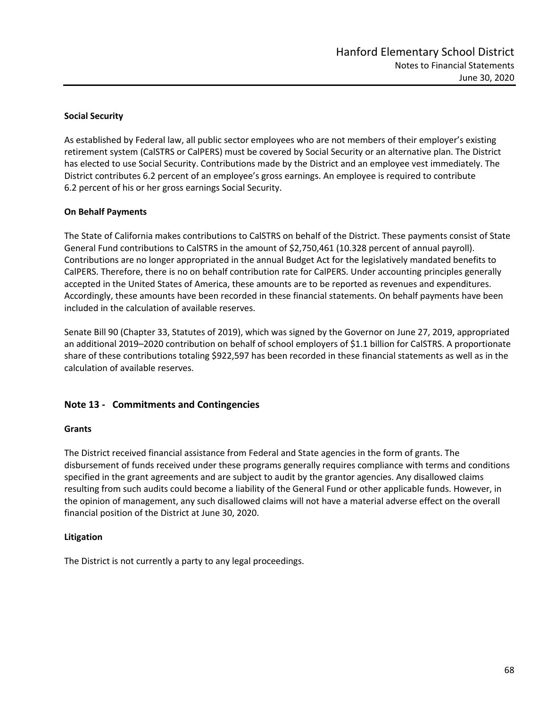## **Social Security**

As established by Federal law, all public sector employees who are not members of their employer's existing retirement system (CalSTRS or CalPERS) must be covered by Social Security or an alternative plan. The District has elected to use Social Security. Contributions made by the District and an employee vest immediately. The District contributes 6.2 percent of an employee's gross earnings. An employee is required to contribute 6.2 percent of his or her gross earnings Social Security.

## **On Behalf Payments**

The State of California makes contributions to CalSTRS on behalf of the District. These payments consist of State General Fund contributions to CalSTRS in the amount of \$2,750,461 (10.328 percent of annual payroll). Contributions are no longer appropriated in the annual Budget Act for the legislatively mandated benefits to CalPERS. Therefore, there is no on behalf contribution rate for CalPERS. Under accounting principles generally accepted in the United States of America, these amounts are to be reported as revenues and expenditures. Accordingly, these amounts have been recorded in these financial statements. On behalf payments have been included in the calculation of available reserves.

Senate Bill 90 (Chapter 33, Statutes of 2019), which was signed by the Governor on June 27, 2019, appropriated an additional 2019–2020 contribution on behalf of school employers of \$1.1 billion for CalSTRS. A proportionate share of these contributions totaling \$922,597 has been recorded in these financial statements as well as in the calculation of available reserves.

## **Note 13 ‐ Commitments and Contingencies**

### **Grants**

The District received financial assistance from Federal and State agencies in the form of grants. The disbursement of funds received under these programs generally requires compliance with terms and conditions specified in the grant agreements and are subject to audit by the grantor agencies. Any disallowed claims resulting from such audits could become a liability of the General Fund or other applicable funds. However, in the opinion of management, any such disallowed claims will not have a material adverse effect on the overall financial position of the District at June 30, 2020.

### **Litigation**

The District is not currently a party to any legal proceedings.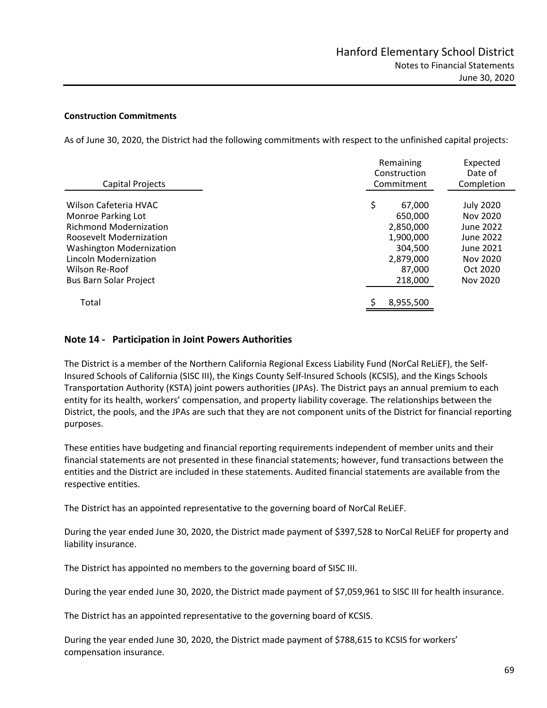### **Construction Commitments**

As of June 30, 2020, the District had the following commitments with respect to the unfinished capital projects:

| Capital Projects                | Remaining<br>Construction<br>Commitment | Expected<br>Date of<br>Completion |
|---------------------------------|-----------------------------------------|-----------------------------------|
| Wilson Cafeteria HVAC           | \$<br>67,000                            | <b>July 2020</b>                  |
| Monroe Parking Lot              | 650,000                                 | Nov 2020                          |
| <b>Richmond Modernization</b>   | 2,850,000                               | June 2022                         |
| Roosevelt Modernization         | 1,900,000                               | June 2022                         |
| <b>Washington Modernization</b> | 304,500                                 | June 2021                         |
| Lincoln Modernization           | 2,879,000                               | Nov 2020                          |
| Wilson Re-Roof                  | 87,000                                  | Oct 2020                          |
| <b>Bus Barn Solar Project</b>   | 218,000                                 | Nov 2020                          |
| Total                           | 8,955,500                               |                                   |

## **Note 14 ‐ Participation in Joint Powers Authorities**

The District is a member of the Northern California Regional Excess Liability Fund (NorCal ReLiEF), the Self‐ Insured Schools of California (SISC III), the Kings County Self‐Insured Schools (KCSIS), and the Kings Schools Transportation Authority (KSTA) joint powers authorities (JPAs). The District pays an annual premium to each entity for its health, workers' compensation, and property liability coverage. The relationships between the District, the pools, and the JPAs are such that they are not component units of the District for financial reporting purposes.

These entities have budgeting and financial reporting requirements independent of member units and their financial statements are not presented in these financial statements; however, fund transactions between the entities and the District are included in these statements. Audited financial statements are available from the respective entities.

The District has an appointed representative to the governing board of NorCal ReLiEF.

During the year ended June 30, 2020, the District made payment of \$397,528 to NorCal ReLiEF for property and liability insurance.

The District has appointed no members to the governing board of SISC III.

During the year ended June 30, 2020, the District made payment of \$7,059,961 to SISC III for health insurance.

The District has an appointed representative to the governing board of KCSIS.

During the year ended June 30, 2020, the District made payment of \$788,615 to KCSIS for workers' compensation insurance.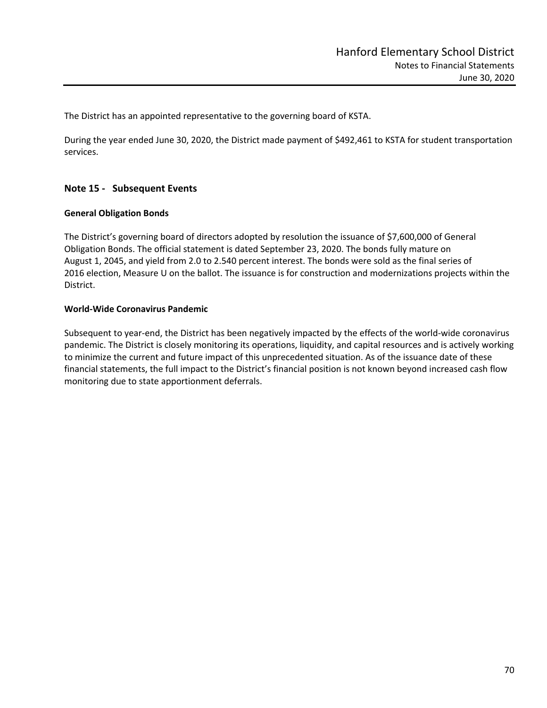The District has an appointed representative to the governing board of KSTA.

During the year ended June 30, 2020, the District made payment of \$492,461 to KSTA for student transportation services.

## **Note 15 ‐ Subsequent Events**

## **General Obligation Bonds**

The District's governing board of directors adopted by resolution the issuance of \$7,600,000 of General Obligation Bonds. The official statement is dated September 23, 2020. The bonds fully mature on August 1, 2045, and yield from 2.0 to 2.540 percent interest. The bonds were sold as the final series of 2016 election, Measure U on the ballot. The issuance is for construction and modernizations projects within the District.

## **World‐Wide Coronavirus Pandemic**

Subsequent to year‐end, the District has been negatively impacted by the effects of the world‐wide coronavirus pandemic. The District is closely monitoring its operations, liquidity, and capital resources and is actively working to minimize the current and future impact of this unprecedented situation. As of the issuance date of these financial statements, the full impact to the District's financial position is not known beyond increased cash flow monitoring due to state apportionment deferrals.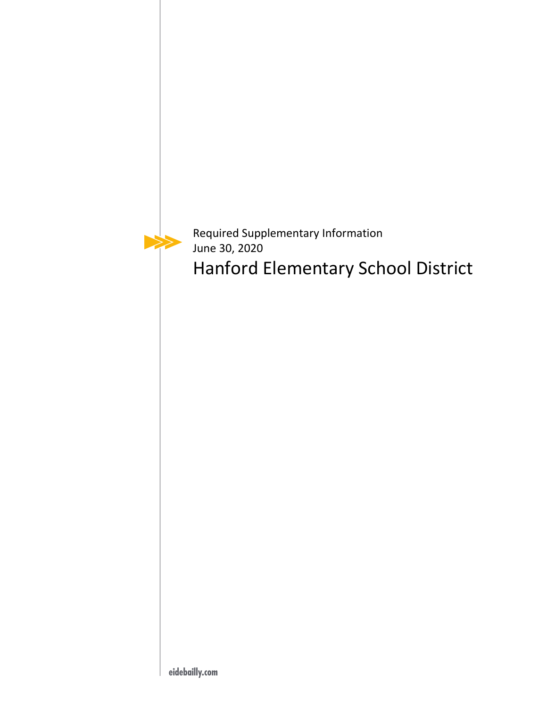

Required Supplementary Information June 30, 2020 Hanford Elementary School District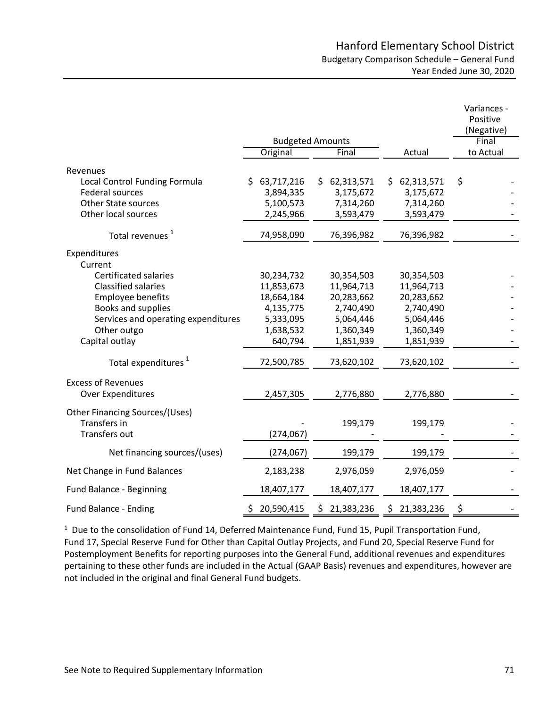|                                                                                                                                                                                                                 |                                                                                          |                                                                                            |                                                                                            | Variances -<br>Positive<br>(Negative) |
|-----------------------------------------------------------------------------------------------------------------------------------------------------------------------------------------------------------------|------------------------------------------------------------------------------------------|--------------------------------------------------------------------------------------------|--------------------------------------------------------------------------------------------|---------------------------------------|
|                                                                                                                                                                                                                 | <b>Budgeted Amounts</b>                                                                  |                                                                                            |                                                                                            | Final                                 |
|                                                                                                                                                                                                                 | Original                                                                                 | Final                                                                                      | Actual                                                                                     | to Actual                             |
| Revenues<br>Local Control Funding Formula<br><b>Federal sources</b><br><b>Other State sources</b><br>Other local sources                                                                                        | 63,717,216<br>S.<br>3,894,335<br>5,100,573<br>2,245,966                                  | \$62,313,571<br>3,175,672<br>7,314,260<br>3,593,479                                        | \$62,313,571<br>3,175,672<br>7,314,260<br>3,593,479                                        | \$                                    |
| Total revenues <sup>1</sup>                                                                                                                                                                                     | 74,958,090                                                                               | 76,396,982                                                                                 | 76,396,982                                                                                 |                                       |
| Expenditures<br>Current<br><b>Certificated salaries</b><br><b>Classified salaries</b><br><b>Employee benefits</b><br>Books and supplies<br>Services and operating expenditures<br>Other outgo<br>Capital outlay | 30,234,732<br>11,853,673<br>18,664,184<br>4,135,775<br>5,333,095<br>1,638,532<br>640,794 | 30,354,503<br>11,964,713<br>20,283,662<br>2,740,490<br>5,064,446<br>1,360,349<br>1,851,939 | 30,354,503<br>11,964,713<br>20,283,662<br>2,740,490<br>5,064,446<br>1,360,349<br>1,851,939 |                                       |
| Total expenditures <sup>1</sup>                                                                                                                                                                                 | 72,500,785                                                                               | 73,620,102                                                                                 | 73,620,102                                                                                 |                                       |
| <b>Excess of Revenues</b><br>Over Expenditures                                                                                                                                                                  | 2,457,305                                                                                | 2,776,880                                                                                  | 2,776,880                                                                                  |                                       |
| Other Financing Sources/(Uses)<br>Transfers in<br>Transfers out                                                                                                                                                 | (274, 067)                                                                               | 199,179                                                                                    | 199,179                                                                                    |                                       |
| Net financing sources/(uses)                                                                                                                                                                                    | (274, 067)                                                                               | 199,179                                                                                    | 199,179                                                                                    |                                       |
| Net Change in Fund Balances                                                                                                                                                                                     | 2,183,238                                                                                | 2,976,059                                                                                  | 2,976,059                                                                                  |                                       |
| Fund Balance - Beginning                                                                                                                                                                                        | 18,407,177                                                                               | 18,407,177                                                                                 | 18,407,177                                                                                 |                                       |
| Fund Balance - Ending                                                                                                                                                                                           | \$20,590,415                                                                             | \$<br>21,383,236                                                                           | 21,383,236<br>\$                                                                           | \$                                    |

 $1$  Due to the consolidation of Fund 14, Deferred Maintenance Fund, Fund 15, Pupil Transportation Fund, Fund 17, Special Reserve Fund for Other than Capital Outlay Projects, and Fund 20, Special Reserve Fund for Postemployment Benefits for reporting purposes into the General Fund, additional revenues and expenditures pertaining to these other funds are included in the Actual (GAAP Basis) revenues and expenditures, however are not included in the original and final General Fund budgets.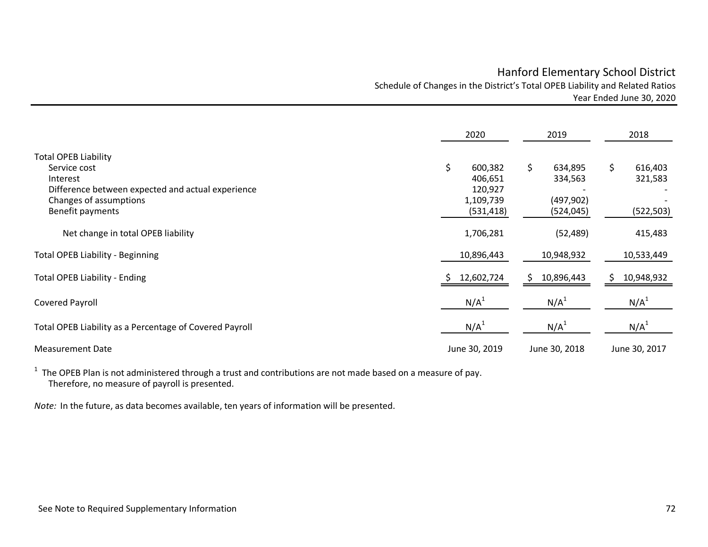# Hanford Elementary School District Schedule of Changes in the District's Total OPEB Liability and Related Ratios Year Ended June 30, 2020

|                                                                                                                                        | 2020                                             | 2019                                   | 2018                     |
|----------------------------------------------------------------------------------------------------------------------------------------|--------------------------------------------------|----------------------------------------|--------------------------|
| <b>Total OPEB Liability</b><br>Service cost<br>Interest<br>Difference between expected and actual experience<br>Changes of assumptions | \$<br>600,382<br>406,651<br>120,927<br>1,109,739 | \$.<br>634,895<br>334,563<br>(497,902) | \$<br>616,403<br>321,583 |
| Benefit payments<br>Net change in total OPEB liability                                                                                 | (531, 418)<br>1,706,281                          | (524, 045)<br>(52, 489)                | (522, 503)<br>415,483    |
| <b>Total OPEB Liability - Beginning</b>                                                                                                | 10,896,443                                       | 10,948,932                             | 10,533,449               |
| <b>Total OPEB Liability - Ending</b>                                                                                                   | 12,602,724                                       | 10,896,443<br>S                        | 10,948,932<br>S          |
| <b>Covered Payroll</b>                                                                                                                 | N/A <sup>1</sup>                                 | N/A <sup>1</sup>                       | N/A <sup>1</sup>         |
| Total OPEB Liability as a Percentage of Covered Payroll                                                                                | N/A <sup>1</sup>                                 | N/A <sup>1</sup>                       | N/A <sup>1</sup>         |
| <b>Measurement Date</b>                                                                                                                | June 30, 2019                                    | June 30, 2018                          | June 30, 2017            |

 $1$  The OPEB Plan is not administered through a trust and contributions are not made based on a measure of pay. Therefore, no measure of payroll is presented.

*Note:* In the future, as data becomes available, ten years of information will be presented.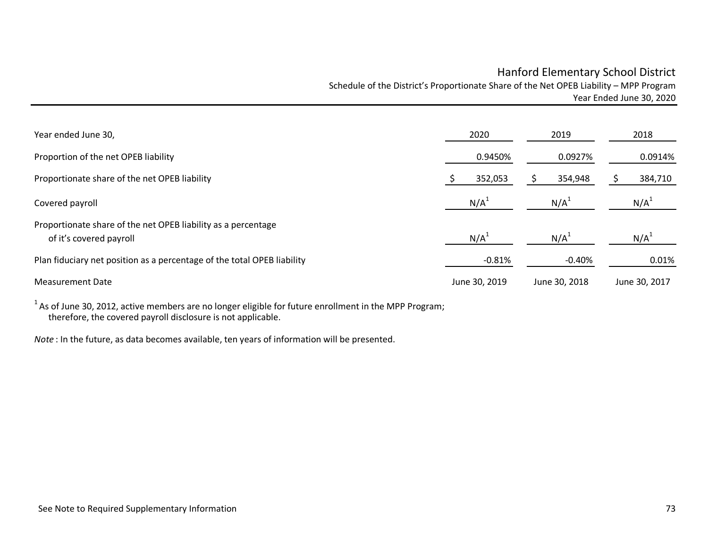# Hanford Elementary School District Schedule of the District's Proportionate Share of the Net OPEB Liability – MPP Program Year Ended June 30, 2020

| Year ended June 30,                                                                      | 2020             | 2019             | 2018             |
|------------------------------------------------------------------------------------------|------------------|------------------|------------------|
| Proportion of the net OPEB liability                                                     | 0.9450%          | 0.0927%          | 0.0914%          |
| Proportionate share of the net OPEB liability                                            | 352,053          | 354,948          | 384,710          |
| Covered payroll                                                                          | N/A <sup>1</sup> | N/A <sup>1</sup> | N/A <sup>1</sup> |
| Proportionate share of the net OPEB liability as a percentage<br>of it's covered payroll | N/A <sup>1</sup> | N/A <sup>1</sup> | N/A <sup>1</sup> |
| Plan fiduciary net position as a percentage of the total OPEB liability                  | $-0.81%$         | $-0.40\%$        | $0.01\%$         |
| <b>Measurement Date</b>                                                                  | June 30, 2019    | June 30, 2018    | June 30, 2017    |

 $^{\rm 1}$  As of June 30, 2012, active members are no longer eligible for future enrollment in the MPP Program; therefore, the covered payroll disclosure is not applicable.

*Note* : In the future, as data becomes available, ten years of information will be presented.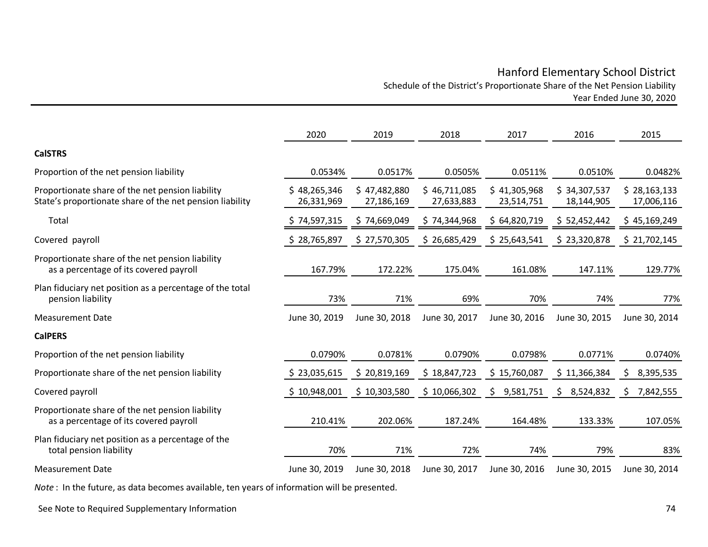# Hanford Elementary School District Schedule of the District's Proportionate Share of the Net Pension Liability Year Ended June 30, 2020

|                                                                                                              | 2020                       | 2019                       | 2018                       | 2017                       | 2016                       | 2015                       |
|--------------------------------------------------------------------------------------------------------------|----------------------------|----------------------------|----------------------------|----------------------------|----------------------------|----------------------------|
| <b>CalSTRS</b>                                                                                               |                            |                            |                            |                            |                            |                            |
| Proportion of the net pension liability                                                                      | 0.0534%                    | 0.0517%                    | 0.0505%                    | 0.0511%                    | 0.0510%                    | 0.0482%                    |
| Proportionate share of the net pension liability<br>State's proportionate share of the net pension liability | \$48,265,346<br>26,331,969 | \$47,482,880<br>27,186,169 | \$46,711,085<br>27,633,883 | \$41,305,968<br>23,514,751 | \$34,307,537<br>18,144,905 | \$28,163,133<br>17,006,116 |
| Total                                                                                                        | \$74,597,315               | \$74,669,049               | \$74,344,968               | \$64,820,719               | \$ 52,452,442              | \$45,169,249               |
| Covered payroll                                                                                              | \$28,765,897               | \$27,570,305               | \$26,685,429               | \$25,643,541               | \$23,320,878               | \$21,702,145               |
| Proportionate share of the net pension liability<br>as a percentage of its covered payroll                   | 167.79%                    | 172.22%                    | 175.04%                    | 161.08%                    | 147.11%                    | 129.77%                    |
| Plan fiduciary net position as a percentage of the total<br>pension liability                                | 73%                        | 71%                        | 69%                        | 70%                        | 74%                        | 77%                        |
| <b>Measurement Date</b>                                                                                      | June 30, 2019              | June 30, 2018              | June 30, 2017              | June 30, 2016              | June 30, 2015              | June 30, 2014              |
| <b>CalPERS</b>                                                                                               |                            |                            |                            |                            |                            |                            |
| Proportion of the net pension liability                                                                      | 0.0790%                    | 0.0781%                    | 0.0790%                    | 0.0798%                    | 0.0771%                    | 0.0740%                    |
| Proportionate share of the net pension liability                                                             | \$23,035,615               | \$20,819,169               | \$18,847,723               | \$15,760,087               | \$11,366,384               | 8,395,535                  |
| Covered payroll                                                                                              | \$10,948,001               | \$10,303,580               | \$10,066,302               | 9,581,751                  | 8,524,832<br>S.            | 7,842,555                  |
| Proportionate share of the net pension liability<br>as a percentage of its covered payroll                   | 210.41%                    | 202.06%                    | 187.24%                    | 164.48%                    | 133.33%                    | 107.05%                    |
| Plan fiduciary net position as a percentage of the<br>total pension liability                                | 70%                        | 71%                        | 72%                        | 74%                        | 79%                        | 83%                        |
| <b>Measurement Date</b>                                                                                      | June 30, 2019              | June 30, 2018              | June 30, 2017              | June 30, 2016              | June 30, 2015              | June 30, 2014              |

*Note* : In the future, as data becomes available, ten years of information will be presented.

See Note to Required Supplementary Information *74*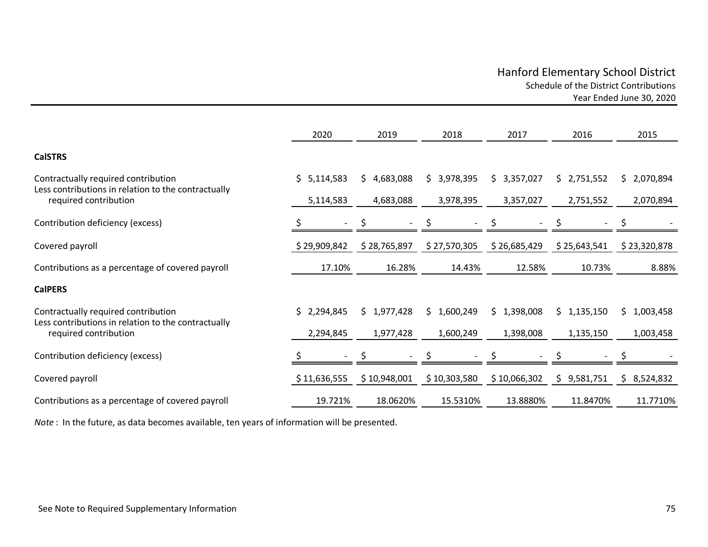# Hanford Elementary School District Schedule of the District Contributions Year Ended June 30, 2020

|                                                                                            | 2020         | 2019         | 2018         | 2017         | 2016            | 2015         |
|--------------------------------------------------------------------------------------------|--------------|--------------|--------------|--------------|-----------------|--------------|
| <b>CalSTRS</b>                                                                             |              |              |              |              |                 |              |
| Contractually required contribution<br>Less contributions in relation to the contractually | \$5,114,583  | \$4,683,088  | \$3,978,395  | \$3,357,027  | \$2,751,552     | \$2,070,894  |
| required contribution                                                                      | 5,114,583    | 4,683,088    | 3,978,395    | 3,357,027    | 2,751,552       | 2,070,894    |
| Contribution deficiency (excess)                                                           |              |              |              |              |                 |              |
| Covered payroll                                                                            | \$29,909,842 | \$28,765,897 | \$27,570,305 | \$26,685,429 | \$25,643,541    | \$23,320,878 |
| Contributions as a percentage of covered payroll                                           | 17.10%       | 16.28%       | 14.43%       | 12.58%       | 10.73%          | 8.88%        |
| <b>CalPERS</b>                                                                             |              |              |              |              |                 |              |
| Contractually required contribution<br>Less contributions in relation to the contractually | \$2,294,845  | \$1,977,428  | \$1,600,249  | \$1,398,008  | \$1,135,150     | \$1,003,458  |
| required contribution                                                                      | 2,294,845    | 1,977,428    | 1,600,249    | 1,398,008    | 1,135,150       | 1,003,458    |
| Contribution deficiency (excess)                                                           |              |              |              |              |                 |              |
| Covered payroll                                                                            | \$11,636,555 | \$10,948,001 | \$10,303,580 | \$10,066,302 | 9,581,751<br>S. | \$8,524,832  |
| Contributions as a percentage of covered payroll                                           | 19.721%      | 18.0620%     | 15.5310%     | 13.8880%     | 11.8470%        | 11.7710%     |

*Note* : In the future, as data becomes available, ten years of information will be presented.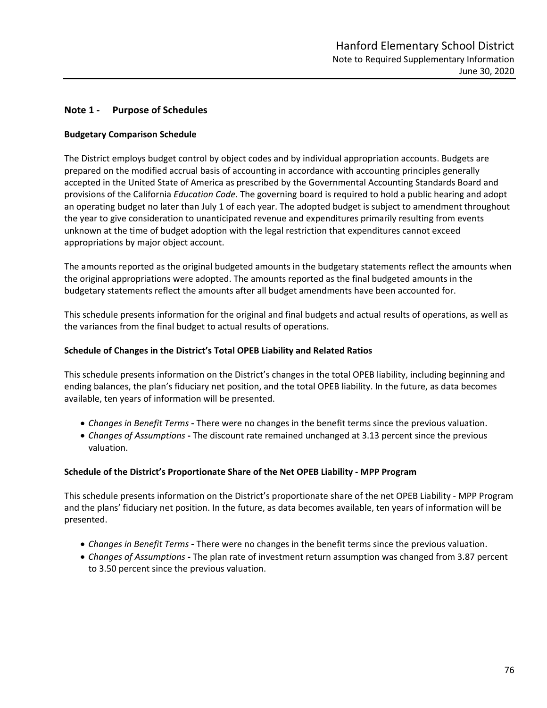## **Note 1 ‐ Purpose of Schedules**

## **Budgetary Comparison Schedule**

The District employs budget control by object codes and by individual appropriation accounts. Budgets are prepared on the modified accrual basis of accounting in accordance with accounting principles generally accepted in the United State of America as prescribed by the Governmental Accounting Standards Board and provisions of the California *Education Code*. The governing board is required to hold a public hearing and adopt an operating budget no later than July 1 of each year. The adopted budget is subject to amendment throughout the year to give consideration to unanticipated revenue and expenditures primarily resulting from events unknown at the time of budget adoption with the legal restriction that expenditures cannot exceed appropriations by major object account.

The amounts reported as the original budgeted amounts in the budgetary statements reflect the amounts when the original appropriations were adopted. The amounts reported as the final budgeted amounts in the budgetary statements reflect the amounts after all budget amendments have been accounted for.

This schedule presents information for the original and final budgets and actual results of operations, as well as the variances from the final budget to actual results of operations.

#### **Schedule of Changes in the District's Total OPEB Liability and Related Ratios**

This schedule presents information on the District's changes in the total OPEB liability, including beginning and ending balances, the plan's fiduciary net position, and the total OPEB liability. In the future, as data becomes available, ten years of information will be presented.

- *Changes in Benefit Terms* **‐** There were no changes in the benefit terms since the previous valuation.
- *Changes of Assumptions* **‐** The discount rate remained unchanged at 3.13 percent since the previous valuation.

## **Schedule of the District's Proportionate Share of the Net OPEB Liability ‐ MPP Program**

This schedule presents information on the District's proportionate share of the net OPEB Liability ‐ MPP Program and the plans' fiduciary net position. In the future, as data becomes available, ten years of information will be presented.

- *Changes in Benefit Terms* **‐** There were no changes in the benefit terms since the previous valuation.
- *Changes of Assumptions* **‐** The plan rate of investment return assumption was changed from 3.87 percent to 3.50 percent since the previous valuation.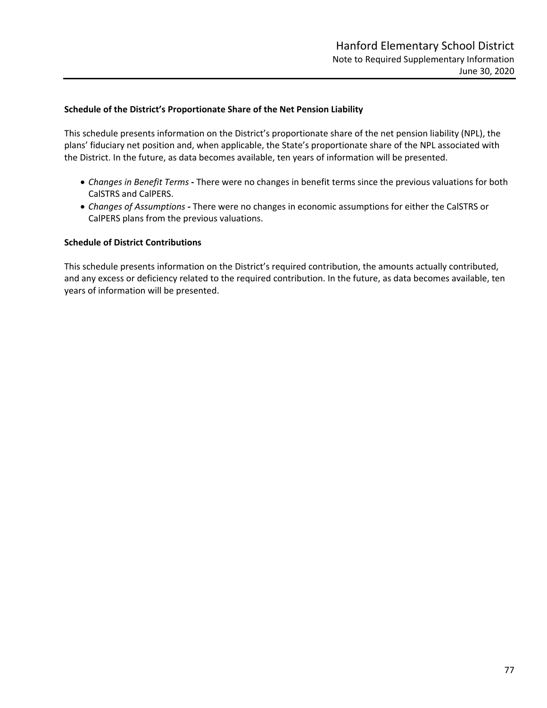## **Schedule of the District's Proportionate Share of the Net Pension Liability**

This schedule presents information on the District's proportionate share of the net pension liability (NPL), the plans' fiduciary net position and, when applicable, the State's proportionate share of the NPL associated with the District. In the future, as data becomes available, ten years of information will be presented.

- *Changes in Benefit Terms* **‐** There were no changes in benefit terms since the previous valuations for both CalSTRS and CalPERS.
- *Changes of Assumptions* **‐** There were no changes in economic assumptions for either the CalSTRS or CalPERS plans from the previous valuations.

#### **Schedule of District Contributions**

This schedule presents information on the District's required contribution, the amounts actually contributed, and any excess or deficiency related to the required contribution. In the future, as data becomes available, ten years of information will be presented.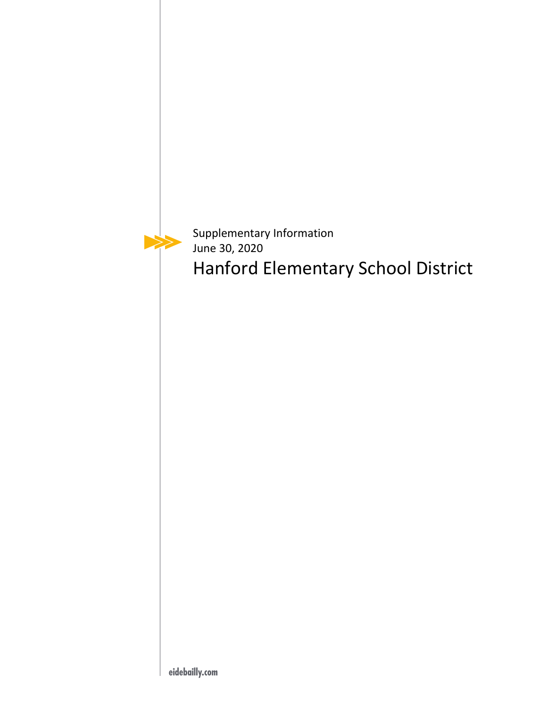⋗

Supplementary Information June 30, 2020 Hanford Elementary School District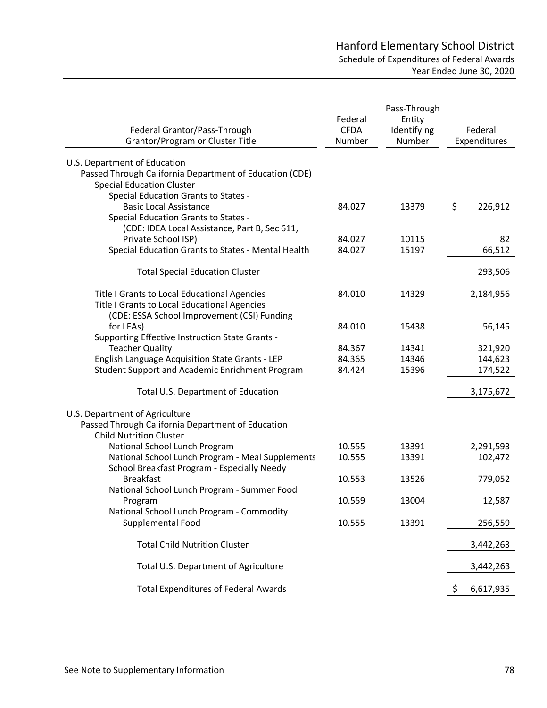|                                                                                         | Federal     | Pass-Through<br>Entity |                 |
|-----------------------------------------------------------------------------------------|-------------|------------------------|-----------------|
| Federal Grantor/Pass-Through                                                            | <b>CFDA</b> | Identifying            | Federal         |
| Grantor/Program or Cluster Title                                                        | Number      | Number                 | Expenditures    |
|                                                                                         |             |                        |                 |
| U.S. Department of Education<br>Passed Through California Department of Education (CDE) |             |                        |                 |
| <b>Special Education Cluster</b>                                                        |             |                        |                 |
| Special Education Grants to States -                                                    |             |                        |                 |
| <b>Basic Local Assistance</b>                                                           | 84.027      | 13379                  | \$<br>226,912   |
| Special Education Grants to States -                                                    |             |                        |                 |
| (CDE: IDEA Local Assistance, Part B, Sec 611,                                           |             |                        |                 |
| Private School ISP)                                                                     | 84.027      | 10115                  | 82              |
| Special Education Grants to States - Mental Health                                      | 84.027      | 15197                  | 66,512          |
| <b>Total Special Education Cluster</b>                                                  |             |                        | 293,506         |
| Title I Grants to Local Educational Agencies                                            | 84.010      | 14329                  | 2,184,956       |
| Title I Grants to Local Educational Agencies                                            |             |                        |                 |
| (CDE: ESSA School Improvement (CSI) Funding                                             |             |                        |                 |
| for LEAs)                                                                               | 84.010      | 15438                  | 56,145          |
| Supporting Effective Instruction State Grants -                                         |             |                        |                 |
| <b>Teacher Quality</b>                                                                  | 84.367      | 14341                  | 321,920         |
| English Language Acquisition State Grants - LEP                                         | 84.365      | 14346                  | 144,623         |
| Student Support and Academic Enrichment Program                                         | 84.424      | 15396                  | 174,522         |
| Total U.S. Department of Education                                                      |             |                        | 3,175,672       |
| U.S. Department of Agriculture                                                          |             |                        |                 |
| Passed Through California Department of Education                                       |             |                        |                 |
| <b>Child Nutrition Cluster</b>                                                          |             |                        |                 |
| National School Lunch Program                                                           | 10.555      | 13391                  | 2,291,593       |
| National School Lunch Program - Meal Supplements                                        | 10.555      | 13391                  | 102,472         |
| School Breakfast Program - Especially Needy                                             |             |                        |                 |
| <b>Breakfast</b>                                                                        | 10.553      | 13526                  | 779,052         |
| National School Lunch Program - Summer Food                                             |             |                        |                 |
| Program                                                                                 | 10.559      | 13004                  | 12,587          |
| National School Lunch Program - Commodity<br>Supplemental Food                          | 10.555      | 13391                  | 256,559         |
|                                                                                         |             |                        |                 |
| <b>Total Child Nutrition Cluster</b>                                                    |             |                        | 3,442,263       |
| Total U.S. Department of Agriculture                                                    |             |                        | 3,442,263       |
| <b>Total Expenditures of Federal Awards</b>                                             |             |                        | \$<br>6,617,935 |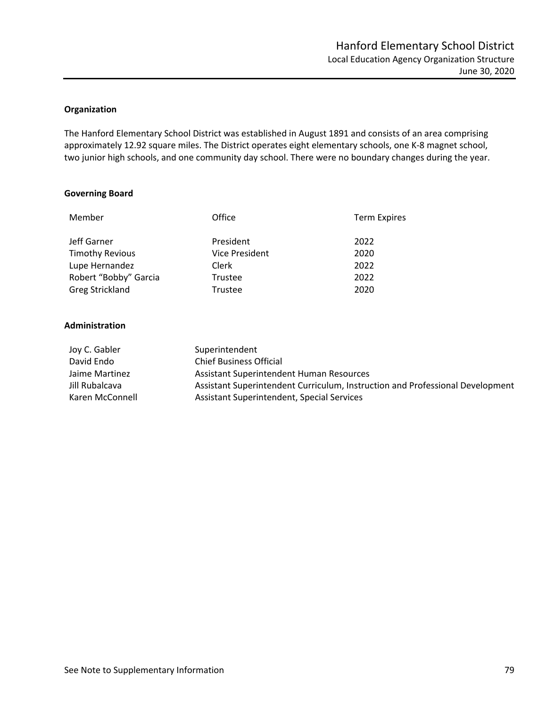## **Organization**

The Hanford Elementary School District was established in August 1891 and consists of an area comprising approximately 12.92 square miles. The District operates eight elementary schools, one K‐8 magnet school, two junior high schools, and one community day school. There were no boundary changes during the year.

## **Governing Board**

| Office                | <b>Term Expires</b> |
|-----------------------|---------------------|
| President             | 2022                |
| <b>Vice President</b> | 2020                |
| Clerk                 | 2022                |
| Trustee               | 2022                |
| Trustee               | 2020                |
|                       |                     |

## **Administration**

| Joy C. Gabler   | Superintendent                                                                |
|-----------------|-------------------------------------------------------------------------------|
| David Endo      | <b>Chief Business Official</b>                                                |
| Jaime Martinez  | Assistant Superintendent Human Resources                                      |
| Jill Rubalcava  | Assistant Superintendent Curriculum, Instruction and Professional Development |
| Karen McConnell | Assistant Superintendent, Special Services                                    |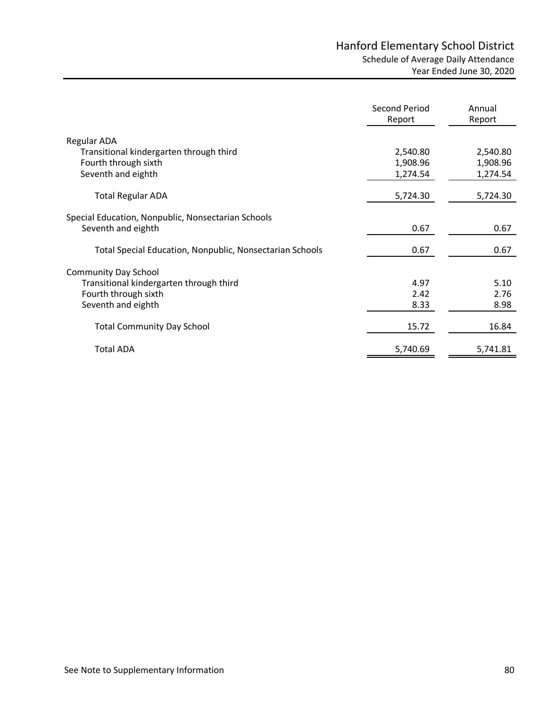|                                                                 | <b>Second Period</b><br>Report | Annual<br>Report |
|-----------------------------------------------------------------|--------------------------------|------------------|
| Regular ADA                                                     |                                |                  |
| Transitional kindergarten through third                         | 2,540.80                       | 2,540.80         |
| Fourth through sixth                                            | 1,908.96                       | 1,908.96         |
| Seventh and eighth                                              | 1,274.54                       | 1,274.54         |
| <b>Total Regular ADA</b>                                        | 5,724.30                       | 5,724.30         |
| Special Education, Nonpublic, Nonsectarian Schools              |                                |                  |
| Seventh and eighth                                              | 0.67                           | 0.67             |
| <b>Total Special Education, Nonpublic, Nonsectarian Schools</b> | 0.67                           | 0.67             |
| <b>Community Day School</b>                                     |                                |                  |
| Transitional kindergarten through third                         | 4.97                           | 5.10             |
| Fourth through sixth                                            | 2.42                           | 2.76             |
| Seventh and eighth                                              | 8.33                           | 8.98             |
| <b>Total Community Day School</b>                               | 15.72                          | 16.84            |
| <b>Total ADA</b>                                                | 5,740.69                       | 5,741.81         |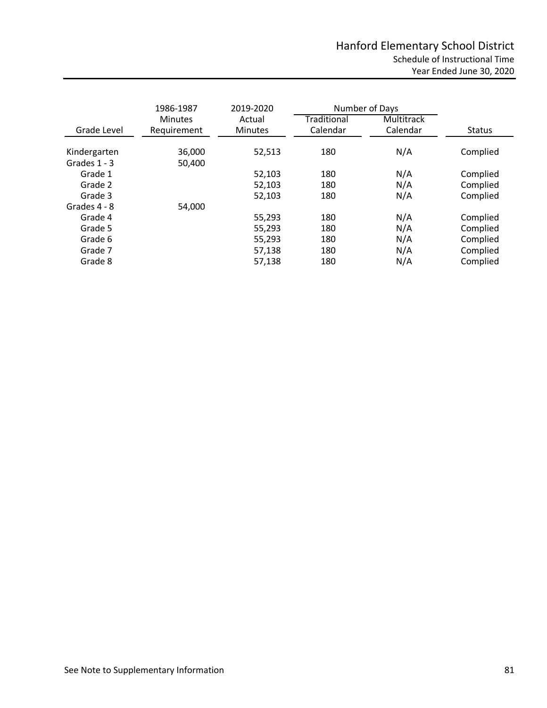|                                | 1986-1987        | 2019-2020      |             | Number of Days |               |  |  |
|--------------------------------|------------------|----------------|-------------|----------------|---------------|--|--|
|                                | <b>Minutes</b>   | Actual         | Traditional | Multitrack     |               |  |  |
| Grade Level                    | Requirement      | <b>Minutes</b> | Calendar    | Calendar       | <b>Status</b> |  |  |
| Kindergarten<br>Grades $1 - 3$ | 36,000<br>50.400 | 52,513         | 180         | N/A            | Complied      |  |  |
| Grade 1                        |                  | 52,103         | 180         | N/A            | Complied      |  |  |
| Grade 2                        |                  | 52,103         | 180         | N/A            | Complied      |  |  |
| Grade 3                        |                  | 52,103         | 180         | N/A            | Complied      |  |  |
| Grades 4 - 8                   | 54,000           |                |             |                |               |  |  |
| Grade 4                        |                  | 55,293         | 180         | N/A            | Complied      |  |  |
| Grade 5                        |                  | 55,293         | 180         | N/A            | Complied      |  |  |
| Grade 6                        |                  | 55,293         | 180         | N/A            | Complied      |  |  |
| Grade 7                        |                  | 57,138         | 180         | N/A            | Complied      |  |  |
| Grade 8                        |                  | 57.138         | 180         | N/A            | Complied      |  |  |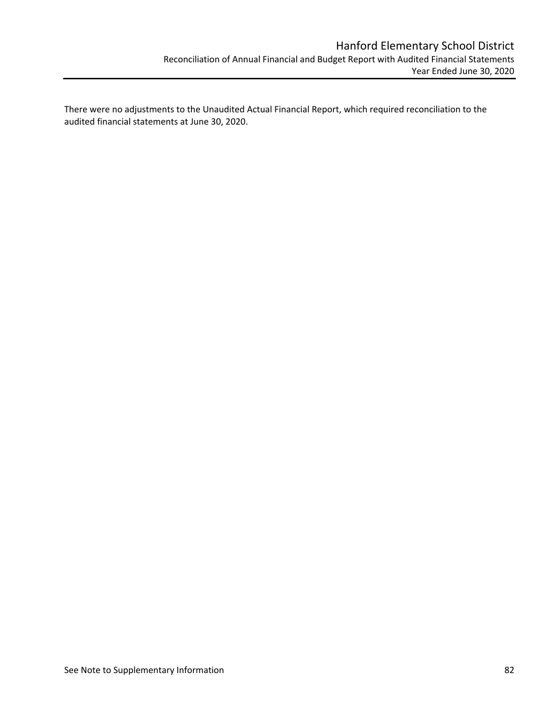There were no adjustments to the Unaudited Actual Financial Report, which required reconciliation to the audited financial statements at June 30, 2020.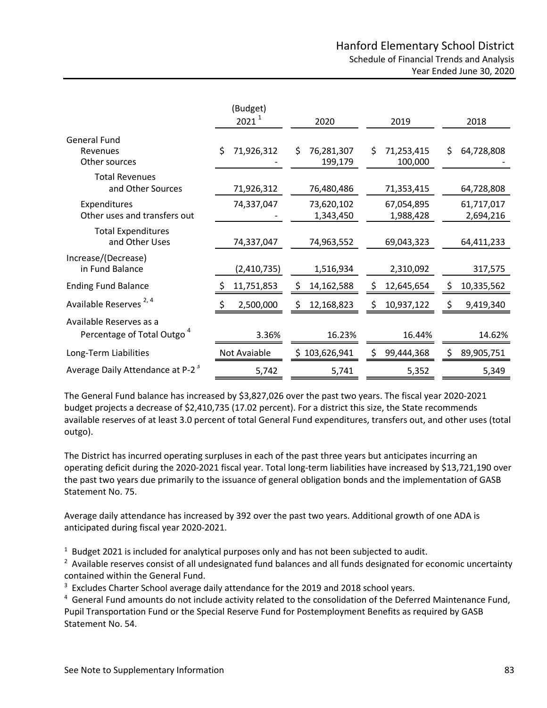|                                                                   | (Budget)<br>$2021^1$ | 2020                         | 2019                        | 2018                    |
|-------------------------------------------------------------------|----------------------|------------------------------|-----------------------------|-------------------------|
| <b>General Fund</b><br>Revenues<br>Other sources                  | \$<br>71,926,312     | 76,281,307<br>\$.<br>199,179 | \$<br>71,253,415<br>100,000 | \$<br>64,728,808        |
| <b>Total Revenues</b><br>and Other Sources                        | 71,926,312           | 76,480,486                   | 71,353,415                  | 64,728,808              |
| Expenditures<br>Other uses and transfers out                      | 74,337,047           | 73,620,102<br>1,343,450      | 67,054,895<br>1,988,428     | 61,717,017<br>2,694,216 |
| <b>Total Expenditures</b><br>and Other Uses                       | 74,337,047           | 74,963,552                   | 69,043,323                  | 64,411,233              |
| Increase/(Decrease)<br>in Fund Balance                            | (2,410,735)          | 1,516,934                    | 2,310,092                   | 317,575                 |
| <b>Ending Fund Balance</b>                                        | 11,751,853           | \$<br>14,162,588             | 12,645,654<br>Ş             | \$<br>10,335,562        |
| Available Reserves <sup>2,4</sup>                                 | 2,500,000            | \$<br>12,168,823             | Ś<br>10,937,122             | \$<br>9,419,340         |
| Available Reserves as a<br>Percentage of Total Outgo <sup>4</sup> | 3.36%                | 16.23%                       | 16.44%                      | 14.62%                  |
| Long-Term Liabilities                                             | Not Avaiable         | \$103,626,941                | 99,444,368                  | 89,905,751<br>S         |
| Average Daily Attendance at P-2 <sup>3</sup>                      | 5,742                | 5,741                        | 5,352                       | 5,349                   |

The General Fund balance has increased by \$3,827,026 over the past two years. The fiscal year 2020‐2021 budget projects a decrease of \$2,410,735 (17.02 percent). For a district this size, the State recommends available reserves of at least 3.0 percent of total General Fund expenditures, transfers out, and other uses (total outgo).

The District has incurred operating surpluses in each of the past three years but anticipates incurring an operating deficit during the 2020‐2021 fiscal year. Total long‐term liabilities have increased by \$13,721,190 over the past two years due primarily to the issuance of general obligation bonds and the implementation of GASB Statement No. 75.

Average daily attendance has increased by 392 over the past two years. Additional growth of one ADA is anticipated during fiscal year 2020‐2021.

 $1$  Budget 2021 is included for analytical purposes only and has not been subjected to audit.

 $2$  Available reserves consist of all undesignated fund balances and all funds designated for economic uncertainty contained within the General Fund.

<sup>3</sup> Excludes Charter School average daily attendance for the 2019 and 2018 school years.

<sup>4</sup> General Fund amounts do not include activity related to the consolidation of the Deferred Maintenance Fund, Pupil Transportation Fund or the Special Reserve Fund for Postemployment Benefits as required by GASB Statement No. 54.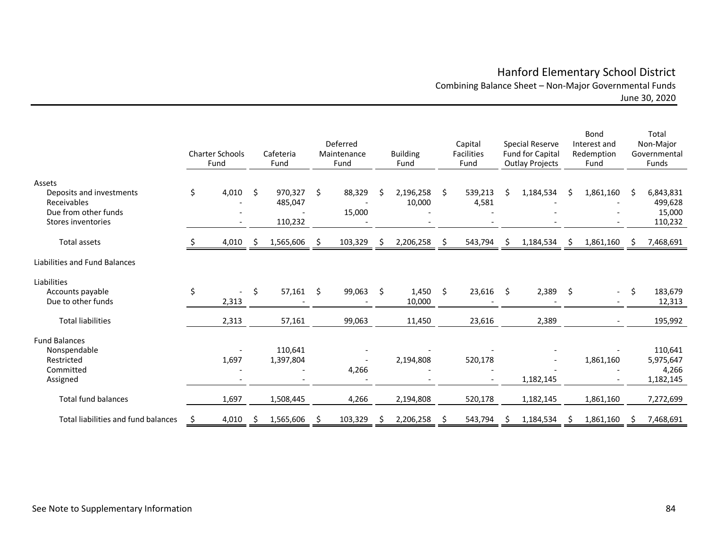# Hanford Elementary School District

Combining Balance Sheet – Non‐Major Governmental Funds June 30, 2020

|                                                                                                        | <b>Charter Schools</b><br>Fund |               | Cafeteria<br>Fund             |    | Deferred<br>Maintenance<br>Fund |      | <b>Building</b><br>Fund |    | Capital<br><b>Facilities</b><br>Fund |      | <b>Special Reserve</b><br>Fund for Capital<br><b>Outlay Projects</b> |    | Bond<br>Interest and<br>Redemption<br>Fund |    | Total<br>Non-Major<br>Governmental<br><b>Funds</b> |
|--------------------------------------------------------------------------------------------------------|--------------------------------|---------------|-------------------------------|----|---------------------------------|------|-------------------------|----|--------------------------------------|------|----------------------------------------------------------------------|----|--------------------------------------------|----|----------------------------------------------------|
| Assets<br>Deposits and investments<br><b>Receivables</b><br>Due from other funds<br>Stores inventories | \$<br>4,010                    | \$            | 970,327<br>485,047<br>110,232 | -Ś | 88,329<br>15,000                | Ŝ    | 2,196,258<br>10,000     | Ŝ. | 539,213<br>4,581                     | Ś.   | 1,184,534                                                            | Ś  | 1,861,160                                  | Ŝ. | 6,843,831<br>499,628<br>15,000<br>110,232          |
| <b>Total assets</b>                                                                                    | 4,010                          | \$            | 1,565,606                     | S  | 103,329                         | -S   | 2,206,258               | S  | 543,794                              | S    | 1,184,534                                                            | S. | 1,861,160                                  | S  | 7,468,691                                          |
| Liabilities and Fund Balances                                                                          |                                |               |                               |    |                                 |      |                         |    |                                      |      |                                                                      |    |                                            |    |                                                    |
| Liabilities<br>Accounts payable<br>Due to other funds                                                  | \$<br>2,313                    | $\frac{1}{2}$ | 57,161                        | -Ś | 99,063                          | - \$ | 1,450<br>10,000         | \$ | 23,616                               | - \$ | 2,389                                                                | \$ | $\sim$                                     | \$ | 183,679<br>12,313                                  |
| <b>Total liabilities</b>                                                                               | 2,313                          |               | 57,161                        |    | 99,063                          |      | 11,450                  |    | 23,616                               |      | 2,389                                                                |    |                                            |    | 195,992                                            |
| <b>Fund Balances</b><br>Nonspendable<br>Restricted<br>Committed<br>Assigned                            | 1,697                          |               | 110,641<br>1,397,804          |    | 4,266                           |      | 2,194,808               |    | 520,178                              |      | 1,182,145                                                            |    | 1,861,160                                  |    | 110,641<br>5,975,647<br>4,266<br>1,182,145         |
| <b>Total fund balances</b>                                                                             | 1,697                          |               | 1,508,445                     |    | 4,266                           |      | 2,194,808               |    | 520,178                              |      | 1,182,145                                                            |    | 1,861,160                                  |    | 7,272,699                                          |
| Total liabilities and fund balances                                                                    | \$<br>4,010                    | Ś             | 1,565,606                     | -S | 103,329                         | S    | 2,206,258               | S  | 543,794                              | S    | 1,184,534                                                            | S. | 1,861,160                                  | S  | 7,468,691                                          |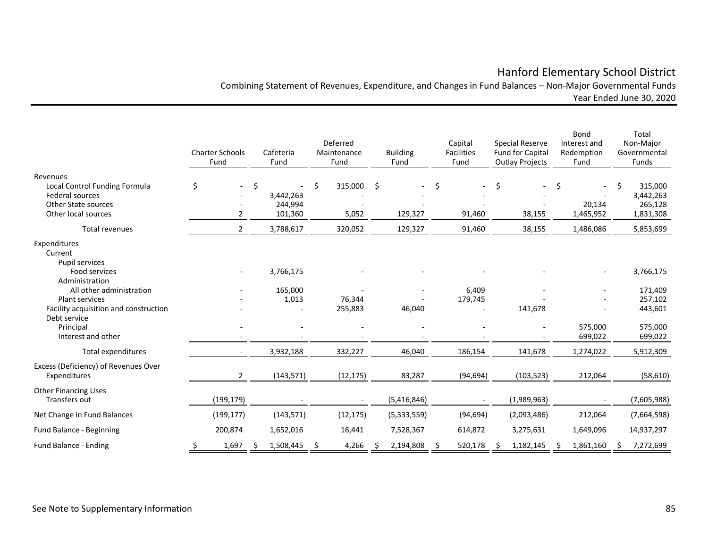# Hanford Elementary School District

Combining Statement of Revenues, Expenditure, and Changes in Fund Balances – Non‐Major Governmental Funds Year Ended June 30, 2020

|                                                                                            | <b>Charter Schools</b><br>Fund |     | Cafeteria<br>Fund    |    | Deferred<br>Maintenance<br>Fund |    | <b>Building</b><br>Fund |     | Capital<br><b>Facilities</b><br>Fund |     | Special Reserve<br>Fund for Capital<br><b>Outlay Projects</b> |    | Bond<br>Interest and<br>Redemption<br>Fund |  | Total<br>Non-Major<br>Governmental<br><b>Funds</b> |  |
|--------------------------------------------------------------------------------------------|--------------------------------|-----|----------------------|----|---------------------------------|----|-------------------------|-----|--------------------------------------|-----|---------------------------------------------------------------|----|--------------------------------------------|--|----------------------------------------------------|--|
| Revenues<br>Local Control Funding Formula<br>Federal sources<br>Other State sources        | \$                             | Ś.  | 3,442,263<br>244,994 | Ś  | 315,000                         | Ŝ. |                         | \$  |                                      | \$  |                                                               | Ś. | 20,134                                     |  | 315,000<br>3,442,263<br>265,128                    |  |
| Other local sources                                                                        | $\overline{2}$                 |     | 101,360              |    | 5,052                           |    | 129,327                 |     | 91,460                               |     | 38,155                                                        |    | 1,465,952                                  |  | 1,831,308                                          |  |
| Total revenues                                                                             | $\overline{2}$                 |     | 3,788,617            |    | 320,052                         |    | 129,327                 |     | 91,460                               |     | 38,155                                                        |    | 1,486,086                                  |  | 5,853,699                                          |  |
| Expenditures<br>Current<br>Pupil services                                                  |                                |     |                      |    |                                 |    |                         |     |                                      |     |                                                               |    |                                            |  |                                                    |  |
| Food services<br>Administration                                                            |                                |     | 3,766,175            |    |                                 |    |                         |     |                                      |     |                                                               |    |                                            |  | 3,766,175                                          |  |
| All other administration<br><b>Plant services</b><br>Facility acquisition and construction |                                |     | 165,000<br>1,013     |    | 76,344<br>255,883               |    | 46,040                  |     | 6,409<br>179,745                     |     | 141,678                                                       |    |                                            |  | 171,409<br>257,102<br>443,601                      |  |
| Debt service<br>Principal<br>Interest and other                                            |                                |     |                      |    |                                 |    |                         |     |                                      |     |                                                               |    | 575,000<br>699,022                         |  | 575,000<br>699,022                                 |  |
| <b>Total expenditures</b>                                                                  |                                |     | 3,932,188            |    | 332,227                         |    | 46,040                  |     | 186,154                              |     | 141,678                                                       |    | 1,274,022                                  |  | 5,912,309                                          |  |
| Excess (Deficiency) of Revenues Over<br>Expenditures                                       | $\overline{2}$                 |     | (143, 571)           |    | (12, 175)                       |    | 83,287                  |     | (94, 694)                            |     | (103, 523)                                                    |    | 212,064                                    |  | (58, 610)                                          |  |
| <b>Other Financing Uses</b><br>Transfers out                                               | (199, 179)                     |     |                      |    |                                 |    | (5,416,846)             |     |                                      |     | (1,989,963)                                                   |    |                                            |  | (7,605,988)                                        |  |
| Net Change in Fund Balances                                                                | (199, 177)                     |     | (143, 571)           |    | (12, 175)                       |    | (5,333,559)             |     | (94, 694)                            |     | (2,093,486)                                                   |    | 212,064                                    |  | (7,664,598)                                        |  |
| Fund Balance - Beginning                                                                   | 200,874                        |     | 1,652,016            |    | 16,441                          |    | 7,528,367               |     | 614,872                              |     | 3,275,631                                                     |    | 1,649,096                                  |  | 14,937,297                                         |  |
| Fund Balance - Ending                                                                      | 1,697                          | \$. | 1,508,445            | \$ | 4,266                           | S  | 2,194,808               | -\$ | 520,178                              | -\$ | 1,182,145                                                     | Ŝ  | 1,861,160                                  |  | 7,272,699                                          |  |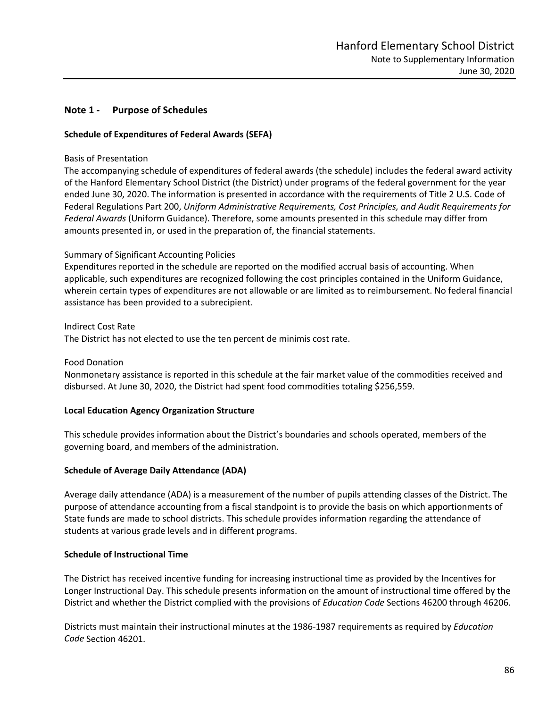## **Note 1 ‐ Purpose of Schedules**

## **Schedule of Expenditures of Federal Awards (SEFA)**

#### Basis of Presentation

The accompanying schedule of expenditures of federal awards (the schedule) includes the federal award activity of the Hanford Elementary School District (the District) under programs of the federal government for the year ended June 30, 2020. The information is presented in accordance with the requirements of Title 2 U.S. Code of Federal Regulations Part 200, *Uniform Administrative Requirements, Cost Principles, and Audit Requirements for Federal Awards* (Uniform Guidance). Therefore, some amounts presented in this schedule may differ from amounts presented in, or used in the preparation of, the financial statements.

## Summary of Significant Accounting Policies

Expenditures reported in the schedule are reported on the modified accrual basis of accounting. When applicable, such expenditures are recognized following the cost principles contained in the Uniform Guidance, wherein certain types of expenditures are not allowable or are limited as to reimbursement. No federal financial assistance has been provided to a subrecipient.

Indirect Cost Rate The District has not elected to use the ten percent de minimis cost rate.

#### Food Donation

Nonmonetary assistance is reported in this schedule at the fair market value of the commodities received and disbursed. At June 30, 2020, the District had spent food commodities totaling \$256,559.

## **Local Education Agency Organization Structure**

This schedule provides information about the District's boundaries and schools operated, members of the governing board, and members of the administration.

#### **Schedule of Average Daily Attendance (ADA)**

Average daily attendance (ADA) is a measurement of the number of pupils attending classes of the District. The purpose of attendance accounting from a fiscal standpoint is to provide the basis on which apportionments of State funds are made to school districts. This schedule provides information regarding the attendance of students at various grade levels and in different programs.

#### **Schedule of Instructional Time**

The District has received incentive funding for increasing instructional time as provided by the Incentives for Longer Instructional Day. This schedule presents information on the amount of instructional time offered by the District and whether the District complied with the provisions of *Education Code* Sections 46200 through 46206.

Districts must maintain their instructional minutes at the 1986‐1987 requirements as required by *Education Code* Section 46201.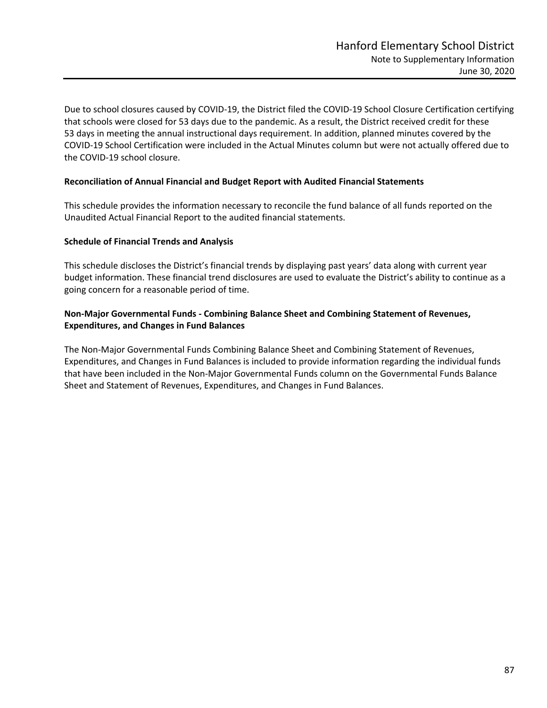Due to school closures caused by COVID‐19, the District filed the COVID‐19 School Closure Certification certifying that schools were closed for 53 days due to the pandemic. As a result, the District received credit for these 53 days in meeting the annual instructional days requirement. In addition, planned minutes covered by the COVID‐19 School Certification were included in the Actual Minutes column but were not actually offered due to the COVID‐19 school closure.

## **Reconciliation of Annual Financial and Budget Report with Audited Financial Statements**

This schedule provides the information necessary to reconcile the fund balance of all funds reported on the Unaudited Actual Financial Report to the audited financial statements.

## **Schedule of Financial Trends and Analysis**

This schedule discloses the District's financial trends by displaying past years' data along with current year budget information. These financial trend disclosures are used to evaluate the District's ability to continue as a going concern for a reasonable period of time.

## **Non‐Major Governmental Funds ‐ Combining Balance Sheet and Combining Statement of Revenues, Expenditures, and Changes in Fund Balances**

The Non‐Major Governmental Funds Combining Balance Sheet and Combining Statement of Revenues, Expenditures, and Changes in Fund Balances is included to provide information regarding the individual funds that have been included in the Non‐Major Governmental Funds column on the Governmental Funds Balance Sheet and Statement of Revenues, Expenditures, and Changes in Fund Balances.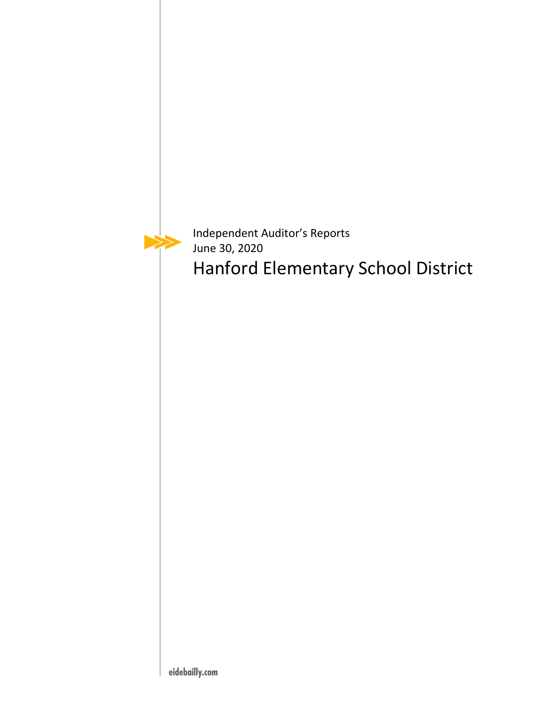

Independent Auditor's Reports June 30, 2020 Hanford Elementary School District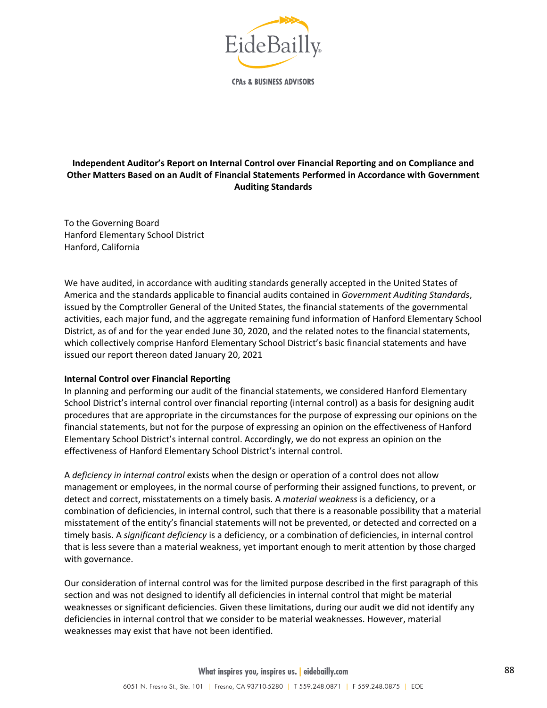

**CPAs & BUSINESS ADVISORS** 

## **Independent Auditor's Report on Internal Control over Financial Reporting and on Compliance and Other Matters Based on an Audit of Financial Statements Performed in Accordance with Government Auditing Standards**

To the Governing Board Hanford Elementary School District Hanford, California

We have audited, in accordance with auditing standards generally accepted in the United States of America and the standards applicable to financial audits contained in *Government Auditing Standards*, issued by the Comptroller General of the United States, the financial statements of the governmental activities, each major fund, and the aggregate remaining fund information of Hanford Elementary School District, as of and for the year ended June 30, 2020, and the related notes to the financial statements, which collectively comprise Hanford Elementary School District's basic financial statements and have issued our report thereon dated January 20, 2021

## **Internal Control over Financial Reporting**

In planning and performing our audit of the financial statements, we considered Hanford Elementary School District's internal control over financial reporting (internal control) as a basis for designing audit procedures that are appropriate in the circumstances for the purpose of expressing our opinions on the financial statements, but not for the purpose of expressing an opinion on the effectiveness of Hanford Elementary School District's internal control. Accordingly, we do not express an opinion on the effectiveness of Hanford Elementary School District's internal control.

A *deficiency in internal control* exists when the design or operation of a control does not allow management or employees, in the normal course of performing their assigned functions, to prevent, or detect and correct, misstatements on a timely basis. A *material weakness* is a deficiency, or a combination of deficiencies, in internal control, such that there is a reasonable possibility that a material misstatement of the entity's financial statements will not be prevented, or detected and corrected on a timely basis. A *significant deficiency* is a deficiency, or a combination of deficiencies, in internal control that is less severe than a material weakness, yet important enough to merit attention by those charged with governance.

Our consideration of internal control was for the limited purpose described in the first paragraph of this section and was not designed to identify all deficiencies in internal control that might be material weaknesses or significant deficiencies. Given these limitations, during our audit we did not identify any deficiencies in internal control that we consider to be material weaknesses. However, material weaknesses may exist that have not been identified.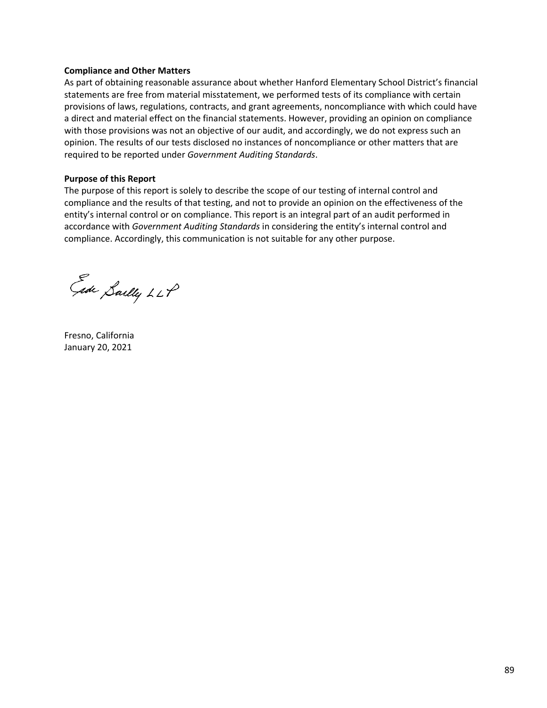#### **Compliance and Other Matters**

As part of obtaining reasonable assurance about whether Hanford Elementary School District's financial statements are free from material misstatement, we performed tests of its compliance with certain provisions of laws, regulations, contracts, and grant agreements, noncompliance with which could have a direct and material effect on the financial statements. However, providing an opinion on compliance with those provisions was not an objective of our audit, and accordingly, we do not express such an opinion. The results of our tests disclosed no instances of noncompliance or other matters that are required to be reported under *Government Auditing Standards*.

#### **Purpose of this Report**

The purpose of this report is solely to describe the scope of our testing of internal control and compliance and the results of that testing, and not to provide an opinion on the effectiveness of the entity's internal control or on compliance. This report is an integral part of an audit performed in accordance with *Government Auditing Standards* in considering the entity's internal control and compliance. Accordingly, this communication is not suitable for any other purpose.

Gide Sailly LLP

Fresno, California January 20, 2021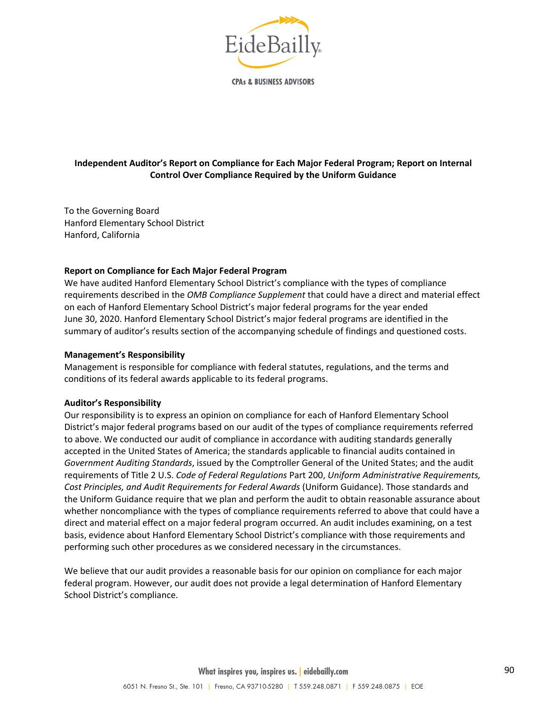

**CPAs & BUSINESS ADVISORS** 

# **Independent Auditor's Report on Compliance for Each Major Federal Program; Report on Internal Control Over Compliance Required by the Uniform Guidance**

To the Governing Board Hanford Elementary School District Hanford, California

## **Report on Compliance for Each Major Federal Program**

We have audited Hanford Elementary School District's compliance with the types of compliance requirements described in the *OMB Compliance Supplement* that could have a direct and material effect on each of Hanford Elementary School District's major federal programs for the year ended June 30, 2020. Hanford Elementary School District's major federal programs are identified in the summary of auditor's results section of the accompanying schedule of findings and questioned costs.

#### **Management's Responsibility**

Management is responsible for compliance with federal statutes, regulations, and the terms and conditions of its federal awards applicable to its federal programs.

## **Auditor's Responsibility**

Our responsibility is to express an opinion on compliance for each of Hanford Elementary School District's major federal programs based on our audit of the types of compliance requirements referred to above. We conducted our audit of compliance in accordance with auditing standards generally accepted in the United States of America; the standards applicable to financial audits contained in *Government Auditing Standards*, issued by the Comptroller General of the United States; and the audit requirements of Title 2 U.S. *Code of Federal Regulations* Part 200, *Uniform Administrative Requirements, Cost Principles, and Audit Requirements for Federal Awards* (Uniform Guidance). Those standards and the Uniform Guidance require that we plan and perform the audit to obtain reasonable assurance about whether noncompliance with the types of compliance requirements referred to above that could have a direct and material effect on a major federal program occurred. An audit includes examining, on a test basis, evidence about Hanford Elementary School District's compliance with those requirements and performing such other procedures as we considered necessary in the circumstances.

We believe that our audit provides a reasonable basis for our opinion on compliance for each major federal program. However, our audit does not provide a legal determination of Hanford Elementary School District's compliance.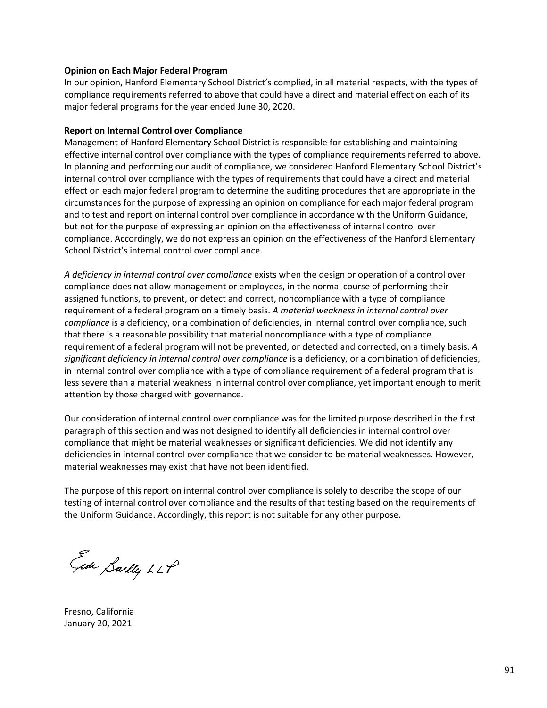#### **Opinion on Each Major Federal Program**

In our opinion, Hanford Elementary School District's complied, in all material respects, with the types of compliance requirements referred to above that could have a direct and material effect on each of its major federal programs for the year ended June 30, 2020.

#### **Report on Internal Control over Compliance**

Management of Hanford Elementary School District is responsible for establishing and maintaining effective internal control over compliance with the types of compliance requirements referred to above. In planning and performing our audit of compliance, we considered Hanford Elementary School District's internal control over compliance with the types of requirements that could have a direct and material effect on each major federal program to determine the auditing procedures that are appropriate in the circumstances for the purpose of expressing an opinion on compliance for each major federal program and to test and report on internal control over compliance in accordance with the Uniform Guidance, but not for the purpose of expressing an opinion on the effectiveness of internal control over compliance. Accordingly, we do not express an opinion on the effectiveness of the Hanford Elementary School District's internal control over compliance.

*A deficiency in internal control over compliance* exists when the design or operation of a control over compliance does not allow management or employees, in the normal course of performing their assigned functions, to prevent, or detect and correct, noncompliance with a type of compliance requirement of a federal program on a timely basis. *A material weakness in internal control over compliance* is a deficiency, or a combination of deficiencies, in internal control over compliance, such that there is a reasonable possibility that material noncompliance with a type of compliance requirement of a federal program will not be prevented, or detected and corrected, on a timely basis. *A significant deficiency in internal control over compliance* is a deficiency, or a combination of deficiencies, in internal control over compliance with a type of compliance requirement of a federal program that is less severe than a material weakness in internal control over compliance, yet important enough to merit attention by those charged with governance.

Our consideration of internal control over compliance was for the limited purpose described in the first paragraph of this section and was not designed to identify all deficiencies in internal control over compliance that might be material weaknesses or significant deficiencies. We did not identify any deficiencies in internal control over compliance that we consider to be material weaknesses. However, material weaknesses may exist that have not been identified.

The purpose of this report on internal control over compliance is solely to describe the scope of our testing of internal control over compliance and the results of that testing based on the requirements of the Uniform Guidance. Accordingly, this report is not suitable for any other purpose.

Gade Saelly LLP

Fresno, California January 20, 2021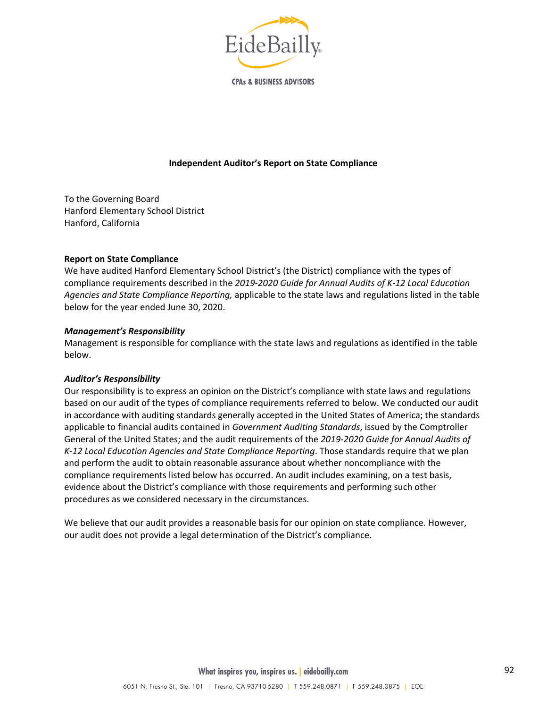

**CPAs & BUSINESS ADVISORS** 

#### **Independent Auditor's Report on State Compliance**

To the Governing Board Hanford Elementary School District Hanford, California

#### **Report on State Compliance**

We have audited Hanford Elementary School District's (the District) compliance with the types of compliance requirements described in the *2019‐2020 Guide for Annual Audits of K‐12 Local Education Agencies and State Compliance Reporting,* applicable to the state laws and regulations listed in the table below for the year ended June 30, 2020.

#### *Management's Responsibility*

Management is responsible for compliance with the state laws and regulations as identified in the table below.

#### *Auditor's Responsibility*

Our responsibility is to express an opinion on the District's compliance with state laws and regulations based on our audit of the types of compliance requirements referred to below. We conducted our audit in accordance with auditing standards generally accepted in the United States of America; the standards applicable to financial audits contained in *Government Auditing Standards*, issued by the Comptroller General of the United States; and the audit requirements of the *2019‐2020 Guide for Annual Audits of K‐12 Local Education Agencies and State Compliance Reporting*. Those standards require that we plan and perform the audit to obtain reasonable assurance about whether noncompliance with the compliance requirements listed below has occurred. An audit includes examining, on a test basis, evidence about the District's compliance with those requirements and performing such other procedures as we considered necessary in the circumstances.

We believe that our audit provides a reasonable basis for our opinion on state compliance. However, our audit does not provide a legal determination of the District's compliance.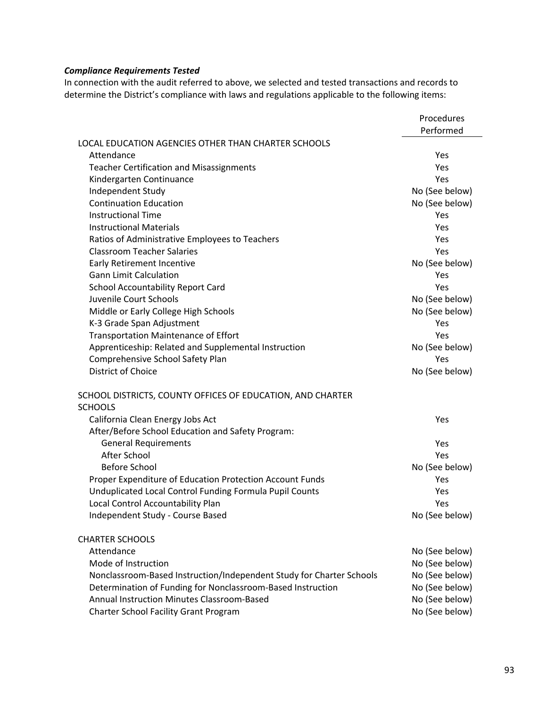# *Compliance Requirements Tested*

In connection with the audit referred to above, we selected and tested transactions and records to determine the District's compliance with laws and regulations applicable to the following items:

|                                                                      | Procedures     |
|----------------------------------------------------------------------|----------------|
|                                                                      | Performed      |
| LOCAL EDUCATION AGENCIES OTHER THAN CHARTER SCHOOLS                  |                |
| Attendance                                                           | Yes            |
| <b>Teacher Certification and Misassignments</b>                      | Yes            |
| Kindergarten Continuance                                             | Yes            |
| Independent Study                                                    | No (See below) |
| <b>Continuation Education</b>                                        | No (See below) |
| <b>Instructional Time</b>                                            | Yes            |
| <b>Instructional Materials</b>                                       | Yes            |
| Ratios of Administrative Employees to Teachers                       | Yes            |
| <b>Classroom Teacher Salaries</b>                                    | Yes            |
| Early Retirement Incentive                                           | No (See below) |
| <b>Gann Limit Calculation</b>                                        | Yes            |
| <b>School Accountability Report Card</b>                             | Yes            |
| Juvenile Court Schools                                               | No (See below) |
| Middle or Early College High Schools                                 | No (See below) |
| K-3 Grade Span Adjustment                                            | Yes            |
| <b>Transportation Maintenance of Effort</b>                          | Yes            |
| Apprenticeship: Related and Supplemental Instruction                 | No (See below) |
| Comprehensive School Safety Plan                                     | Yes            |
| District of Choice                                                   | No (See below) |
| SCHOOL DISTRICTS, COUNTY OFFICES OF EDUCATION, AND CHARTER           |                |
| <b>SCHOOLS</b>                                                       |                |
| California Clean Energy Jobs Act                                     | Yes            |
| After/Before School Education and Safety Program:                    |                |
| <b>General Requirements</b>                                          | Yes            |
| After School                                                         | Yes            |
| <b>Before School</b>                                                 | No (See below) |
| Proper Expenditure of Education Protection Account Funds             | Yes            |
| Unduplicated Local Control Funding Formula Pupil Counts              | Yes            |
| Local Control Accountability Plan                                    | Yes            |
| Independent Study - Course Based                                     | No (See below) |
| <b>CHARTER SCHOOLS</b>                                               |                |
| Attendance                                                           | No (See below) |
| Mode of Instruction                                                  | No (See below) |
| Nonclassroom-Based Instruction/Independent Study for Charter Schools | No (See below) |
| Determination of Funding for Nonclassroom-Based Instruction          | No (See below) |
| Annual Instruction Minutes Classroom-Based                           | No (See below) |
| <b>Charter School Facility Grant Program</b>                         | No (See below) |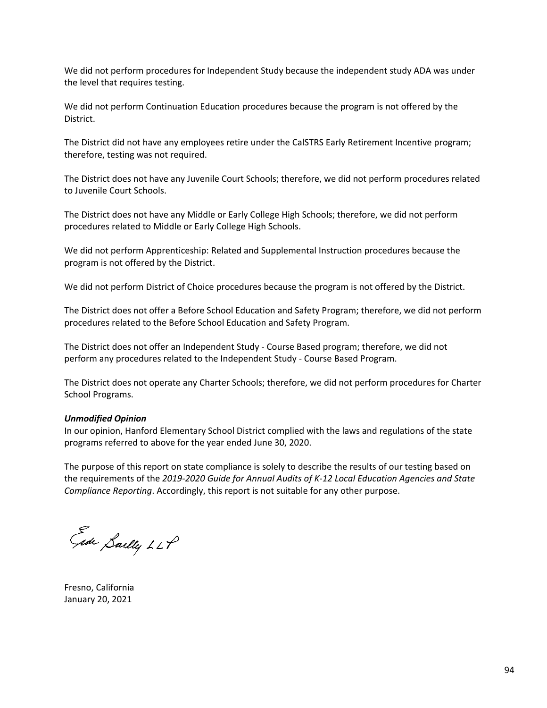We did not perform procedures for Independent Study because the independent study ADA was under the level that requires testing.

We did not perform Continuation Education procedures because the program is not offered by the District.

The District did not have any employees retire under the CalSTRS Early Retirement Incentive program; therefore, testing was not required.

The District does not have any Juvenile Court Schools; therefore, we did not perform procedures related to Juvenile Court Schools.

The District does not have any Middle or Early College High Schools; therefore, we did not perform procedures related to Middle or Early College High Schools.

We did not perform Apprenticeship: Related and Supplemental Instruction procedures because the program is not offered by the District.

We did not perform District of Choice procedures because the program is not offered by the District.

The District does not offer a Before School Education and Safety Program; therefore, we did not perform procedures related to the Before School Education and Safety Program.

The District does not offer an Independent Study ‐ Course Based program; therefore, we did not perform any procedures related to the Independent Study ‐ Course Based Program.

The District does not operate any Charter Schools; therefore, we did not perform procedures for Charter School Programs.

#### *Unmodified Opinion*

In our opinion, Hanford Elementary School District complied with the laws and regulations of the state programs referred to above for the year ended June 30, 2020.

The purpose of this report on state compliance is solely to describe the results of our testing based on the requirements of the *2019‐2020 Guide for Annual Audits of K‐12 Local Education Agencies and State Compliance Reporting*. Accordingly, this report is not suitable for any other purpose.

Ede Sailly LLP

Fresno, California January 20, 2021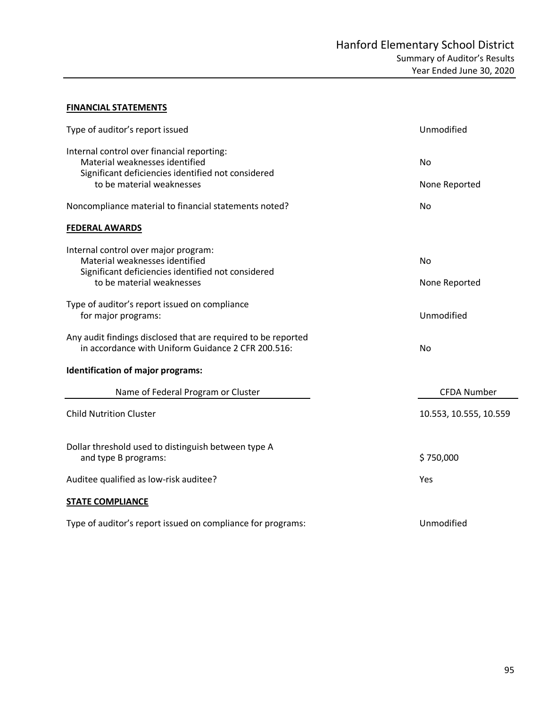# **FINANCIAL STATEMENTS**

| Type of auditor's report issued                                                                                                                                 | Unmodified                 |
|-----------------------------------------------------------------------------------------------------------------------------------------------------------------|----------------------------|
| Internal control over financial reporting:<br>Material weaknesses identified<br>Significant deficiencies identified not considered<br>to be material weaknesses | <b>No</b><br>None Reported |
| Noncompliance material to financial statements noted?                                                                                                           | No                         |
| <b>FEDERAL AWARDS</b>                                                                                                                                           |                            |
| Internal control over major program:<br>Material weaknesses identified<br>Significant deficiencies identified not considered<br>to be material weaknesses       | No<br>None Reported        |
| Type of auditor's report issued on compliance<br>for major programs:                                                                                            | Unmodified                 |
| Any audit findings disclosed that are required to be reported<br>in accordance with Uniform Guidance 2 CFR 200.516:                                             | No                         |
| Identification of major programs:                                                                                                                               |                            |
| Name of Federal Program or Cluster                                                                                                                              | <b>CFDA Number</b>         |
| <b>Child Nutrition Cluster</b>                                                                                                                                  | 10.553, 10.555, 10.559     |
| Dollar threshold used to distinguish between type A<br>and type B programs:                                                                                     | \$750,000                  |
| Auditee qualified as low-risk auditee?                                                                                                                          | Yes                        |
| <b>STATE COMPLIANCE</b>                                                                                                                                         |                            |
| Type of auditor's report issued on compliance for programs:                                                                                                     | Unmodified                 |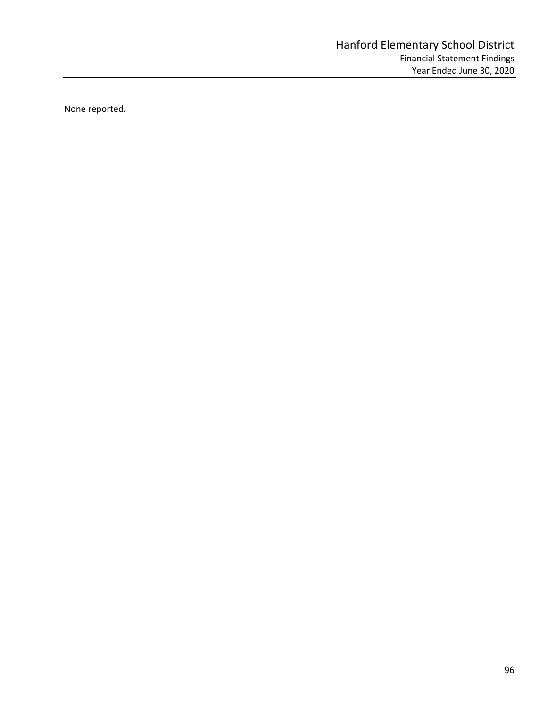None reported.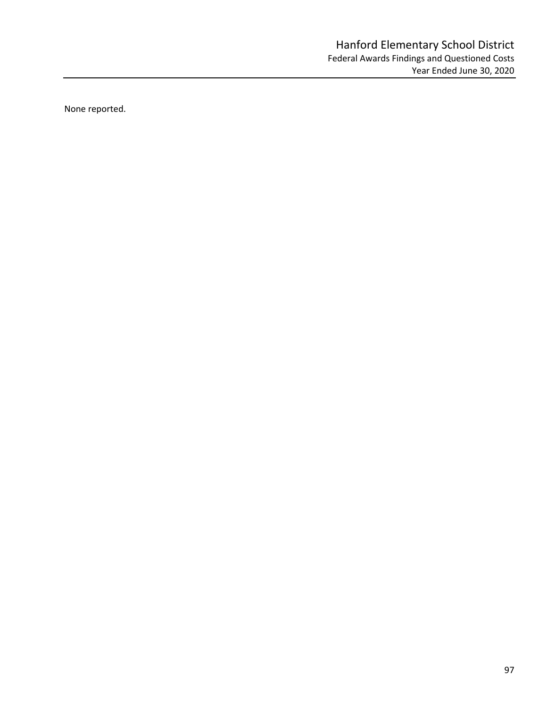None reported.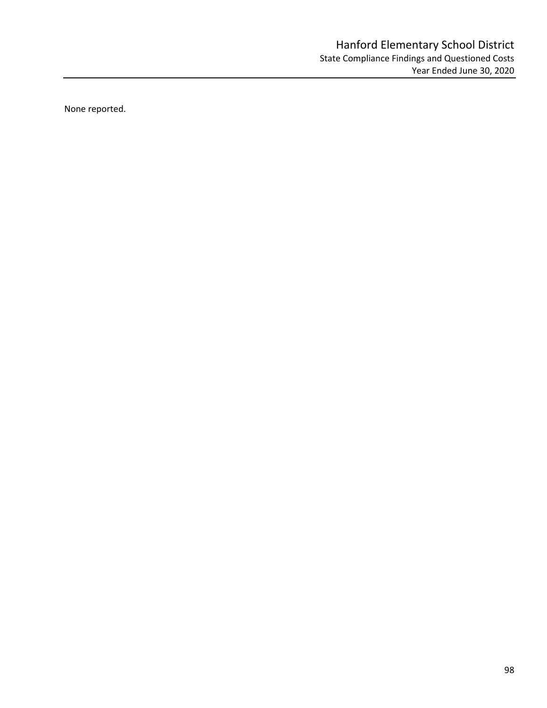None reported.